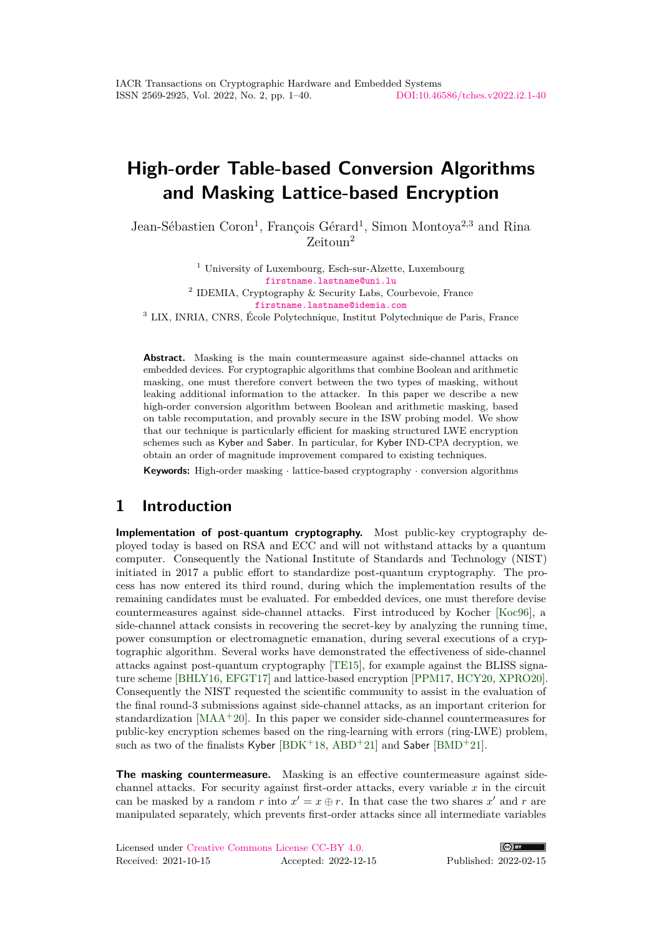# **High-order Table-based Conversion Algorithms and Masking Lattice-based Encryption**

Jean-Sébastien Coron<sup>1</sup>, François Gérard<sup>1</sup>, Simon Montoya<sup>2,3</sup> and Rina Zeitoun<sup>2</sup>

<sup>1</sup> University of Luxembourg, Esch-sur-Alzette, Luxembourg [firstname.lastname@uni.lu](mailto:jean-sebastien.coron@uni.lu, francois.gerard@uni.lu) 2 IDEMIA, Cryptography & Security Labs, Courbevoie, France [firstname.lastname@idemia.com](mailto:simon.montoya@idemia.co, rina.zeitoun@idemia.com)  $^3$  LIX, INRIA, CNRS, École Polytechnique, Institut Polytechnique de Paris, France

**Abstract.** Masking is the main countermeasure against side-channel attacks on embedded devices. For cryptographic algorithms that combine Boolean and arithmetic masking, one must therefore convert between the two types of masking, without leaking additional information to the attacker. In this paper we describe a new high-order conversion algorithm between Boolean and arithmetic masking, based on table recomputation, and provably secure in the ISW probing model. We show that our technique is particularly efficient for masking structured LWE encryption schemes such as Kyber and Saber. In particular, for Kyber IND-CPA decryption, we obtain an order of magnitude improvement compared to existing techniques.

**Keywords:** High-order masking · lattice-based cryptography · conversion algorithms

## **1 Introduction**

**Implementation of post-quantum cryptography.** Most public-key cryptography deployed today is based on RSA and ECC and will not withstand attacks by a quantum computer. Consequently the National Institute of Standards and Technology (NIST) initiated in 2017 a public effort to standardize post-quantum cryptography. The process has now entered its third round, during which the implementation results of the remaining candidates must be evaluated. For embedded devices, one must therefore devise countermeasures against side-channel attacks. First introduced by Kocher [\[Koc96\]](#page-38-0), a side-channel attack consists in recovering the secret-key by analyzing the running time, power consumption or electromagnetic emanation, during several executions of a cryptographic algorithm. Several works have demonstrated the effectiveness of side-channel attacks against post-quantum cryptography [\[TE15\]](#page-39-0), for example against the BLISS signature scheme [\[BHLY16,](#page-36-0) [EFGT17\]](#page-37-0) and lattice-based encryption [\[PPM17,](#page-38-1) [HCY20,](#page-37-1) [XPRO20\]](#page-39-1). Consequently the NIST requested the scientific community to assist in the evaluation of the final round-3 submissions against side-channel attacks, as an important criterion for standardization  $[MAA+20]$  $[MAA+20]$ . In this paper we consider side-channel countermeasures for public-key encryption schemes based on the ring-learning with errors (ring-LWE) problem, such as two of the finalists Kyber  $[BDK+18, ABD+21]$  $[BDK+18, ABD+21]$  $[BDK+18, ABD+21]$  $[BDK+18, ABD+21]$  and Saber  $[BMD+21]$  $[BMD+21]$ .

**The masking countermeasure.** Masking is an effective countermeasure against sidechannel attacks. For security against first-order attacks, every variable *x* in the circuit can be masked by a random *r* into  $x' = x \oplus r$ . In that case the two shares  $x'$  and *r* are manipulated separately, which prevents first-order attacks since all intermediate variables

|                      | Licensed under Creative Commons License CC-BY 4.0. |                      |
|----------------------|----------------------------------------------------|----------------------|
| Received: 2021-10-15 |                                                    | Accepted: 2022-12-15 |

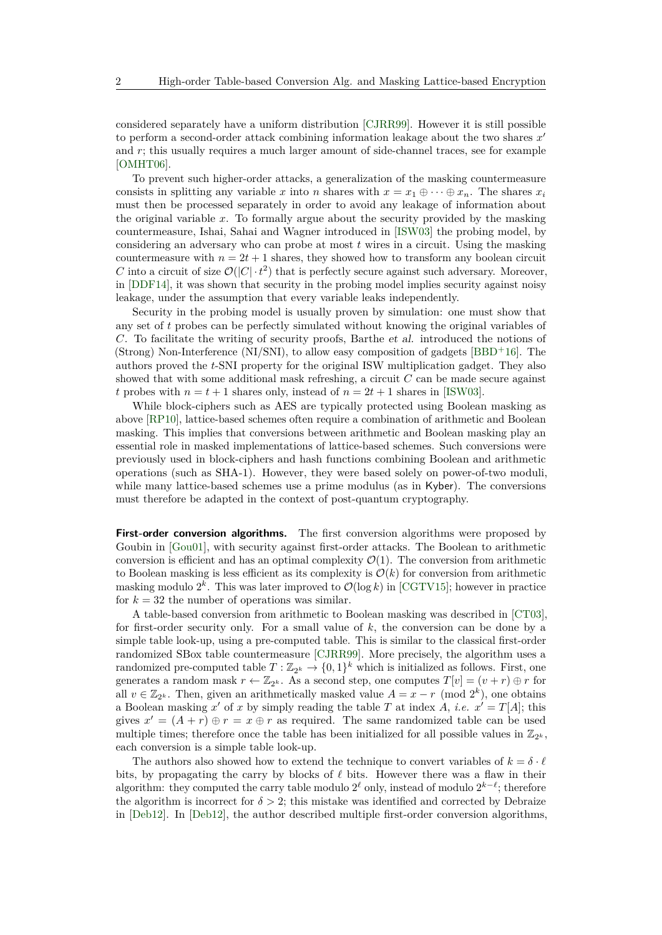considered separately have a uniform distribution [\[CJRR99\]](#page-36-2). However it is still possible to perform a second-order attack combining information leakage about the two shares  $x'$ and *r*; this usually requires a much larger amount of side-channel traces, see for example [\[OMHT06\]](#page-38-3).

To prevent such higher-order attacks, a generalization of the masking countermeasure consists in splitting any variable *x* into *n* shares with  $x = x_1 \oplus \cdots \oplus x_n$ . The shares  $x_i$ must then be processed separately in order to avoid any leakage of information about the original variable *x*. To formally argue about the security provided by the masking countermeasure, Ishai, Sahai and Wagner introduced in [\[ISW03\]](#page-37-2) the probing model, by considering an adversary who can probe at most *t* wires in a circuit. Using the masking countermeasure with  $n = 2t + 1$  shares, they showed how to transform any boolean circuit *C* into a circuit of size  $\mathcal{O}(|C| \cdot t^2)$  that is perfectly secure against such adversary. Moreover, in [\[DDF14\]](#page-36-3), it was shown that security in the probing model implies security against noisy leakage, under the assumption that every variable leaks independently.

Security in the probing model is usually proven by simulation: one must show that any set of *t* probes can be perfectly simulated without knowing the original variables of *C*. To facilitate the writing of security proofs, Barthe et al. introduced the notions of (Strong) Non-Interference (NI/SNI), to allow easy composition of gadgets [\[BBD](#page-35-2)<sup>+</sup>16]. The authors proved the *t*-SNI property for the original ISW multiplication gadget. They also showed that with some additional mask refreshing, a circuit *C* can be made secure against *t* probes with  $n = t + 1$  shares only, instead of  $n = 2t + 1$  shares in [\[ISW03\]](#page-37-2).

While block-ciphers such as AES are typically protected using Boolean masking as above [\[RP10\]](#page-38-4), lattice-based schemes often require a combination of arithmetic and Boolean masking. This implies that conversions between arithmetic and Boolean masking play an essential role in masked implementations of lattice-based schemes. Such conversions were previously used in block-ciphers and hash functions combining Boolean and arithmetic operations (such as SHA-1). However, they were based solely on power-of-two moduli, while many lattice-based schemes use a prime modulus (as in Kyber). The conversions must therefore be adapted in the context of post-quantum cryptography.

**First-order conversion algorithms.** The first conversion algorithms were proposed by Goubin in [\[Gou01\]](#page-37-3), with security against first-order attacks. The Boolean to arithmetic conversion is efficient and has an optimal complexity  $\mathcal{O}(1)$ . The conversion from arithmetic to Boolean masking is less efficient as its complexity is  $\mathcal{O}(k)$  for conversion from arithmetic masking modulo  $2^k$ . This was later improved to  $\mathcal{O}(\log k)$  in [\[CGTV15\]](#page-36-4); however in practice for  $k = 32$  the number of operations was similar.

A table-based conversion from arithmetic to Boolean masking was described in [\[CT03\]](#page-36-5), for first-order security only. For a small value of *k*, the conversion can be done by a simple table look-up, using a pre-computed table. This is similar to the classical first-order randomized SBox table countermeasure [\[CJRR99\]](#page-36-2). More precisely, the algorithm uses a randomized pre-computed table  $T: \mathbb{Z}_{2^k} \to \{0,1\}^k$  which is initialized as follows. First, one generates a random mask  $r \leftarrow \mathbb{Z}_{2^k}$ . As a second step, one computes  $T[v] = (v + r) \oplus r$  for all  $v \in \mathbb{Z}_{2^k}$ . Then, given an arithmetically masked value  $A = x - r \pmod{2^k}$ , one obtains a Boolean masking *x*<sup>'</sup> of *x* by simply reading the table *T* at index *A*, *i.e.*  $x' = T[A]$ ; this gives  $x' = (A + r) \oplus r = x \oplus r$  as required. The same randomized table can be used multiple times; therefore once the table has been initialized for all possible values in  $\mathbb{Z}_{2^k}$ , each conversion is a simple table look-up.

The authors also showed how to extend the technique to convert variables of  $k = \delta \cdot \ell$ bits, by propagating the carry by blocks of  $\ell$  bits. However there was a flaw in their algorithm: they computed the carry table modulo  $2^{\ell}$  only, instead of modulo  $2^{k-\ell}$ ; therefore the algorithm is incorrect for  $\delta > 2$ ; this mistake was identified and corrected by Debraize in [\[Deb12\]](#page-36-6). In [\[Deb12\]](#page-36-6), the author described multiple first-order conversion algorithms,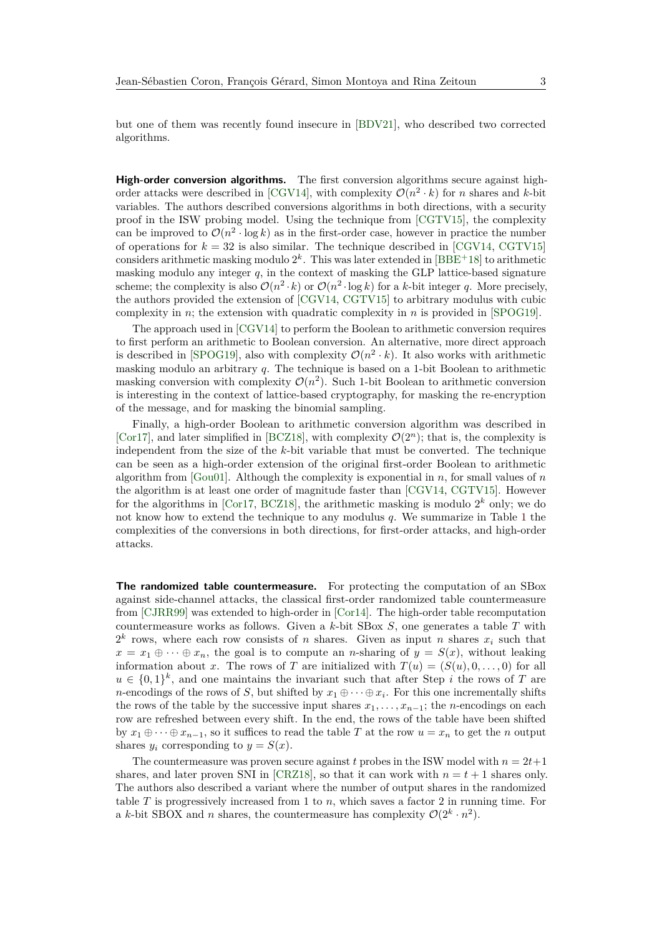but one of them was recently found insecure in [\[BDV21\]](#page-35-3), who described two corrected algorithms.

**High-order conversion algorithms.** The first conversion algorithms secure against high-order attacks were described in [\[CGV14\]](#page-36-7), with complexity  $\mathcal{O}(n^2 \cdot k)$  for *n* shares and *k*-bit variables. The authors described conversions algorithms in both directions, with a security proof in the ISW probing model. Using the technique from [\[CGTV15\]](#page-36-4), the complexity can be improved to  $\mathcal{O}(n^2 \cdot \log k)$  as in the first-order case, however in practice the number of operations for  $k = 32$  is also similar. The technique described in [\[CGV14,](#page-36-7) [CGTV15\]](#page-36-4) considers arithmetic masking modulo  $2^k$ . This was later extended in [\[BBE](#page-35-4)<sup>+</sup>18] to arithmetic masking modulo any integer  $q$ , in the context of masking the GLP lattice-based signature scheme; the complexity is also  $\mathcal{O}(n^2 \cdot k)$  or  $\mathcal{O}(n^2 \cdot \log k)$  for a *k*-bit integer *q*. More precisely, the authors provided the extension of [\[CGV14,](#page-36-7) [CGTV15\]](#page-36-4) to arbitrary modulus with cubic complexity in *n*; the extension with quadratic complexity in *n* is provided in [\[SPOG19\]](#page-39-2).

The approach used in [\[CGV14\]](#page-36-7) to perform the Boolean to arithmetic conversion requires to first perform an arithmetic to Boolean conversion. An alternative, more direct approach is described in [\[SPOG19\]](#page-39-2), also with complexity  $\mathcal{O}(n^2 \cdot k)$ . It also works with arithmetic masking modulo an arbitrary *q*. The technique is based on a 1-bit Boolean to arithmetic masking conversion with complexity  $\mathcal{O}(n^2)$ . Such 1-bit Boolean to arithmetic conversion is interesting in the context of lattice-based cryptography, for masking the re-encryption of the message, and for masking the binomial sampling.

Finally, a high-order Boolean to arithmetic conversion algorithm was described in [\[Cor17\]](#page-36-8), and later simplified in [\[BCZ18\]](#page-35-5), with complexity  $\mathcal{O}(2^n)$ ; that is, the complexity is independent from the size of the *k*-bit variable that must be converted. The technique can be seen as a high-order extension of the original first-order Boolean to arithmetic algorithm from [\[Gou01\]](#page-37-3). Although the complexity is exponential in *n*, for small values of *n* the algorithm is at least one order of magnitude faster than [\[CGV14,](#page-36-7) [CGTV15\]](#page-36-4). However for the algorithms in [\[Cor17,](#page-36-8) [BCZ18\]](#page-35-5), the arithmetic masking is modulo  $2^k$  only; we do not know how to extend the technique to any modulus *q*. We summarize in Table [1](#page-3-0) the complexities of the conversions in both directions, for first-order attacks, and high-order attacks.

**The randomized table countermeasure.** For protecting the computation of an SBox against side-channel attacks, the classical first-order randomized table countermeasure from [\[CJRR99\]](#page-36-2) was extended to high-order in [\[Cor14\]](#page-36-9). The high-order table recomputation countermeasure works as follows. Given a *k*-bit SBox *S*, one generates a table *T* with  $2^k$  rows, where each row consists of *n* shares. Given as input *n* shares  $x_i$  such that  $x = x_1 \oplus \cdots \oplus x_n$ , the goal is to compute an *n*-sharing of  $y = S(x)$ , without leaking information about *x*. The rows of *T* are initialized with  $T(u) = (S(u), 0, \ldots, 0)$  for all  $u \in \{0,1\}^k$ , and one maintains the invariant such that after Step *i* the rows of *T* are *n*-encodings of the rows of *S*, but shifted by  $x_1 \oplus \cdots \oplus x_i$ . For this one incrementally shifts the rows of the table by the successive input shares  $x_1, \ldots, x_{n-1}$ ; the *n*-encodings on each row are refreshed between every shift. In the end, the rows of the table have been shifted by  $x_1 \oplus \cdots \oplus x_{n-1}$ , so it suffices to read the table *T* at the row  $u = x_n$  to get the *n* output shares  $y_i$  corresponding to  $y = S(x)$ .

The countermeasure was proven secure against *t* probes in the ISW model with  $n = 2t+1$ shares, and later proven SNI in [\[CRZ18\]](#page-36-10), so that it can work with  $n = t + 1$  shares only. The authors also described a variant where the number of output shares in the randomized table *T* is progressively increased from 1 to *n*, which saves a factor 2 in running time. For a *k*-bit SBOX and *n* shares, the countermeasure has complexity  $\mathcal{O}(2^k \cdot n^2)$ .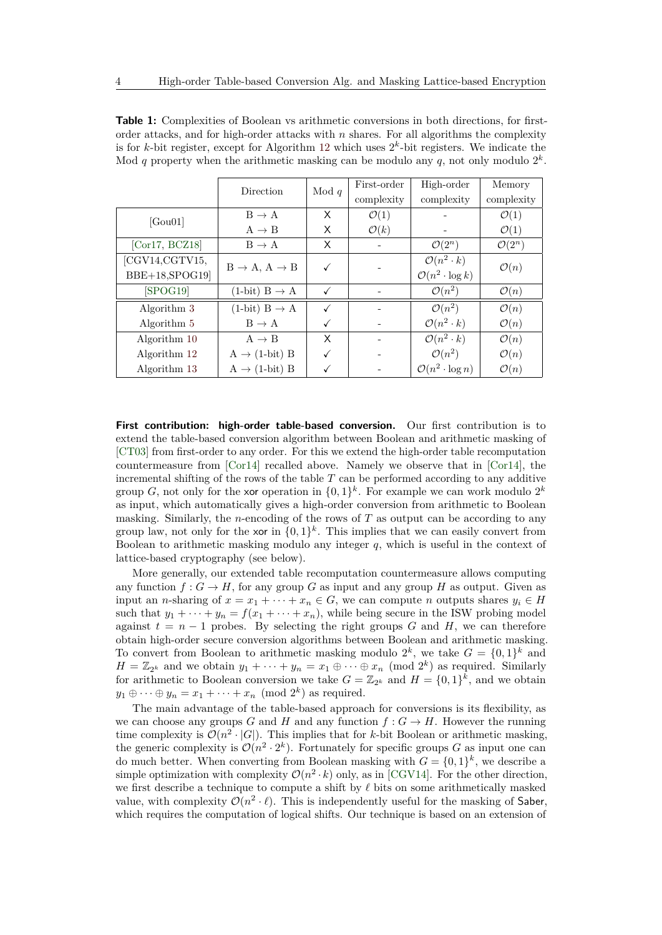|                    | Direction                             | Mod $q$      | First-order      | High-order                      | Memory             |
|--------------------|---------------------------------------|--------------|------------------|---------------------------------|--------------------|
|                    |                                       |              | complexity       | complexity                      | complexity         |
| [Gou01]            | $B \rightarrow A$                     | X            | $\mathcal{O}(1)$ |                                 | $\mathcal{O}(1)$   |
|                    | $A \rightarrow B$                     | X            | $\mathcal{O}(k)$ |                                 | $\mathcal{O}(1)$   |
| [ $Cor17, BCZ18$ ] | $B \rightarrow A$                     | X            |                  | $\mathcal{O}(2^n)$              | $\mathcal{O}(2^n)$ |
| [CGV14,CGTV15,     | $B \rightarrow A$ , $A \rightarrow B$ |              |                  | $\mathcal{O}(n^2 \cdot k)$      | $\mathcal{O}(n)$   |
| BBE+18, SPOG19     |                                       |              |                  | $\mathcal{O}(n^2 \cdot \log k)$ |                    |
| [SPOG19]           | $(1-bit) B \rightarrow A$             | $\checkmark$ |                  | $\mathcal{O}(n^2)$              | $\mathcal{O}(n)$   |
| Algorithm 3        | $(1-bit) B \rightarrow A$             |              |                  | $\mathcal{O}(n^2)$              | $\mathcal{O}(n)$   |
| Algorithm 5        | $B \rightarrow A$                     |              |                  | $\mathcal{O}(n^2 \cdot k)$      | $\mathcal{O}(n)$   |
| Algorithm 10       | $A \rightarrow B$                     | X            |                  | $\mathcal{O}(n^2 \cdot k)$      | $\mathcal{O}(n)$   |
| Algorithm 12       | $A \rightarrow (1-bit) B$             |              |                  | $\mathcal{O}(n^2)$              | $\mathcal{O}(n)$   |
| Algorithm 13       | $A \rightarrow (1-bit) B$             |              |                  | $\mathcal{O}(n^2 \cdot \log n)$ | $\mathcal{O}(n)$   |

<span id="page-3-0"></span>**Table 1:** Complexities of Boolean vs arithmetic conversions in both directions, for firstorder attacks, and for high-order attacks with *n* shares. For all algorithms the complexity is for *k*-bit register, except for Algorithm [12](#page-20-0) which uses  $2<sup>k</sup>$ -bit registers. We indicate the Mod  $q$  property when the arithmetic masking can be modulo any  $q$ , not only modulo  $2^k$ .

**First contribution: high-order table-based conversion.** Our first contribution is to extend the table-based conversion algorithm between Boolean and arithmetic masking of [\[CT03\]](#page-36-5) from first-order to any order. For this we extend the high-order table recomputation countermeasure from [\[Cor14\]](#page-36-9) recalled above. Namely we observe that in [\[Cor14\]](#page-36-9), the incremental shifting of the rows of the table  $T$  can be performed according to any additive group *G*, not only for the xor operation in  $\{0,1\}^k$ . For example we can work modulo  $2^k$ as input, which automatically gives a high-order conversion from arithmetic to Boolean masking. Similarly, the *n*-encoding of the rows of *T* as output can be according to any group law, not only for the xor in  $\{0,1\}^k$ . This implies that we can easily convert from Boolean to arithmetic masking modulo any integer *q*, which is useful in the context of lattice-based cryptography (see below).

More generally, our extended table recomputation countermeasure allows computing any function  $f : G \to H$ , for any group *G* as input and any group *H* as output. Given as input an *n*-sharing of  $x = x_1 + \cdots + x_n \in G$ , we can compute *n* outputs shares  $y_i \in H$ such that  $y_1 + \cdots + y_n = f(x_1 + \cdots + x_n)$ , while being secure in the ISW probing model against  $t = n - 1$  probes. By selecting the right groups *G* and *H*, we can therefore obtain high-order secure conversion algorithms between Boolean and arithmetic masking. To convert from Boolean to arithmetic masking modulo  $2^k$ , we take  $G = \{0,1\}^k$  and  $H = \mathbb{Z}_{2^k}$  and we obtain  $y_1 + \cdots + y_n = x_1 \oplus \cdots \oplus x_n \pmod{2^k}$  as required. Similarly for arithmetic to Boolean conversion we take  $G = \mathbb{Z}_{2^k}$  and  $H = \{0,1\}^k$ , and we obtain  $y_1 \oplus \cdots \oplus y_n = x_1 + \cdots + x_n \pmod{2^k}$  as required.

The main advantage of the table-based approach for conversions is its flexibility, as we can choose any groups *G* and *H* and any function  $f: G \to H$ . However the running time complexity is  $\mathcal{O}(n^2 \cdot |G|)$ . This implies that for *k*-bit Boolean or arithmetic masking, the generic complexity is  $\mathcal{O}(n^2 \cdot 2^k)$ . Fortunately for specific groups *G* as input one can do much better. When converting from Boolean masking with  $G = \{0,1\}^k$ , we describe a simple optimization with complexity  $\mathcal{O}(n^2 \cdot k)$  only, as in [\[CGV14\]](#page-36-7). For the other direction, we first describe a technique to compute a shift by  $\ell$  bits on some arithmetically masked value, with complexity  $\mathcal{O}(n^2 \cdot \ell)$ . This is independently useful for the masking of Saber, which requires the computation of logical shifts. Our technique is based on an extension of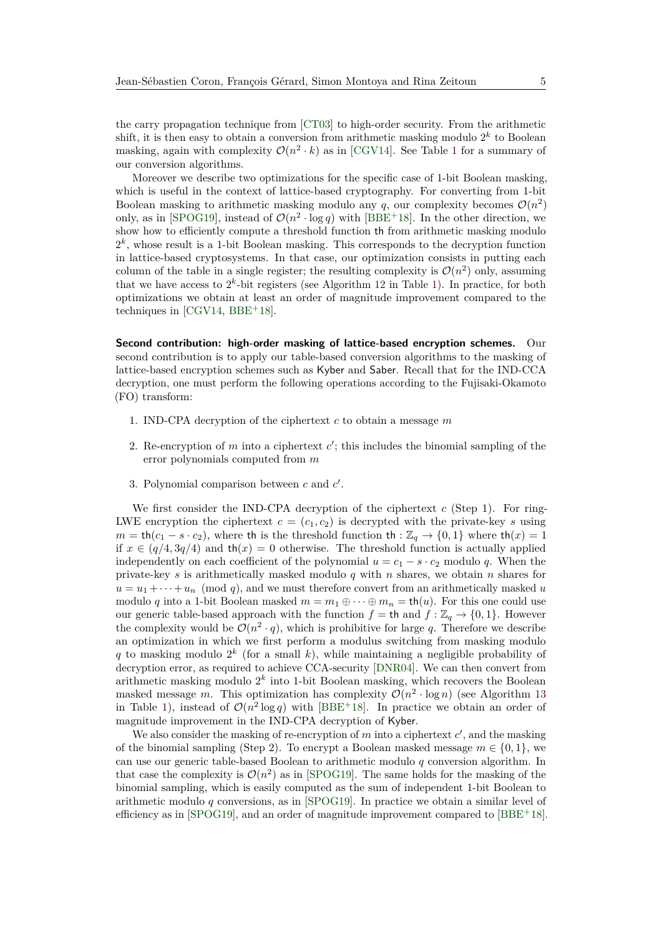the carry propagation technique from [\[CT03\]](#page-36-5) to high-order security. From the arithmetic shift, it is then easy to obtain a conversion from arithmetic masking modulo  $2^k$  to Boolean masking, again with complexity  $\mathcal{O}(n^2 \cdot k)$  as in [\[CGV14\]](#page-36-7). See Table [1](#page-3-0) for a summary of our conversion algorithms.

Moreover we describe two optimizations for the specific case of 1-bit Boolean masking, which is useful in the context of lattice-based cryptography. For converting from 1-bit Boolean masking to arithmetic masking modulo any  $q$ , our complexity becomes  $\mathcal{O}(n^2)$ only, as in [\[SPOG19\]](#page-39-2), instead of  $\mathcal{O}(n^2 \cdot \log q)$  with [\[BBE](#page-35-4)<sup>+</sup>18]. In the other direction, we show how to efficiently compute a threshold function th from arithmetic masking modulo  $2<sup>k</sup>$ , whose result is a 1-bit Boolean masking. This corresponds to the decryption function in lattice-based cryptosystems. In that case, our optimization consists in putting each column of the table in a single register; the resulting complexity is  $\mathcal{O}(n^2)$  only, assuming that we have access to  $2^k$ -bit registers (see Algorithm [12](#page-20-0) in Table [1\)](#page-3-0). In practice, for both optimizations we obtain at least an order of magnitude improvement compared to the techniques in  $[CGV14, BBE<sup>+</sup>18]$  $[CGV14, BBE<sup>+</sup>18]$  $[CGV14, BBE<sup>+</sup>18]$  $[CGV14, BBE<sup>+</sup>18]$ .

**Second contribution: high-order masking of lattice-based encryption schemes.** Our second contribution is to apply our table-based conversion algorithms to the masking of lattice-based encryption schemes such as Kyber and Saber. Recall that for the IND-CCA decryption, one must perform the following operations according to the Fujisaki-Okamoto (FO) transform:

- 1. IND-CPA decryption of the ciphertext *c* to obtain a message *m*
- 2. Re-encryption of  $m$  into a ciphertext  $c'$ ; this includes the binomial sampling of the error polynomials computed from *m*
- 3. Polynomial comparison between  $c$  and  $c'$ .

We first consider the IND-CPA decryption of the ciphertext *c* (Step 1). For ring-LWE encryption the ciphertext  $c = (c_1, c_2)$  is decrypted with the private-key *s* using  $m = \text{th}(c_1 - s \cdot c_2)$ , where th is the threshold function th :  $\mathbb{Z}_q \rightarrow \{0, 1\}$  where th $(x) = 1$ if  $x \in (q/4, 3q/4)$  and  $th(x) = 0$  otherwise. The threshold function is actually applied independently on each coefficient of the polynomial  $u = c_1 - s \cdot c_2$  modulo *q*. When the private-key *s* is arithmetically masked modulo *q* with *n* shares, we obtain *n* shares for  $u = u_1 + \cdots + u_n \pmod{q}$ , and we must therefore convert from an arithmetically masked *u* modulo *q* into a 1-bit Boolean masked  $m = m_1 \oplus \cdots \oplus m_n = \text{th}(u)$ . For this one could use our generic table-based approach with the function  $f =$  th and  $f : \mathbb{Z}_q \to \{0, 1\}$ . However the complexity would be  $\mathcal{O}(n^2 \cdot q)$ , which is prohibitive for large q. Therefore we describe an optimization in which we first perform a modulus switching from masking modulo *q* to masking modulo 2 *k* (for a small *k*), while maintaining a negligible probability of decryption error, as required to achieve CCA-security [\[DNR04\]](#page-37-4). We can then convert from arithmetic masking modulo 2 *k* into 1-bit Boolean masking, which recovers the Boolean masked message *m*. This optimization has complexity  $\mathcal{O}(n^2 \cdot \log n)$  (see Algorithm [13](#page-26-0) in Table [1\)](#page-3-0), instead of  $\mathcal{O}(n^2 \log q)$  with [\[BBE](#page-35-4)<sup>+</sup>18]. In practice we obtain an order of magnitude improvement in the IND-CPA decryption of Kyber.

We also consider the masking of re-encryption of  $m$  into a ciphertext  $c'$ , and the masking of the binomial sampling (Step 2). To encrypt a Boolean masked message  $m \in \{0, 1\}$ , we can use our generic table-based Boolean to arithmetic modulo *q* conversion algorithm. In that case the complexity is  $\mathcal{O}(n^2)$  as in [\[SPOG19\]](#page-39-2). The same holds for the masking of the binomial sampling, which is easily computed as the sum of independent 1-bit Boolean to arithmetic modulo *q* conversions, as in [\[SPOG19\]](#page-39-2). In practice we obtain a similar level of efficiency as in  $[SPOG19]$ , and an order of magnitude improvement compared to  $[BBE+18]$  $[BBE+18]$ .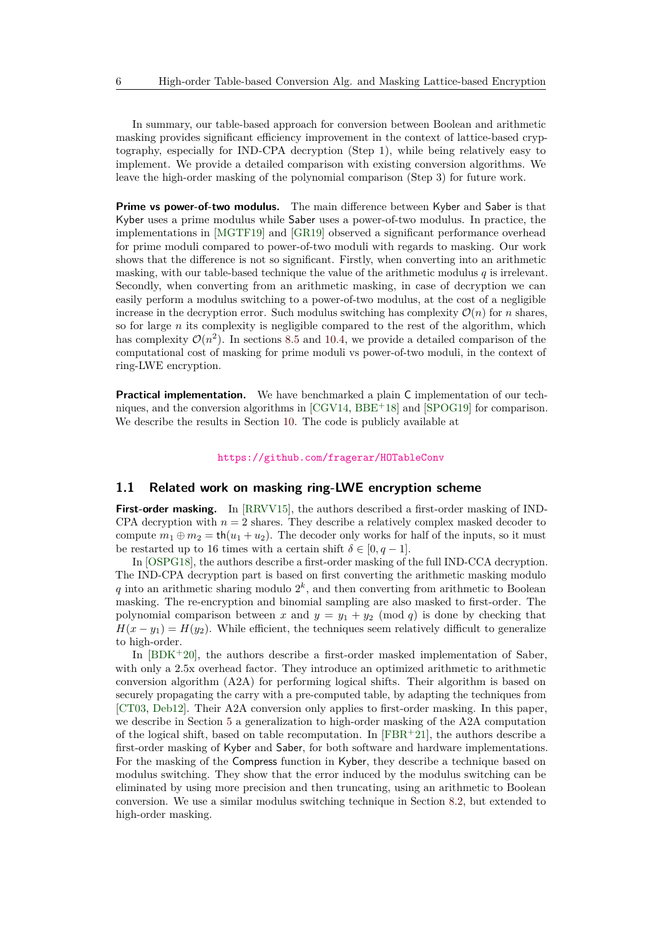In summary, our table-based approach for conversion between Boolean and arithmetic masking provides significant efficiency improvement in the context of lattice-based cryptography, especially for IND-CPA decryption (Step 1), while being relatively easy to implement. We provide a detailed comparison with existing conversion algorithms. We leave the high-order masking of the polynomial comparison (Step 3) for future work.

**Prime vs power-of-two modulus.** The main difference between Kyber and Saber is that Kyber uses a prime modulus while Saber uses a power-of-two modulus. In practice, the implementations in [\[MGTF19\]](#page-38-5) and [\[GR19\]](#page-37-5) observed a significant performance overhead for prime moduli compared to power-of-two moduli with regards to masking. Our work shows that the difference is not so significant. Firstly, when converting into an arithmetic masking, with our table-based technique the value of the arithmetic modulus *q* is irrelevant. Secondly, when converting from an arithmetic masking, in case of decryption we can easily perform a modulus switching to a power-of-two modulus, at the cost of a negligible increase in the decryption error. Such modulus switching has complexity  $\mathcal{O}(n)$  for *n* shares, so for large *n* its complexity is negligible compared to the rest of the algorithm, which has complexity  $\mathcal{O}(n^2)$ . In sections [8.5](#page-29-0) and [10.4,](#page-33-0) we provide a detailed comparison of the computational cost of masking for prime moduli vs power-of-two moduli, in the context of ring-LWE encryption.

**Practical implementation.** We have benchmarked a plain C implementation of our techniques, and the conversion algorithms in  $[CGV14, BBE<sup>+</sup>18]$  $[CGV14, BBE<sup>+</sup>18]$  $[CGV14, BBE<sup>+</sup>18]$  $[CGV14, BBE<sup>+</sup>18]$  and  $[SPOG19]$  for comparison. We describe the results in Section [10.](#page-32-0) The code is publicly available at

#### <https://github.com/fragerar/HOTableConv>

#### **1.1 Related work on masking ring-LWE encryption scheme**

**First-order masking.** In [\[RRVV15\]](#page-38-6), the authors described a first-order masking of IND-CPA decryption with  $n = 2$  shares. They describe a relatively complex masked decoder to compute  $m_1 \oplus m_2 = \text{th}(u_1 + u_2)$ . The decoder only works for half of the inputs, so it must be restarted up to 16 times with a certain shift  $\delta \in [0, q-1]$ .

In [\[OSPG18\]](#page-38-7), the authors describe a first-order masking of the full IND-CCA decryption. The IND-CPA decryption part is based on first converting the arithmetic masking modulo q into an arithmetic sharing modulo  $2^k$ , and then converting from arithmetic to Boolean masking. The re-encryption and binomial sampling are also masked to first-order. The polynomial comparison between *x* and  $y = y_1 + y_2 \pmod{q}$  is done by checking that  $H(x - y_1) = H(y_2)$ . While efficient, the techniques seem relatively difficult to generalize to high-order.

In  $[BDK^+20]$  $[BDK^+20]$ , the authors describe a first-order masked implementation of Saber, with only a 2.5x overhead factor. They introduce an optimized arithmetic to arithmetic conversion algorithm (A2A) for performing logical shifts. Their algorithm is based on securely propagating the carry with a pre-computed table, by adapting the techniques from [\[CT03,](#page-36-5) [Deb12\]](#page-36-6). Their A2A conversion only applies to first-order masking. In this paper, we describe in Section [5](#page-12-0) a generalization to high-order masking of the A2A computation of the logical shift, based on table recomputation. In  $[FBR+21]$  $[FBR+21]$ , the authors describe a first-order masking of Kyber and Saber, for both software and hardware implementations. For the masking of the Compress function in Kyber, they describe a technique based on modulus switching. They show that the error induced by the modulus switching can be eliminated by using more precision and then truncating, using an arithmetic to Boolean conversion. We use a similar modulus switching technique in Section [8.2,](#page-25-0) but extended to high-order masking.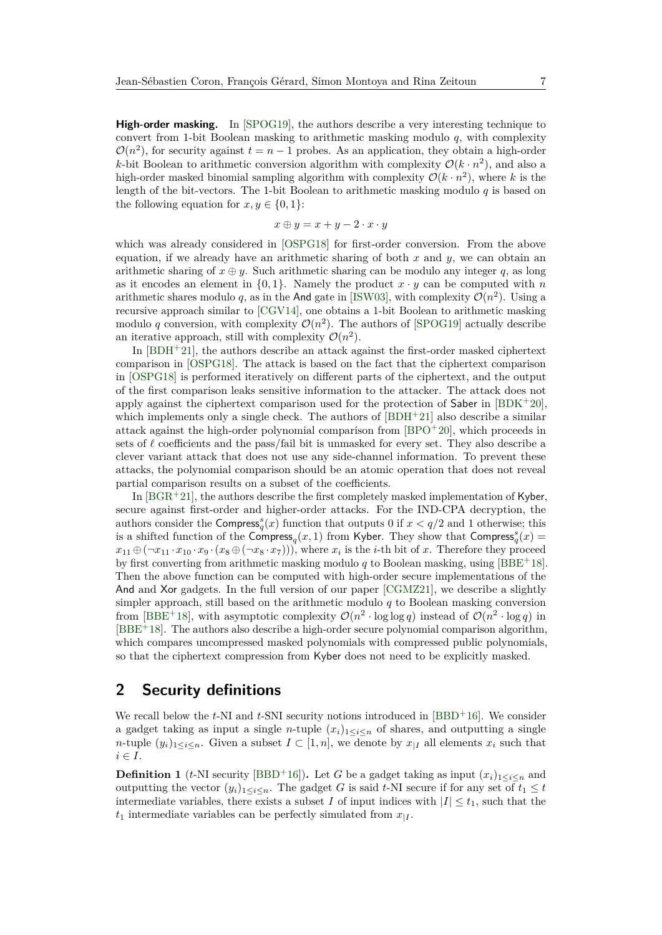**High-order masking.** In [\[SPOG19\]](#page-39-2), the authors describe a very interesting technique to convert from 1-bit Boolean masking to arithmetic masking modulo *q*, with complexity  $\mathcal{O}(n^2)$ , for security against  $t = n - 1$  probes. As an application, they obtain a high-order *k*-bit Boolean to arithmetic conversion algorithm with complexity  $\mathcal{O}(k \cdot n^2)$ , and also a high-order masked binomial sampling algorithm with complexity  $\mathcal{O}(k \cdot n^2)$ , where k is the length of the bit-vectors. The 1-bit Boolean to arithmetic masking modulo *q* is based on the following equation for  $x, y \in \{0, 1\}$ :

$$
x\oplus y=x+y-2\cdot x\cdot y
$$

which was already considered in [\[OSPG18\]](#page-38-7) for first-order conversion. From the above equation, if we already have an arithmetic sharing of both *x* and *y*, we can obtain an arithmetic sharing of  $x \oplus y$ . Such arithmetic sharing can be modulo any integer q, as long as it encodes an element in  $\{0,1\}$ . Namely the product  $x \cdot y$  can be computed with *n* arithmetic shares modulo q, as in the And gate in [\[ISW03\]](#page-37-2), with complexity  $\mathcal{O}(n^2)$ . Using a recursive approach similar to [\[CGV14\]](#page-36-7), one obtains a 1-bit Boolean to arithmetic masking modulo q conversion, with complexity  $\mathcal{O}(n^2)$ . The authors of [\[SPOG19\]](#page-39-2) actually describe an iterative approach, still with complexity  $\mathcal{O}(n^2)$ .

In [\[BDH](#page-35-7)<sup>+</sup>21], the authors describe an attack against the first-order masked ciphertext comparison in [\[OSPG18\]](#page-38-7). The attack is based on the fact that the ciphertext comparison in [\[OSPG18\]](#page-38-7) is performed iteratively on different parts of the ciphertext, and the output of the first comparison leaks sensitive information to the attacker. The attack does not apply against the ciphertext comparison used for the protection of Saber in [\[BDK](#page-35-6)<sup>+</sup>20], which implements only a single check. The authors of  $[BDH^+21]$  $[BDH^+21]$  also describe a similar attack against the high-order polynomial comparison from  $[BPO+20]$  $[BPO+20]$ , which proceeds in sets of  $\ell$  coefficients and the pass/fail bit is unmasked for every set. They also describe a clever variant attack that does not use any side-channel information. To prevent these attacks, the polynomial comparison should be an atomic operation that does not reveal partial comparison results on a subset of the coefficients.

In  $[BGR^+21]$  $[BGR^+21]$ , the authors describe the first completely masked implementation of Kyber, secure against first-order and higher-order attacks. For the IND-CPA decryption, the authors consider the Compress<sub>q</sub><sup> $q(x)$ </sup> function that outputs 0 if  $x < q/2$  and 1 otherwise; this is a shifted function of the Compress<sub>q</sub>(*x*, 1) from Kyber. They show that Compress<sub>q</sub><sup>*(x)*</sup>) =  $x_{11} \oplus (\neg x_{11} \cdot x_{10} \cdot x_9 \cdot (x_8 \oplus (\neg x_8 \cdot x_7)))$ , where  $x_i$  is the *i*-th bit of *x*. Therefore they proceed by first converting from arithmetic masking modulo *q* to Boolean masking, using [\[BBE](#page-35-4)<sup>+</sup>18]. Then the above function can be computed with high-order secure implementations of the And and Xor gadgets. In the full version of our paper [\[CGMZ21\]](#page-36-12), we describe a slightly simpler approach, still based on the arithmetic modulo *q* to Boolean masking conversion from [\[BBE](#page-35-4)<sup>+</sup>18], with asymptotic complexity  $\mathcal{O}(n^2 \cdot \log \log q)$  instead of  $\mathcal{O}(n^2 \cdot \log q)$  in  $[BBE^+18]$  $[BBE^+18]$ . The authors also describe a high-order secure polynomial comparison algorithm. which compares uncompressed masked polynomials with compressed public polynomials, so that the ciphertext compression from Kyber does not need to be explicitly masked.

## **2 Security definitions**

We recall below the  $t$ -NI and  $t$ -SNI security notions introduced in [\[BBD](#page-35-2)<sup>+</sup>16]. We consider a gadget taking as input a single *n*-tuple  $(x_i)_{1 \leq i \leq n}$  of shares, and outputting a single *n*-tuple  $(y_i)_{1 \leq i \leq n}$ . Given a subset  $I \subset [1, n]$ , we denote by  $x_{|I}$  all elements  $x_i$  such that  $i \in I$ .

**Definition 1** (*t*-NI security [\[BBD](#page-35-2)<sup>+</sup>16]). Let *G* be a gadget taking as input  $(x_i)_{1 \leq i \leq n}$  and outputting the vector  $(y_i)_{1 \leq i \leq n}$ . The gadget *G* is said *t*-NI secure if for any set of  $t_1 \leq t$ intermediate variables, there exists a subset *I* of input indices with  $|I| \le t_1$ , such that the  $t_1$  intermediate variables can be perfectly simulated from  $x_{|I}$ .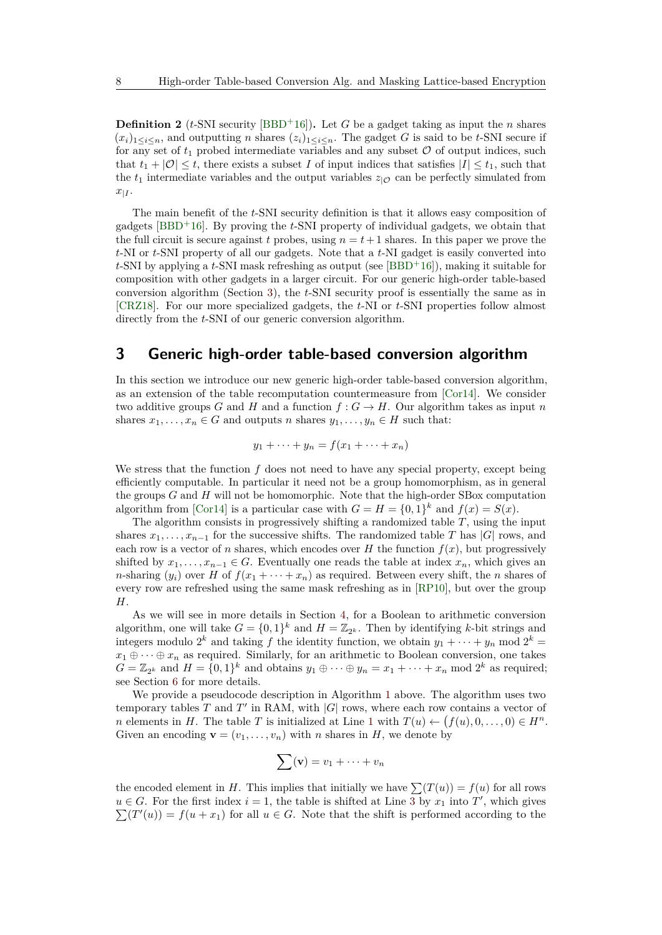<span id="page-7-1"></span>**Definition 2** (*t*-SNI security [\[BBD](#page-35-2)<sup>+</sup>16]). Let *G* be a gadget taking as input the *n* shares  $(x_i)_{1 \leq i \leq n}$ , and outputting *n* shares  $(z_i)_{1 \leq i \leq n}$ . The gadget *G* is said to be *t*-SNI secure if for any set of  $t_1$  probed intermediate variables and any subset  $\mathcal O$  of output indices, such that  $t_1 + |O| \leq t$ , there exists a subset *I* of input indices that satisfies  $|I| \leq t_1$ , such that the  $t_1$  intermediate variables and the output variables  $z_{\vert \mathcal{O}}$  can be perfectly simulated from  $x_{|I}$ .

The main benefit of the *t*-SNI security definition is that it allows easy composition of gadgets [\[BBD](#page-35-2)<sup>+</sup>16]. By proving the *t*-SNI property of individual gadgets, we obtain that the full circuit is secure against *t* probes, using  $n = t + 1$  shares. In this paper we prove the *t*-NI or *t*-SNI property of all our gadgets. Note that a *t*-NI gadget is easily converted into *t*-SNI by applying a *t*-SNI mask refreshing as output (see [\[BBD](#page-35-2)<sup>+</sup>16]), making it suitable for composition with other gadgets in a larger circuit. For our generic high-order table-based conversion algorithm (Section [3\)](#page-7-0), the *t*-SNI security proof is essentially the same as in [\[CRZ18\]](#page-36-10). For our more specialized gadgets, the *t*-NI or *t*-SNI properties follow almost directly from the *t*-SNI of our generic conversion algorithm.

## <span id="page-7-0"></span>**3 Generic high-order table-based conversion algorithm**

In this section we introduce our new generic high-order table-based conversion algorithm, as an extension of the table recomputation countermeasure from [\[Cor14\]](#page-36-9). We consider two additive groups *G* and *H* and a function  $f: G \to H$ . Our algorithm takes as input *n* shares  $x_1, \ldots, x_n \in G$  and outputs *n* shares  $y_1, \ldots, y_n \in H$  such that:

$$
y_1 + \dots + y_n = f(x_1 + \dots + x_n)
$$

We stress that the function f does not need to have any special property, except being efficiently computable. In particular it need not be a group homomorphism, as in general the groups *G* and *H* will not be homomorphic. Note that the high-order SBox computation algorithm from [\[Cor14\]](#page-36-9) is a particular case with  $G = H = \{0, 1\}^k$  and  $f(x) = S(x)$ .

The algorithm consists in progressively shifting a randomized table *T*, using the input shares  $x_1, \ldots, x_{n-1}$  for the successive shifts. The randomized table *T* has |*G*| rows, and each row is a vector of *n* shares, which encodes over *H* the function  $f(x)$ , but progressively shifted by  $x_1, \ldots, x_{n-1} \in G$ . Eventually one reads the table at index  $x_n$ , which gives an *n*-sharing  $(y_i)$  over *H* of  $f(x_1 + \cdots + x_n)$  as required. Between every shift, the *n* shares of every row are refreshed using the same mask refreshing as in [\[RP10\]](#page-38-4), but over the group *H*.

As we will see in more details in Section [4,](#page-9-1) for a Boolean to arithmetic conversion algorithm, one will take  $G = \{0,1\}^k$  and  $H = \mathbb{Z}_{2^k}$ . Then by identifying k-bit strings and integers modulo  $2^k$  and taking f the identity function, we obtain  $y_1 + \cdots + y_n$  mod  $2^k =$  $x_1 \oplus \cdots \oplus x_n$  as required. Similarly, for an arithmetic to Boolean conversion, one takes  $G = \mathbb{Z}_{2^k}$  and  $H = \{0,1\}^k$  and obtains  $y_1 \oplus \cdots \oplus y_n = x_1 + \cdots + x_n \mod 2^k$  as required; see Section [6](#page-16-0) for more details.

We provide a pseudocode description in Algorithm [1](#page-8-0) above. The algorithm uses two temporary tables  $T$  and  $T'$  in RAM, with  $|G|$  rows, where each row contains a vector of *n* elements in *H*. The table *T* is initialized at Line [1](#page-8-0) with  $T(u) \leftarrow (f(u), 0, \ldots, 0) \in H^n$ . Given an encoding  $\mathbf{v} = (v_1, \ldots, v_n)$  with *n* shares in *H*, we denote by

$$
\sum(\mathbf{v})=v_1+\cdots+v_n
$$

the encoded element in *H*. This implies that initially we have  $\sum (T(u)) = f(u)$  for all rows  $u \in G$ . For the first index  $i = 1$ , the table is shifted at Line  $\overline{3}$  $\overline{3}$  $\overline{3}$  by  $x_1$  into  $T'$ , which gives  $\sum(T'(u)) = f(u + x_1)$  for all  $u \in G$ . Note that the shift is performed according to the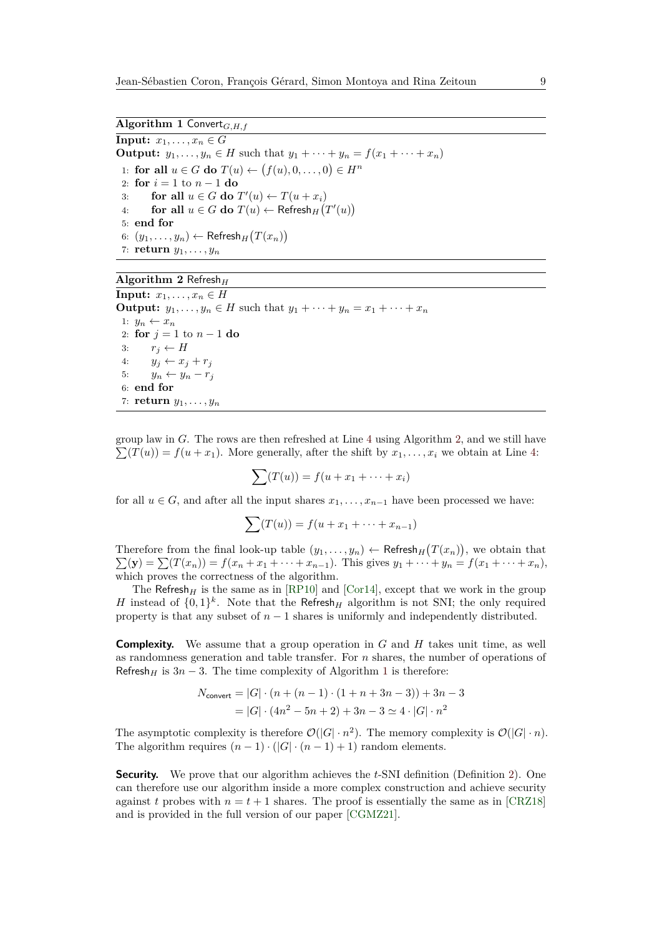<span id="page-8-0"></span>**Input:**  $x_1, \ldots, x_n \in G$ **Output:**  $y_1, ..., y_n \in H$  such that  $y_1 + ... + y_n = f(x_1 + ... + x_n)$ 1: **for all**  $u \in G$  **do**  $T(u) \leftarrow (f(u), 0, \ldots, 0) \in H^n$ 2: **for** *i* = 1 to *n* − 1 **do** 3: **for all**  $u \in G$  **do**  $T'(u) \leftarrow T(u + x_i)$ 4: **for all**  $u \in G$  **do**  $T(u) \leftarrow$  Refresh<sub>H</sub> $(T'(u))$ 5: **end for** 6:  $(y_1, \ldots, y_n)$  ← Refresh<sub>*H*</sub></sub> $(T(x_n))$ 7: **return** *y*1*, . . . , y<sup>n</sup>*

#### <span id="page-8-1"></span>**Algorithm 2** Refresh*<sup>H</sup>*

**Input:**  $x_1, \ldots, x_n \in H$ **Output:**  $y_1, \ldots, y_n \in H$  such that  $y_1 + \cdots + y_n = x_1 + \cdots + x_n$ 1:  $y_n \leftarrow x_n$ 2: **for**  $j = 1$  to  $n - 1$  **do** 3:  $r_j \leftarrow H$ 4:  $y_j \leftarrow x_j + r_j$ 5:  $y_n \leftarrow y_n - r_j$ 6: **end for** 7: **return** *y*1*, . . . , y<sup>n</sup>*

group law in *G*. The rows are then refreshed at Line [4](#page-8-0) using Algorithm [2,](#page-8-1) and we still have  $\sum(T(u)) = f(u + x_1)$ . More generally, after the shift by  $x_1, \ldots, x_i$  we obtain at Line [4:](#page-8-0)

$$
\sum (T(u)) = f(u + x_1 + \dots + x_i)
$$

for all  $u \in G$ , and after all the input shares  $x_1, \ldots, x_{n-1}$  have been processed we have:

$$
\sum (T(u)) = f(u + x_1 + \dots + x_{n-1})
$$

Therefore from the final look-up table  $(y_1, \ldots, y_n) \leftarrow \mathsf{Refresh}_H(T(x_n))$ , we obtain that  $\sum(\mathbf{y}) = \sum(T(x_n)) = f(x_n + x_1 + \cdots + x_{n-1})$ . This gives  $y_1 + \cdots + y_n = f(x_1 + \cdots + x_n)$ , which proves the correctness of the algorithm.

The Refresh<sub>H</sub> is the same as in [\[RP10\]](#page-38-4) and [\[Cor14\]](#page-36-9), except that we work in the group *H* instead of  $\{0,1\}^k$ . Note that the Refresh<sub>H</sub> algorithm is not SNI; the only required property is that any subset of  $n-1$  shares is uniformly and independently distributed.

**Complexity.** We assume that a group operation in *G* and *H* takes unit time, as well as randomness generation and table transfer. For *n* shares, the number of operations of Refresh<sub>H</sub> is  $3n - 3$ . The time complexity of Algorithm [1](#page-8-0) is therefore:

$$
N_{\text{convert}} = |G| \cdot (n + (n - 1) \cdot (1 + n + 3n - 3)) + 3n - 3
$$

$$
= |G| \cdot (4n^2 - 5n + 2) + 3n - 3 \simeq 4 \cdot |G| \cdot n^2
$$

The asymptotic complexity is therefore  $\mathcal{O}(|G| \cdot n^2)$ . The memory complexity is  $\mathcal{O}(|G| \cdot n)$ . The algorithm requires  $(n-1) \cdot (|G| \cdot (n-1) + 1)$  random elements.

**Security.** We prove that our algorithm achieves the *t*-SNI definition (Definition [2\)](#page-7-1). One can therefore use our algorithm inside a more complex construction and achieve security against *t* probes with  $n = t + 1$  shares. The proof is essentially the same as in [\[CRZ18\]](#page-36-10) and is provided in the full version of our paper [\[CGMZ21\]](#page-36-12).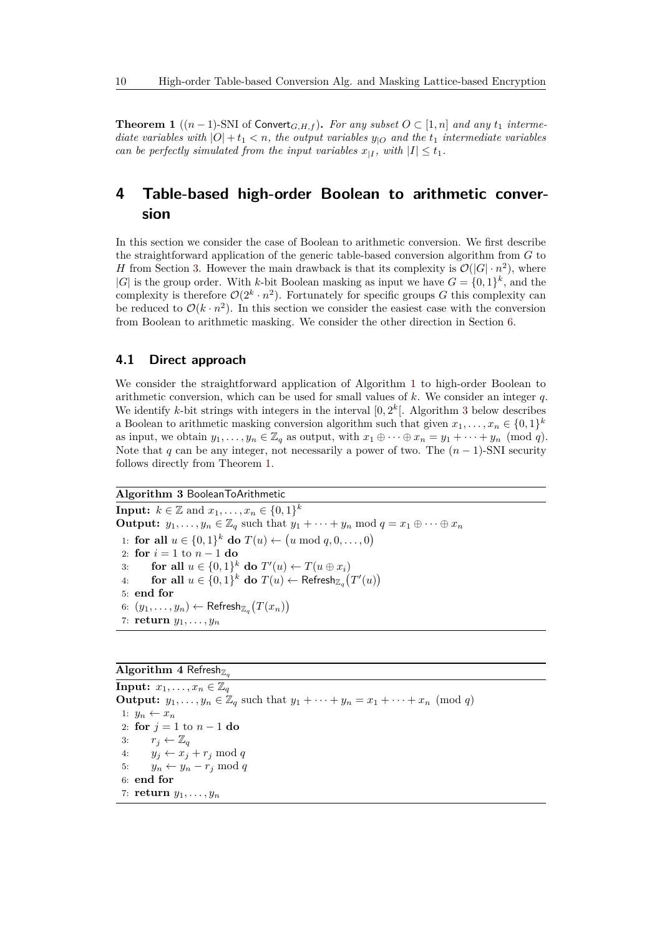<span id="page-9-2"></span>**Theorem 1** (( $n-1$ )-SNI of Convert<sub>*G,H,f*</sub>). *For any subset O* ⊂ [1, *n*] *and any t*<sub>1</sub> *intermediate variables with*  $|O| + t_1 < n$ *, the output variables*  $y_{|O}$  *and the*  $t_1$  *intermediate variables can be perfectly simulated from the input variables*  $x_{|I}$ , with  $|I| \le t_1$ .

## <span id="page-9-1"></span>**4 Table-based high-order Boolean to arithmetic conversion**

In this section we consider the case of Boolean to arithmetic conversion. We first describe the straightforward application of the generic table-based conversion algorithm from *G* to *H* from Section [3.](#page-7-0) However the main drawback is that its complexity is  $\mathcal{O}(|G| \cdot n^2)$ , where  $|G|$  is the group order. With *k*-bit Boolean masking as input we have  $G = \{0, 1\}^k$ , and the complexity is therefore  $\mathcal{O}(2^k \cdot n^2)$ . Fortunately for specific groups *G* this complexity can be reduced to  $\mathcal{O}(k \cdot n^2)$ . In this section we consider the easiest case with the conversion from Boolean to arithmetic masking. We consider the other direction in Section [6.](#page-16-0)

## <span id="page-9-3"></span>**4.1 Direct approach**

We consider the straightforward application of Algorithm [1](#page-8-0) to high-order Boolean to arithmetic conversion, which can be used for small values of *k*. We consider an integer *q*. We identify *k*-bit strings with integers in the interval  $[0, 2^k]$ . Algorithm [3](#page-9-0) below describes a Boolean to arithmetic masking conversion algorithm such that given  $x_1, \ldots, x_n \in \{0, 1\}^k$ as input, we obtain  $y_1, \ldots, y_n \in \mathbb{Z}_q$  as output, with  $x_1 \oplus \cdots \oplus x_n = y_1 + \cdots + y_n \pmod{q}$ . Note that *q* can be any integer, not necessarily a power of two. The  $(n-1)$ -SNI security follows directly from Theorem [1.](#page-9-2)

### <span id="page-9-0"></span>**Algorithm 3** BooleanToArithmetic

**Input:**  $k \in \mathbb{Z}$  and  $x_1, ..., x_n \in \{0, 1\}^k$ **Output:**  $y_1, \ldots, y_n \in \mathbb{Z}_q$  such that  $y_1 + \cdots + y_n \mod q = x_1 \oplus \cdots \oplus x_n$ 1: **for all**  $u \in \{0, 1\}^k$  **do**  $T(u)$  ←  $(u \mod q, 0, \ldots, 0)$ 2: **for**  $i = 1$  to  $n - 1$  **do** 3: **for all**  $u \in \{0, 1\}^k$  **do**  $T'(u) \leftarrow T(u \oplus x_i)$ 4: **for all**  $u \in \{0,1\}^k$  **do**  $T(u) \leftarrow \text{Refresh}_{\mathbb{Z}_q}(T'(u))$ 5: **end for**  $6: (y_1, \ldots, y_n) \leftarrow \mathsf{Referencesh}_{\mathbb{Z}_q}\big(T(x_n)\big)$ 7: **return** *y*1*, . . . , y<sup>n</sup>*

### **Algorithm 4** Refresh $\mathbb{Z}_q$

**Input:**  $x_1, \ldots, x_n \in \mathbb{Z}_q$ **Output:**  $y_1, \ldots, y_n \in \mathbb{Z}_q$  such that  $y_1 + \cdots + y_n = x_1 + \cdots + x_n \pmod{q}$ 1:  $y_n \leftarrow x_n$ 2: **for** *j* = 1 to *n* − 1 **do** 3:  $r_j \leftarrow \mathbb{Z}_q$ 4:  $y_j \leftarrow x_j + r_j \mod q$ 5:  $y_n \leftarrow y_n - r_j \mod q$ 6: **end for** 7: **return** *y*1*, . . . , y<sup>n</sup>*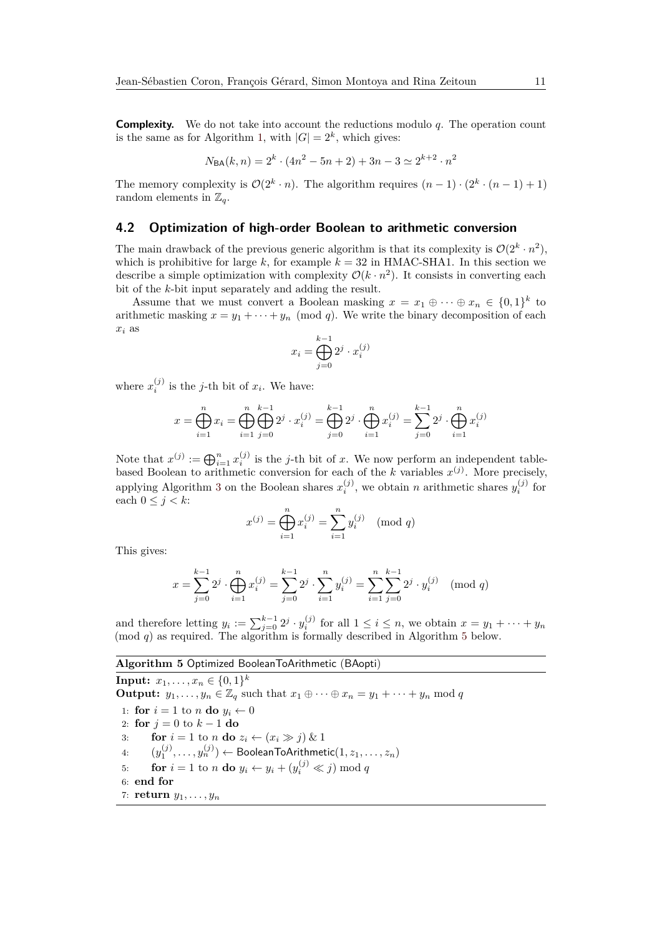**Complexity.** We do not take into account the reductions modulo *q*. The operation count is the same as for Algorithm [1,](#page-8-0) with  $|G| = 2<sup>k</sup>$ , which gives:

$$
N_{\text{BA}}(k, n) = 2^k \cdot (4n^2 - 5n + 2) + 3n - 3 \simeq 2^{k+2} \cdot n^2
$$

The memory complexity is  $\mathcal{O}(2^k \cdot n)$ . The algorithm requires  $(n-1) \cdot (2^k \cdot (n-1) + 1)$ random elements in  $\mathbb{Z}_q$ .

### <span id="page-10-1"></span>**4.2 Optimization of high-order Boolean to arithmetic conversion**

The main drawback of the previous generic algorithm is that its complexity is  $\mathcal{O}(2^k \cdot n^2)$ , which is prohibitive for large k, for example  $k = 32$  in HMAC-SHA1. In this section we describe a simple optimization with complexity  $\mathcal{O}(k \cdot n^2)$ . It consists in converting each bit of the *k*-bit input separately and adding the result.

Assume that we must convert a Boolean masking  $x = x_1 \oplus \cdots \oplus x_n \in \{0,1\}^k$  to arithmetic masking  $x = y_1 + \cdots + y_n \pmod{q}$ . We write the binary decomposition of each *x<sup>i</sup>* as

$$
x_i = \bigoplus_{j=0}^{k-1} 2^j \cdot x_i^{(j)}
$$

where  $x_i^{(j)}$  is the *j*-th bit of  $x_i$ . We have:

$$
x = \bigoplus_{i=1}^{n} x_i = \bigoplus_{i=1}^{n} \bigoplus_{j=0}^{k-1} 2^j \cdot x_i^{(j)} = \bigoplus_{j=0}^{k-1} 2^j \cdot \bigoplus_{i=1}^{n} x_i^{(j)} = \sum_{j=0}^{k-1} 2^j \cdot \bigoplus_{i=1}^{n} x_i^{(j)}
$$

Note that  $x^{(j)} := \bigoplus_{i=1}^n x_i^{(j)}$  is the *j*-th bit of *x*. We now perform an independent tablebased Boolean to arithmetic conversion for each of the *k* variables  $x^{(j)}$ . More precisely, applying Algorithm [3](#page-9-0) on the Boolean shares  $x_i^{(j)}$ , we obtain *n* arithmetic shares  $y_i^{(j)}$  for each  $0 \leq j < k$ :

$$
x^{(j)} = \bigoplus_{i=1}^{n} x_i^{(j)} = \sum_{i=1}^{n} y_i^{(j)} \pmod{q}
$$

This gives:

$$
x = \sum_{j=0}^{k-1} 2^j \cdot \bigoplus_{i=1}^n x_i^{(j)} = \sum_{j=0}^{k-1} 2^j \cdot \sum_{i=1}^n y_i^{(j)} = \sum_{i=1}^n \sum_{j=0}^{k-1} 2^j \cdot y_i^{(j)} \pmod{q}
$$

and therefore letting  $y_i := \sum_{j=0}^{k-1} 2^j \cdot y_i^{(j)}$  for all  $1 \le i \le n$ , we obtain  $x = y_1 + \cdots + y_n$ (mod *q*) as required. The algorithm is formally described in Algorithm [5](#page-10-0) below.

#### <span id="page-10-0"></span>**Algorithm 5** Optimized BooleanToArithmetic (BAopti)

**Input:**  $x_1, \ldots, x_n \in \{0, 1\}^k$ **Output:**  $y_1, \ldots, y_n \in \mathbb{Z}_q$  such that  $x_1 \oplus \cdots \oplus x_n = y_1 + \cdots + y_n \mod q$ 1: **for**  $i = 1$  to *n* **do**  $y_i \leftarrow 0$ 2: **for** *j* = 0 to *k* − 1 **do** 3: **for**  $i = 1$  to *n* **do**  $z_i \leftarrow (x_i \gg j) \& 1$ 4:  $(y_1^{(j)}, \ldots, y_n^{(j)}) \leftarrow \textsf{BooleanToArithmetic}(1, z_1, \ldots, z_n)$ 5: **for**  $i = 1$  to *n* **do**  $y_i \leftarrow y_i + (y_i^{(j)} \ll j) \text{ mod } q$ 6: **end for** 7: **return** *y*1*, . . . , y<sup>n</sup>*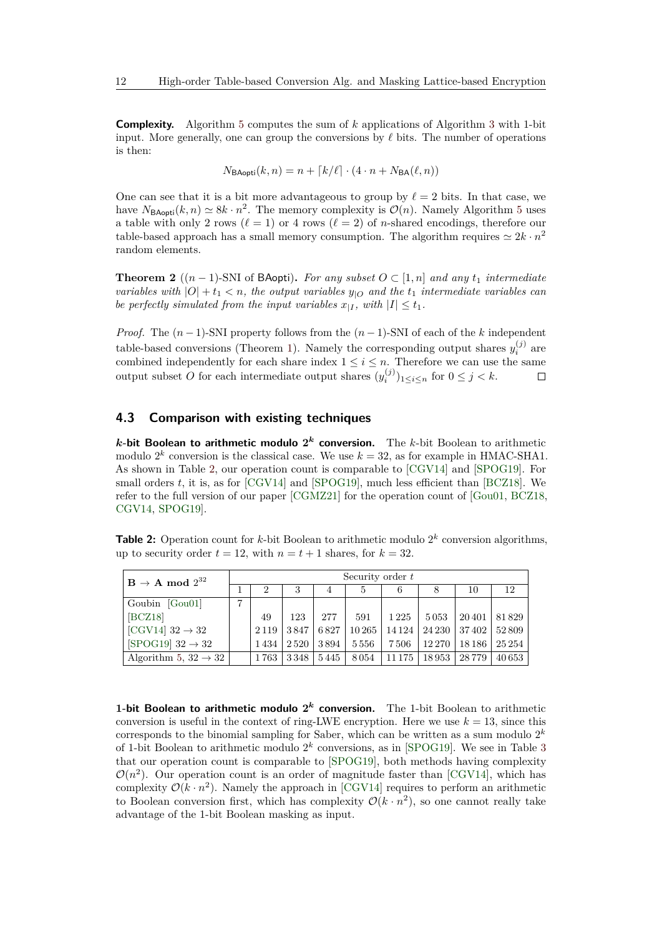**Complexity.** Algorithm [5](#page-10-0) computes the sum of *k* applications of Algorithm [3](#page-9-0) with 1-bit input. More generally, one can group the conversions by  $\ell$  bits. The number of operations is then:

$$
N_{\text{BAopti}}(k, n) = n + \lceil k/\ell \rceil \cdot (4 \cdot n + N_{\text{BA}}(\ell, n))
$$

One can see that it is a bit more advantageous to group by  $\ell = 2$  bits. In that case, we have  $N_{\text{BAopti}}(k, n) \simeq 8k \cdot n^2$ . The memory complexity is  $\mathcal{O}(n)$ . Namely Algorithm [5](#page-10-0) uses a table with only 2 rows ( $\ell = 1$ ) or 4 rows ( $\ell = 2$ ) of *n*-shared encodings, therefore our table-based approach has a small memory consumption. The algorithm requires  $\simeq 2k \cdot n^2$ random elements.

**Theorem 2** ( $(n-1)$ -SNI of BAopti). *For any subset*  $O \subset [1, n]$  *and any*  $t_1$  *intermediate variables with*  $|O| + t_1 < n$ , the output variables  $y_{|O}$  and the  $t_1$  *intermediate variables can be perfectly simulated from the input variables*  $x_{|I}$ , with  $|I| \le t_1$ .

*Proof.* The  $(n-1)$ -SNI property follows from the  $(n-1)$ -SNI of each of the *k* independent table-based conversions (Theorem [1\)](#page-9-2). Namely the corresponding output shares  $y_i^{(j)}$  are *i* combined independently for each share index 1 ≤ *i* ≤ *n*. Therefore we can use the same output subset *O* for each intermediate output shares  $(y_i^{(j)})_{1 \le i \le n}$  for  $0 \le j < k$ .  $\Box$ 

## <span id="page-11-1"></span>**4.3 Comparison with existing techniques**

*k***-bit Boolean to arithmetic modulo 2** *<sup>k</sup>* **conversion.** The *k*-bit Boolean to arithmetic modulo  $2^k$  conversion is the classical case. We use  $k = 32$ , as for example in HMAC-SHA1. As shown in Table [2,](#page-11-0) our operation count is comparable to [\[CGV14\]](#page-36-7) and [\[SPOG19\]](#page-39-2). For small orders *t*, it is, as for [\[CGV14\]](#page-36-7) and [\[SPOG19\]](#page-39-2), much less efficient than [\[BCZ18\]](#page-35-5). We refer to the full version of our paper [\[CGMZ21\]](#page-36-12) for the operation count of [\[Gou01,](#page-37-3) [BCZ18,](#page-35-5) [CGV14,](#page-36-7) [SPOG19\]](#page-39-2).

<span id="page-11-0"></span>**Table 2:** Operation count for *k*-bit Boolean to arithmetic modulo  $2^k$  conversion algorithms, up to security order  $t = 12$ , with  $n = t + 1$  shares, for  $k = 32$ .

| $B \rightarrow A \mod 2^{32}$       |   | Security order $t$ |      |      |        |         |        |         |         |  |  |  |
|-------------------------------------|---|--------------------|------|------|--------|---------|--------|---------|---------|--|--|--|
|                                     |   | 2                  | 3    | 4    | 5      | 6       | 8      | 10      | 12      |  |  |  |
| Goubin [Gou01]                      | ⇁ |                    |      |      |        |         |        |         |         |  |  |  |
| [BCZ18]                             |   | 49                 | 123  | 277  | 591    | 1 2 2 5 | 5053   | 20 401  | 81829   |  |  |  |
| $\vert$ [CGV14] 32 $\rightarrow$ 32 |   | 2 1 1 9            | 3847 | 6827 | 10 265 | 14 1 24 | 24 230 | 37402   | 52809   |  |  |  |
| $[SPOG19]$ 32 $\rightarrow$ 32      |   | 1434               | 2520 | 3894 | 5556   | 7506    | 12 270 | 18 18 6 | 25 25 4 |  |  |  |
| Algorithm 5, $32 \rightarrow 32$    |   | 1763               | 3348 | 5445 | 8054   | 11 175  | 18953  | 28 7 79 | 40 653  |  |  |  |

**1-bit Boolean to arithmetic modulo 2** *<sup>k</sup>* **conversion.** The 1-bit Boolean to arithmetic conversion is useful in the context of ring-LWE encryption. Here we use  $k = 13$ , since this corresponds to the binomial sampling for Saber, which can be written as a sum modulo  $2^k$ of 1-bit Boolean to arithmetic modulo 2 *k* conversions, as in [\[SPOG19\]](#page-39-2). We see in Table [3](#page-12-1) that our operation count is comparable to [\[SPOG19\]](#page-39-2), both methods having complexity  $\mathcal{O}(n^2)$ . Our operation count is an order of magnitude faster than [\[CGV14\]](#page-36-7), which has complexity  $\mathcal{O}(k \cdot n^2)$ . Namely the approach in [\[CGV14\]](#page-36-7) requires to perform an arithmetic to Boolean conversion first, which has complexity  $\mathcal{O}(k \cdot n^2)$ , so one cannot really take advantage of the 1-bit Boolean masking as input.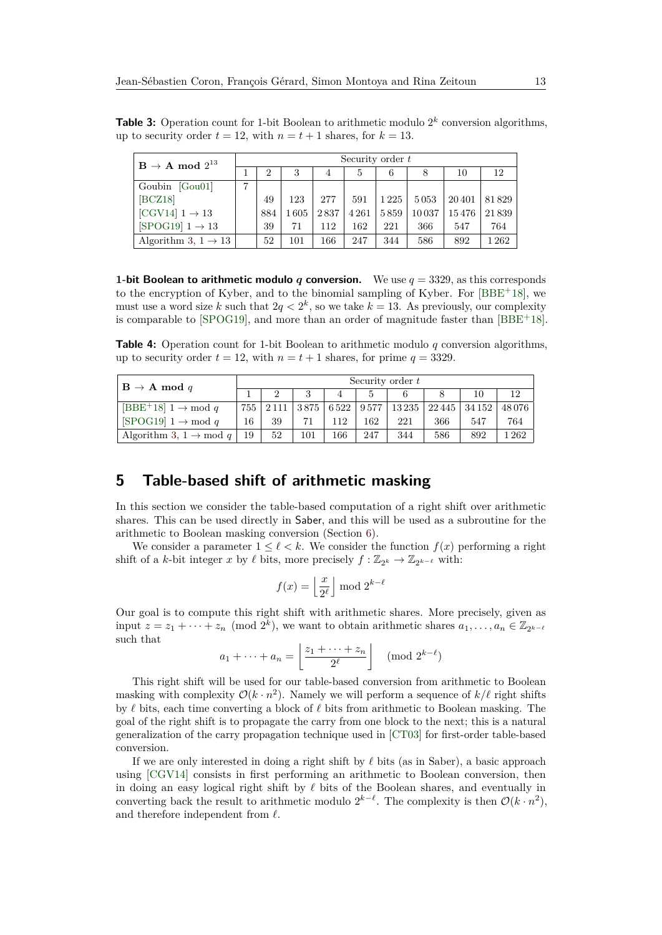<span id="page-12-1"></span>**Table 3:** Operation count for 1-bit Boolean to arithmetic modulo  $2^k$  conversion algorithms, up to security order  $t = 12$ , with  $n = t + 1$  shares, for  $k = 13$ .

| $\mathrm{B} \rightarrow \mathrm{A} \bmod 2^{13}$ | Security order $t$ |                |      |      |      |         |       |       |       |  |
|--------------------------------------------------|--------------------|----------------|------|------|------|---------|-------|-------|-------|--|
|                                                  |                    | $\overline{2}$ | 3    | 4    | 5    | 6       |       | 10    | 12    |  |
| Goubin [Gou01]                                   |                    |                |      |      |      |         |       |       |       |  |
| [BCZ18]                                          |                    | 49             | 123  | 277  | 591  | 1 2 2 5 | 5053  | 20401 | 81829 |  |
| [CGV14] $1 \rightarrow 13$                       |                    | 884            | 1605 | 2837 | 4261 | 5859    | 10037 | 15476 | 21839 |  |
| $[SPOG19]$ 1 $\rightarrow$ 13                    |                    | 39             | 71   | 112  | 162  | 221     | 366   | 547   | 764   |  |
| Algorithm 3, $1 \rightarrow 13$                  |                    | 52             | 101  | 166  | 247  | 344     | 586   | 892   | 1262  |  |

**1-bit Boolean to arithmetic modulo** *q* **conversion.** We use  $q = 3329$ , as this corresponds to the encryption of Kyber, and to the binomial sampling of Kyber. For [\[BBE](#page-35-4)<sup>+</sup>18], we must use a word size k such that  $2q < 2^k$ , so we take  $k = 13$ . As previously, our complexity is comparable to [\[SPOG19\]](#page-39-2), and more than an order of magnitude faster than [\[BBE](#page-35-4)<sup>+</sup>18].

<span id="page-12-2"></span>**Table 4:** Operation count for 1-bit Boolean to arithmetic modulo *q* conversion algorithms, up to security order  $t = 12$ , with  $n = t + 1$  shares, for prime  $q = 3329$ .

| $B \rightarrow A \mod q$                            | Security order $t$ |    |     |     |     |     |     |                                                         |          |  |
|-----------------------------------------------------|--------------------|----|-----|-----|-----|-----|-----|---------------------------------------------------------|----------|--|
|                                                     |                    |    | 3   |     | .,  |     |     |                                                         |          |  |
| [BBE <sup>+</sup> 18] $1 \rightarrow \text{mod } q$ |                    |    |     |     |     |     |     | 755   2111   3875   6522   9577   13235   22445   34152 | 48076    |  |
| $[SPOG19]$ 1 $\rightarrow$ mod q                    | 16                 | 39 |     | 112 | 162 | 221 | 366 | 547                                                     | 764      |  |
| Algorithm 3, $1 \rightarrow \text{mod } q$          | 19                 | 52 | 101 | 166 | 247 | 344 | 586 | 892                                                     | $1\,262$ |  |

## <span id="page-12-0"></span>**5 Table-based shift of arithmetic masking**

In this section we consider the table-based computation of a right shift over arithmetic shares. This can be used directly in Saber, and this will be used as a subroutine for the arithmetic to Boolean masking conversion (Section [6\)](#page-16-0).

We consider a parameter  $1 \leq \ell \leq k$ . We consider the function  $f(x)$  performing a right shift of a *k*-bit integer *x* by  $\ell$  bits, more precisely  $f : \mathbb{Z}_{2^k} \to \mathbb{Z}_{2^{k-\ell}}$  with:

$$
f(x) = \left\lfloor \frac{x}{2^{\ell}} \right\rfloor \mod 2^{k-\ell}
$$

Our goal is to compute this right shift with arithmetic shares. More precisely, given as input  $z = z_1 + \cdots + z_n \pmod{2^k}$ , we want to obtain arithmetic shares  $a_1, \ldots, a_n \in \mathbb{Z}_{2^{k-\ell}}$ such that

$$
a_1 + \dots + a_n = \left\lfloor \frac{z_1 + \dots + z_n}{2^{\ell}} \right\rfloor \pmod{2^{k-\ell}}
$$

This right shift will be used for our table-based conversion from arithmetic to Boolean masking with complexity  $\mathcal{O}(k \cdot n^2)$ . Namely we will perform a sequence of  $k/\ell$  right shifts by  $\ell$  bits, each time converting a block of  $\ell$  bits from arithmetic to Boolean masking. The goal of the right shift is to propagate the carry from one block to the next; this is a natural generalization of the carry propagation technique used in [\[CT03\]](#page-36-5) for first-order table-based conversion.

If we are only interested in doing a right shift by  $\ell$  bits (as in Saber), a basic approach using [\[CGV14\]](#page-36-7) consists in first performing an arithmetic to Boolean conversion, then in doing an easy logical right shift by  $\ell$  bits of the Boolean shares, and eventually in converting back the result to arithmetic modulo  $2^{k-\ell}$ . The complexity is then  $\mathcal{O}(k \cdot n^2)$ , and therefore independent from  $\ell$ .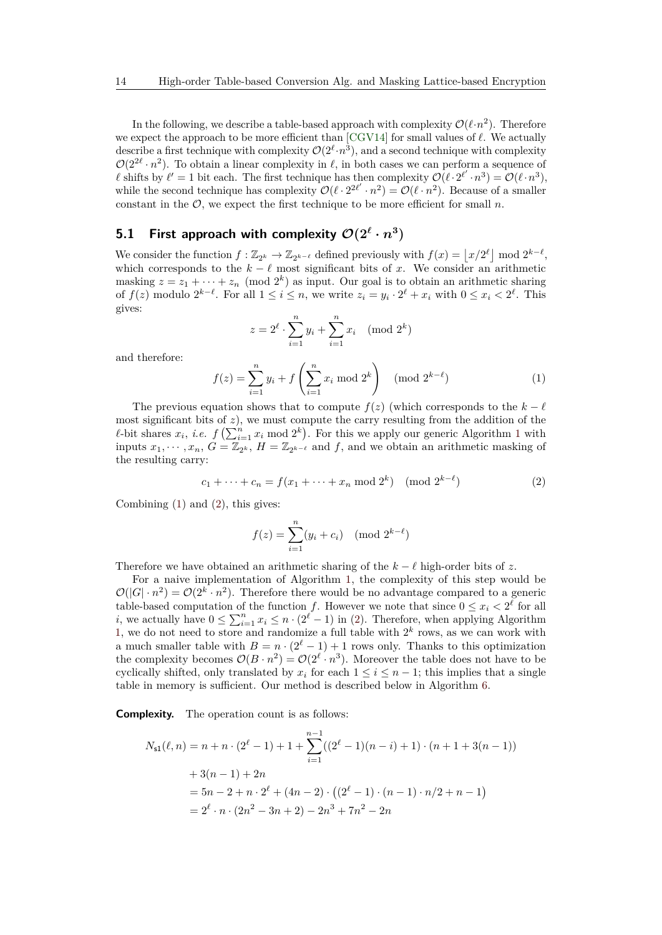In the following, we describe a table-based approach with complexity  $\mathcal{O}(\ell \cdot n^2)$ . Therefore we expect the approach to be more efficient than  $[CGV14]$  for small values of  $\ell$ . We actually describe a first technique with complexity  $\mathcal{O}(2^{\ell} \cdot n^3)$ , and a second technique with complexity  $\mathcal{O}(2^{2\ell} \cdot n^2)$ . To obtain a linear complexity in  $\ell$ , in both cases we can perform a sequence of l shifts by  $\ell' = 1$  bit each. The first technique has then complexity  $\mathcal{O}(\ell \cdot 2^{\ell'} \cdot n^3) = \mathcal{O}(\ell \cdot n^3)$ , while the second technique has complexity  $\mathcal{O}(\ell \cdot 2^{2\ell'} \cdot n^2) = \mathcal{O}(\ell \cdot n^2)$ . Because of a smaller constant in the  $\mathcal{O}$ , we expect the first technique to be more efficient for small  $n$ .

## **5.1 First approach with complexity**  $\mathcal{O}(2^{\ell} \cdot n^3)$

We consider the function  $f: \mathbb{Z}_{2^k} \to \mathbb{Z}_{2^{k-\ell}}$  defined previously with  $f(x) = \lfloor x/2^{\ell} \rfloor \mod 2^{k-\ell}$ , which corresponds to the  $k - \ell$  most significant bits of *x*. We consider an arithmetic masking  $z = z_1 + \cdots + z_n \pmod{2^k}$  as input. Our goal is to obtain an arithmetic sharing of  $f(z)$  modulo  $2^{k-\ell}$ . For all  $1 \leq i \leq n$ , we write  $z_i = y_i \cdot 2^{\ell} + x_i$  with  $0 \leq x_i < 2^{\ell}$ . This gives:

$$
z = 2^{\ell} \cdot \sum_{i=1}^{n} y_i + \sum_{i=1}^{n} x_i \pmod{2^k}
$$

and therefore:

<span id="page-13-0"></span>
$$
f(z) = \sum_{i=1}^{n} y_i + f\left(\sum_{i=1}^{n} x_i \bmod 2^k\right) \pmod{2^{k-\ell}}
$$
 (1)

The previous equation shows that to compute  $f(z)$  (which corresponds to the  $k - \ell$ most significant bits of  $z$ ), we must compute the carry resulting from the addition of the  $\ell$ -bit shares  $x_i$ , *i.e.*  $f\left(\sum_{i=1}^n x_i \mod 2^k\right)$  $f\left(\sum_{i=1}^n x_i \mod 2^k\right)$  $f\left(\sum_{i=1}^n x_i \mod 2^k\right)$ . For this we apply our generic Algorithm 1 with inputs  $x_1, \dots, x_n, G = \mathbb{Z}_{2^k}, H = \mathbb{Z}_{2^{k-\ell}}$  and f, and we obtain an arithmetic masking of the resulting carry:

<span id="page-13-1"></span>
$$
c_1 + \dots + c_n = f(x_1 + \dots + x_n \mod 2^k) \pmod{2^{k-\ell}}
$$
 (2)

Combining  $(1)$  and  $(2)$ , this gives:

$$
f(z) = \sum_{i=1}^{n} (y_i + c_i) \pmod{2^{k-\ell}}
$$

Therefore we have obtained an arithmetic sharing of the  $k - \ell$  high-order bits of *z*.

For a naive implementation of Algorithm [1,](#page-8-0) the complexity of this step would be  $\mathcal{O}(|G| \cdot n^2) = \mathcal{O}(2^k \cdot n^2)$ . Therefore there would be no advantage compared to a generic table-based computation of the function *f*. However we note that since  $0 \leq x_i < 2^{\ell}$  for all *i*, we actually have  $0 \le \sum_{i=1}^{n} x_i \le n \cdot (2^{\ell} - 1)$  in [\(2\)](#page-13-1). Therefore, when applying Algorithm [1,](#page-8-0) we do not need to store and randomize a full table with  $2<sup>k</sup>$  rows, as we can work with a much smaller table with  $B = n \cdot (2^{\ell} - 1) + 1$  rows only. Thanks to this optimization the complexity becomes  $\mathcal{O}(B \cdot n^2) = \mathcal{O}(2^{\ell} \cdot n^3)$ . Moreover the table does not have to be cyclically shifted, only translated by  $x_i$  for each  $1 \leq i \leq n-1$ ; this implies that a single table in memory is sufficient. Our method is described below in Algorithm [6.](#page-14-0)

**Complexity.** The operation count is as follows:

$$
N_{s1}(\ell, n) = n + n \cdot (2^{\ell} - 1) + 1 + \sum_{i=1}^{n-1} ((2^{\ell} - 1)(n - i) + 1) \cdot (n + 1 + 3(n - 1))
$$
  
+ 3(n - 1) + 2n  
= 5n - 2 + n \cdot 2^{\ell} + (4n - 2) \cdot ((2^{\ell} - 1) \cdot (n - 1) \cdot n/2 + n - 1)  
= 2^{\ell} \cdot n \cdot (2n^2 - 3n + 2) - 2n^3 + 7n^2 - 2n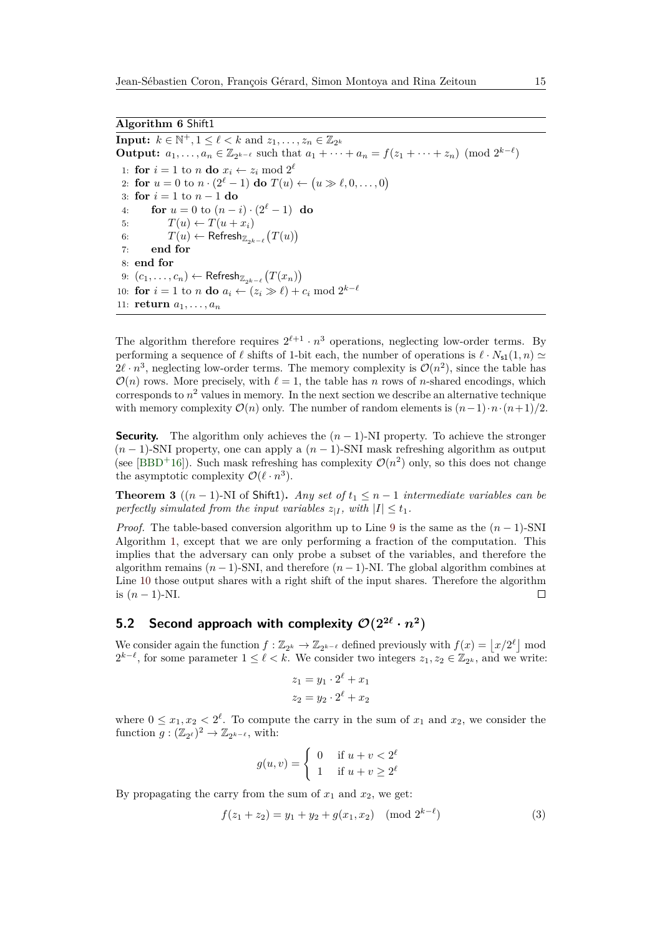<span id="page-14-0"></span>**Input:**  $k \in \mathbb{N}^+, 1 \leq \ell < k$  and  $z_1, \ldots, z_n \in \mathbb{Z}_{2^k}$ **Output:**  $a_1, ..., a_n \in \mathbb{Z}_{2^{k-\ell}}$  such that  $a_1 + \cdots + a_n = f(z_1 + \cdots + z_n) \pmod{2^{k-\ell}}$ 1: **for**  $i = 1$  to *n* **do**  $x_i \leftarrow z_i \mod 2^{\ell}$ 2: **for**  $u = 0$  to  $n \cdot (2^{\ell} - 1)$  **do**  $T(u) \leftarrow (u \gg \ell, 0, \ldots, 0)$ 3: **for**  $i = 1$  to  $n - 1$  **do** 4: **for**  $u = 0$  to  $(n - i) \cdot (2^{\ell} - 1)$  **do** 5:  $T(u) \leftarrow T(u + x_i)$ 6:  $T(u) \leftarrow \text{References} \mathsf{h}_{\mathbb{Z}_{2^{k-\ell}}}(T(u))$ 7: **end for** 8: **end for** 9:  $(c_1, \ldots, c_n)$  ← Refresh<sub> $\mathbb{Z}_{2^{k-\ell}}(T(x_n))$ </sub> 10: **for**  $i = 1$  to *n* **do**  $a_i \leftarrow (z_i \geq \ell) + c_i \mod 2^{k-\ell}$ 11: **return**  $a_1, \ldots, a_n$ 

The algorithm therefore requires  $2^{\ell+1} \cdot n^3$  operations, neglecting low-order terms. By performing a sequence of  $\ell$  shifts of 1-bit each, the number of operations is  $\ell \cdot N_{\rm sl}(1,n) \simeq$  $2\ell \cdot n^3$ , neglecting low-order terms. The memory complexity is  $\mathcal{O}(n^2)$ , since the table has  $\mathcal{O}(n)$  rows. More precisely, with  $\ell = 1$ , the table has *n* rows of *n*-shared encodings, which  $\alpha$  corresponds to  $n^2$  values in memory. In the next section we describe an alternative technique with memory complexity  $\mathcal{O}(n)$  only. The number of random elements is  $(n-1)\cdot n\cdot(n+1)/2$ .

**Security.** The algorithm only achieves the  $(n-1)$ -NI property. To achieve the stronger (*n* − 1)-SNI property, one can apply a (*n* − 1)-SNI mask refreshing algorithm as output (see [\[BBD](#page-35-2)<sup>+</sup>16]). Such mask refreshing has complexity  $\mathcal{O}(n^2)$  only, so this does not change the asymptotic complexity  $\mathcal{O}(\ell \cdot n^3)$ .

<span id="page-14-2"></span>**Theorem 3** (( $n-1$ )-NI of Shift1)**.** *Any set of*  $t_1 \leq n-1$  *intermediate variables can be perfectly simulated from the input variables*  $z_{|I}$ , with  $|I| \le t_1$ .

*Proof.* The table-based conversion algorithm up to Line [9](#page-14-0) is the same as the  $(n-1)$ -SNI Algorithm [1,](#page-8-0) except that we are only performing a fraction of the computation. This implies that the adversary can only probe a subset of the variables, and therefore the algorithm remains  $(n-1)$ -SNI, and therefore  $(n-1)$ -NI. The global algorithm combines at Line [10](#page-14-0) those output shares with a right shift of the input shares. Therefore the algorithm is  $(n-1)$ -NI.  $\Box$ 

## 5.2 Second approach with complexity  $\mathcal{O}(2^{2\ell} \cdot n^2)$

We consider again the function  $f: \mathbb{Z}_{2^k} \to \mathbb{Z}_{2^{k-\ell}}$  defined previously with  $f(x) = \lfloor x/2^{\ell} \rfloor \text{ mod}$  $2^{k-\ell}$ , for some parameter  $1 \leq \ell < k$ . We consider two integers  $z_1, z_2 \in \mathbb{Z}_{2^k}$ , and we write:

$$
z_1 = y_1 \cdot 2^{\ell} + x_1
$$

$$
z_2 = y_2 \cdot 2^{\ell} + x_2
$$

where  $0 \leq x_1, x_2 < 2^{\ell}$ . To compute the carry in the sum of  $x_1$  and  $x_2$ , we consider the function  $g: (\mathbb{Z}_{2^{\ell}})^2 \to \mathbb{Z}_{2^{k-\ell}}$ , with:

$$
g(u, v) = \begin{cases} 0 & \text{if } u + v < 2^{\ell} \\ 1 & \text{if } u + v \ge 2^{\ell} \end{cases}
$$

By propagating the carry from the sum of  $x_1$  and  $x_2$ , we get:

<span id="page-14-1"></span>
$$
f(z_1 + z_2) = y_1 + y_2 + g(x_1, x_2) \pmod{2^{k-\ell}}
$$
\n(3)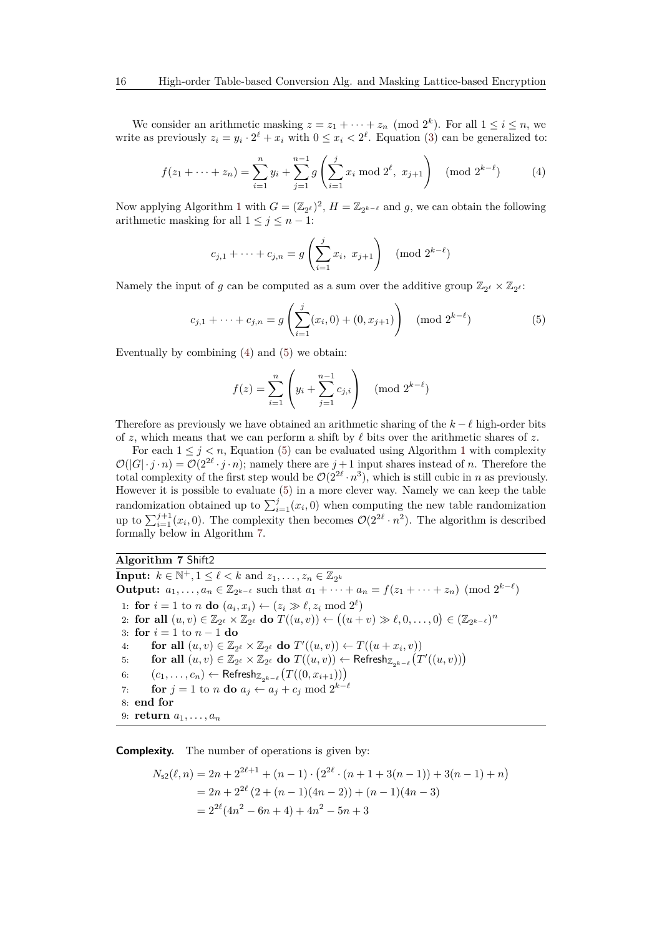We consider an arithmetic masking  $z = z_1 + \cdots + z_n \pmod{2^k}$ . For all  $1 \le i \le n$ , we write as previously  $z_i = y_i \cdot 2^{\ell} + x_i$  with  $0 \leq x_i < 2^{\ell}$ . Equation [\(3\)](#page-14-1) can be generalized to:

<span id="page-15-0"></span>
$$
f(z_1 + \dots + z_n) = \sum_{i=1}^n y_i + \sum_{j=1}^{n-1} g\left(\sum_{i=1}^j x_i \bmod 2^\ell, x_{j+1}\right) \pmod{2^{k-\ell}}
$$
(4)

Now applying Algorithm [1](#page-8-0) with  $G = (\mathbb{Z}_{2^{\ell}})^2$ ,  $H = \mathbb{Z}_{2^{k-\ell}}$  and g, we can obtain the following arithmetic masking for all  $1 \leq j \leq n - 1$ :

$$
c_{j,1} + \dots + c_{j,n} = g\left(\sum_{i=1}^j x_i, x_{j+1}\right) \pmod{2^{k-\ell}}
$$

Namely the input of *g* can be computed as a sum over the additive group  $\mathbb{Z}_{2^{\ell}} \times \mathbb{Z}_{2^{\ell}}$ :

<span id="page-15-1"></span>
$$
c_{j,1} + \dots + c_{j,n} = g\left(\sum_{i=1}^{j} (x_i, 0) + (0, x_{j+1})\right) \pmod{2^{k-\ell}}
$$
(5)

Eventually by combining [\(4\)](#page-15-0) and [\(5\)](#page-15-1) we obtain:

$$
f(z) = \sum_{i=1}^{n} \left( y_i + \sum_{j=1}^{n-1} c_{j,i} \right) \pmod{2^{k-\ell}}
$$

Therefore as previously we have obtained an arithmetic sharing of the  $k - \ell$  high-order bits of *z*, which means that we can perform a shift by  $\ell$  bits over the arithmetic shares of *z*.

For each  $1 \leq j \leq n$  $1 \leq j \leq n$ , Equation [\(5\)](#page-15-1) can be evaluated using Algorithm 1 with complexity  $\mathcal{O}(|G| \cdot j \cdot n) = \mathcal{O}(2^{2\ell} \cdot j \cdot n);$  namely there are  $j+1$  input shares instead of *n*. Therefore the total complexity of the first step would be  $\mathcal{O}(2^{2\ell} \cdot n^3)$ , which is still cubic in *n* as previously. However it is possible to evaluate [\(5\)](#page-15-1) in a more clever way. Namely we can keep the table randomization obtained up to  $\sum_{i=1}^{j}(x_i, 0)$  when computing the new table randomization up to  $\sum_{i=1}^{j+1} (x_i, 0)$ . The complexity then becomes  $\mathcal{O}(2^{2\ell} \cdot n^2)$ . The algorithm is described formally below in Algorithm [7.](#page-15-2)

#### <span id="page-15-2"></span>**Algorithm 7** Shift2

**Input:**  $k \in \mathbb{N}^+, 1 \leq \ell < k$  and  $z_1, \ldots, z_n \in \mathbb{Z}_{2^k}$ **Output:**  $a_1, \ldots, a_n \in \mathbb{Z}_{2^{k-\ell}}$  such that  $a_1 + \cdots + a_n = f(z_1 + \cdots + z_n) \pmod{2^{k-\ell}}$ 1: **for**  $i = 1$  to *n* **do**  $(a_i, x_i) \leftarrow (z_i \geq \ell, z_i \mod 2^{\ell})$ 2: **for all**  $(u, v) \in \mathbb{Z}_{2^{\ell}} \times \mathbb{Z}_{2^{\ell}}$  **do**  $T((u, v)) \leftarrow ((u + v) \gg \ell, 0, \ldots, 0) \in (\mathbb{Z}_{2^{k-\ell}})^n$ 3: **for** *i* = 1 to *n* − 1 **do** 4: **for all**  $(u, v) \in \mathbb{Z}_{2^{\ell}} \times \mathbb{Z}_{2^{\ell}}$  do  $T'((u, v)) \leftarrow T((u + x_i, v))$ 5: **for all**  $(u, v) \in \mathbb{Z}_{2^{\ell}} \times \mathbb{Z}_{2^{\ell}}$  do  $T((u, v)) \leftarrow$  Refresh $_{\mathbb{Z}_{2^{k-\ell}}}(T'((u, v)))$ 6:  $(c_1, \ldots, c_n)$  ← Refresh<sub> $\mathbb{Z}_{2^{k-\ell}}(T((0, x_{i+1})))$ </sub> 7: **for**  $j = 1$  to *n* **do**  $a_j \leftarrow a_j + c_j \mod 2^{k-\ell}$ 8: **end for** 9: **return** *a*1*, . . . , a<sup>n</sup>*

**Complexity.** The number of operations is given by:

$$
N_{\mathsf{s}2}(\ell, n) = 2n + 2^{2\ell+1} + (n-1) \cdot (2^{2\ell} \cdot (n+1+3(n-1)) + 3(n-1) + n)
$$
  
= 2n + 2<sup>2\ell</sup> (2 + (n-1)(4n-2)) + (n-1)(4n-3)  
= 2<sup>2\ell</sup>(4n<sup>2</sup> - 6n + 4) + 4n<sup>2</sup> - 5n + 3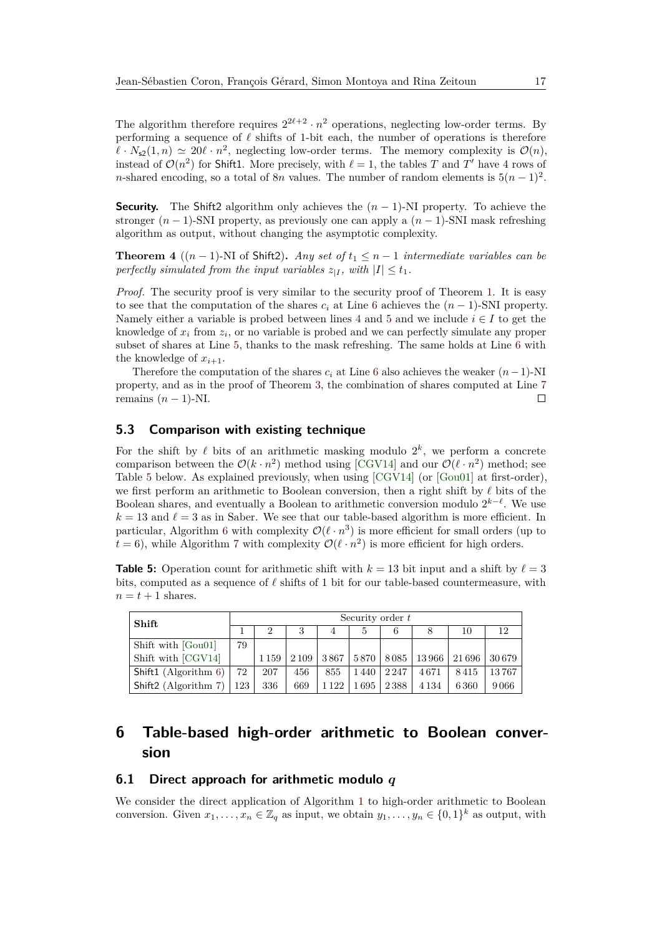The algorithm therefore requires  $2^{2\ell+2} \cdot n^2$  operations, neglecting low-order terms. By performing a sequence of  $\ell$  shifts of 1-bit each, the number of operations is therefore  $\ell \cdot N_{s2}(1,n) \simeq 20\ell \cdot n^2$ , neglecting low-order terms. The memory complexity is  $\mathcal{O}(n)$ , instead of  $\mathcal{O}(n^2)$  for Shift1. More precisely, with  $\ell = 1$ , the tables *T* and *T'* have 4 rows of *n*-shared encoding, so a total of 8*n* values. The number of random elements is  $5(n-1)^2$ .

**Security.** The Shift2 algorithm only achieves the  $(n-1)$ -NI property. To achieve the stronger  $(n-1)$ -SNI property, as previously one can apply a  $(n-1)$ -SNI mask refreshing algorithm as output, without changing the asymptotic complexity.

**Theorem 4**  $((n-1)$ -NI of Shift2). *Any set of*  $t_1 \leq n-1$  *intermediate variables can be perfectly simulated from the input variables*  $z_{|I}$ , with  $|I| \le t_1$ .

*Proof.* The security proof is very similar to the security proof of Theorem [1.](#page-9-2) It is easy to see that the computation of the shares  $c_i$  at Line [6](#page-15-2) achieves the  $(n-1)$ -SNI property. Namely either a variable is probed between lines [4](#page-15-2) and [5](#page-15-2) and we include  $i \in I$  to get the knowledge of *x<sup>i</sup>* from *z<sup>i</sup>* , or no variable is probed and we can perfectly simulate any proper subset of shares at Line [5,](#page-15-2) thanks to the mask refreshing. The same holds at Line [6](#page-15-2) with the knowledge of  $x_{i+1}$ .

Therefore the computation of the shares  $c_i$  at Line [6](#page-15-2) also achieves the weaker  $(n-1)$ -NI property, and as in the proof of Theorem [3,](#page-14-2) the combination of shares computed at Line [7](#page-15-2) remains  $(n-1)$ -NI.  $\Box$ 

### **5.3 Comparison with existing technique**

For the shift by  $\ell$  bits of an arithmetic masking modulo  $2^k$ , we perform a concrete comparison between the  $\mathcal{O}(k \cdot n^2)$  method using [\[CGV14\]](#page-36-7) and our  $\mathcal{O}(\ell \cdot n^2)$  method; see Table [5](#page-16-1) below. As explained previously, when using [\[CGV14\]](#page-36-7) (or [\[Gou01\]](#page-37-3) at first-order), we first perform an arithmetic to Boolean conversion, then a right shift by  $\ell$  bits of the Boolean shares, and eventually a Boolean to arithmetic conversion modulo  $2^{k-\ell}$ . We use  $k = 13$  and  $\ell = 3$  as in Saber. We see that our table-based algorithm is more efficient. In particular, Algorithm [6](#page-14-0) with complexity  $\mathcal{O}(\ell \cdot n^3)$  is more efficient for small orders (up to  $t = 6$ ), while Algorithm [7](#page-15-2) with complexity  $\mathcal{O}(\ell \cdot n^2)$  is more efficient for high orders.

<span id="page-16-1"></span>**Table 5:** Operation count for arithmetic shift with  $k = 13$  bit input and a shift by  $\ell = 3$ bits, computed as a sequence of  $\ell$  shifts of 1 bit for our table-based countermeasure, with  $n = t + 1$  shares.

| Shift                |     | Security order $t$ |         |         |      |         |         |        |       |  |  |  |
|----------------------|-----|--------------------|---------|---------|------|---------|---------|--------|-------|--|--|--|
|                      |     |                    |         |         | b.   |         |         | 10     | 12    |  |  |  |
| Shift with [Gou01]   | 79  |                    |         |         |      |         |         |        |       |  |  |  |
| Shift with [CGV14]   |     | 1 1 5 9            | 2 1 0 9 | 3867    | 5870 | 8085    | 13966   | 21 696 | 30679 |  |  |  |
| Shift1 (Algorithm 6) | 72  | 207                | 456     | 855     | 1440 | 2 2 4 7 | 4671    | 8415   | 13767 |  |  |  |
| Shift2 (Algorithm 7) | 123 | 336                | 669     | 1 1 2 2 | 1695 | 2388    | 4 1 3 4 | 6360   | 9066  |  |  |  |

## <span id="page-16-0"></span>**6 Table-based high-order arithmetic to Boolean conversion**

#### <span id="page-16-2"></span>**6.1 Direct approach for arithmetic modulo** *q*

We consider the direct application of Algorithm [1](#page-8-0) to high-order arithmetic to Boolean conversion. Given  $x_1, \ldots, x_n \in \mathbb{Z}_q$  as input, we obtain  $y_1, \ldots, y_n \in \{0,1\}^k$  as output, with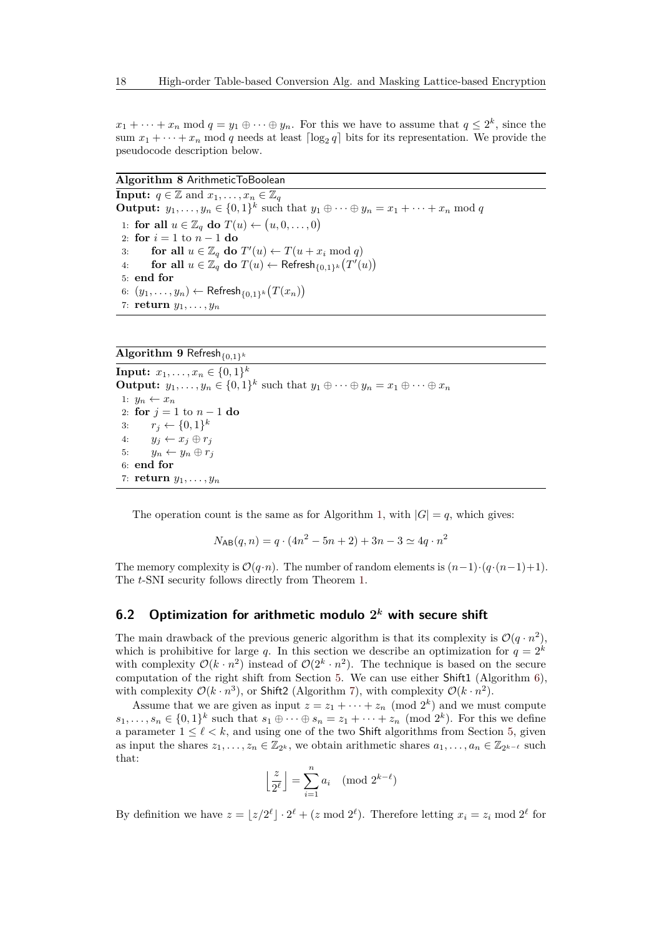$x_1 + \cdots + x_n \mod q = y_1 \oplus \cdots \oplus y_n$ . For this we have to assume that  $q \leq 2^k$ , since the sum  $x_1 + \cdots + x_n$  mod *q* needs at least  $\lceil \log_2 q \rceil$  bits for its representation. We provide the pseudocode description below.

#### <span id="page-17-0"></span>**Algorithm 8** ArithmeticToBoolean

**Input:**  $q \in \mathbb{Z}$  and  $x_1, \ldots, x_n \in \mathbb{Z}_q$ **Output:**  $y_1, \ldots, y_n \in \{0, 1\}^k$  such that  $y_1 \oplus \cdots \oplus y_n = x_1 + \cdots + x_n \mod q$ 1: **for all**  $u \in \mathbb{Z}_q$  **do**  $T(u) \leftarrow (u, 0, \dots, 0)$ 2: **for**  $i = 1$  to  $n - 1$  **do** 3: **for all**  $u \in \mathbb{Z}_q$  **do**  $T'(u) \leftarrow T(u + x_i \mod q)$ 4: **for all**  $u \in \mathbb{Z}_q^{\uparrow}$  do  $T(u) \leftarrow \text{Refresh}_{\{0,1\}^k}(T'(u))$ 5: **end for** 6:  $(y_1, \ldots, y_n)$  ← Refresh $_{\{0,1\}^k}(T(x_n))$ 7: **return** *y*1*, . . . , y<sup>n</sup>*

**Algorithm 9** Refresh ${_{0,1}}$ *k* 

**Input:**  $x_1, \ldots, x_n \in \{0, 1\}^k$ **Output:**  $y_1, \ldots, y_n \in \{0, 1\}^k$  such that  $y_1 \oplus \cdots \oplus y_n = x_1 \oplus \cdots \oplus x_n$ 1:  $y_n \leftarrow x_n$ 2: **for** *j* = 1 to *n* − 1 **do** 3:  $r_j \leftarrow \{0, 1\}^k$ 4:  $y_j \leftarrow x_j \oplus r_j$ 5:  $y_n \leftarrow y_n \oplus r_j$ 6: **end for** 7: **return** *y*1*, . . . , y<sup>n</sup>*

The operation count is the same as for Algorithm [1,](#page-8-0) with  $|G| = q$ , which gives:

$$
N_{\text{AB}}(q, n) = q \cdot (4n^2 - 5n + 2) + 3n - 3 \simeq 4q \cdot n^2
$$

The memory complexity is  $\mathcal{O}(q \cdot n)$ . The number of random elements is  $(n-1) \cdot (q \cdot (n-1)+1)$ . The *t*-SNI security follows directly from Theorem [1.](#page-9-2)

## <span id="page-17-1"></span>**6.2 Optimization for arithmetic modulo 2** *<sup>k</sup>* **with secure shift**

The main drawback of the previous generic algorithm is that its complexity is  $\mathcal{O}(q \cdot n^2)$ , which is prohibitive for large *q*. In this section we describe an optimization for  $q = 2^k$ with complexity  $\mathcal{O}(k \cdot n^2)$  instead of  $\mathcal{O}(2^k \cdot n^2)$ . The technique is based on the secure computation of the right shift from Section [5.](#page-12-0) We can use either Shift1 (Algorithm [6\)](#page-14-0), with complexity  $\mathcal{O}(k \cdot n^3)$ , or Shift2 (Algorithm [7\)](#page-15-2), with complexity  $\mathcal{O}(k \cdot n^2)$ .

Assume that we are given as input  $z = z_1 + \cdots + z_n \pmod{2^k}$  and we must compute  $s_1, \ldots, s_n \in \{0,1\}^k$  such that  $s_1 \oplus \cdots \oplus s_n = z_1 + \cdots + z_n \pmod{2^k}$ . For this we define a parameter  $1 \leq \ell \leq k$ , and using one of the two Shift algorithms from Section [5,](#page-12-0) given as input the shares  $z_1, \ldots, z_n \in \mathbb{Z}_{2^k}$ , we obtain arithmetic shares  $a_1, \ldots, a_n \in \mathbb{Z}_{2^{k-\ell}}$  such that:

$$
\left\lfloor\frac{z}{2^{\ell}}\right\rfloor=\sum_{i=1}^n a_i\pmod{2^{k-\ell}}
$$

By definition we have  $z = \lfloor z/2^{\ell} \rfloor \cdot 2^{\ell} + (z \mod 2^{\ell})$ . Therefore letting  $x_i = z_i \mod 2^{\ell}$  for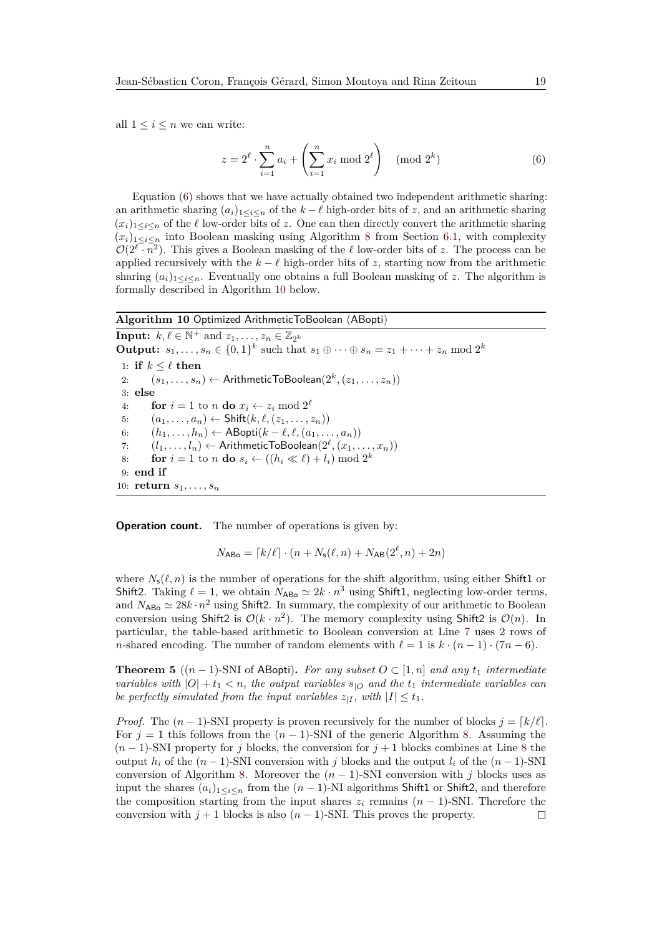all  $1 \leq i \leq n$  we can write:

<span id="page-18-1"></span>
$$
z = 2^{\ell} \cdot \sum_{i=1}^{n} a_i + \left(\sum_{i=1}^{n} x_i \bmod 2^{\ell}\right) \pmod{2^k}
$$
 (6)

Equation [\(6\)](#page-18-1) shows that we have actually obtained two independent arithmetic sharing: an arithmetic sharing  $(a_i)_{1 \leq i \leq n}$  of the  $k - \ell$  high-order bits of *z*, and an arithmetic sharing  $(x_i)_{1\leq i\leq n}$  of the  $\ell$  low-order bits of z. One can then directly convert the arithmetic sharing  $(x_i)_{1\leq i\leq n}$  into Boolean masking using Algorithm [8](#page-17-0) from Section [6.1,](#page-16-2) with complexity  $\mathcal{O}(2^{\ell} \cdot \overline{n^2})$ . This gives a Boolean masking of the  $\ell$  low-order bits of *z*. The process can be applied recursively with the  $k - \ell$  high-order bits of *z*, starting now from the arithmetic sharing  $(a_i)_{1\leq i\leq n}$ . Eventually one obtains a full Boolean masking of *z*. The algorithm is formally described in Algorithm [10](#page-18-0) below.

#### <span id="page-18-0"></span>**Algorithm 10** Optimized ArithmeticToBoolean (ABopti)

**Input:**  $k, \ell \in \mathbb{N}^+$  and  $z_1, \ldots, z_n \in \mathbb{Z}_{2^k}$ **Output:**  $s_1, ..., s_n \in \{0, 1\}^k$  such that  $s_1 \oplus \cdots \oplus s_n = z_1 + \cdots + z_n \mod 2^k$ 1: **if**  $k < \ell$  **then** 2:  $(s_1, \ldots, s_n) \leftarrow$  Arithmetic To Boolean $(2^k, (z_1, \ldots, z_n))$ 3: **else** 4: **for**  $i = 1$  to *n* **do**  $x_i \leftarrow z_i \mod 2^{\ell}$ 5:  $(a_1, ..., a_n) \leftarrow \text{Shift}(k, \ell, (z_1, ..., z_n))$ 6:  $(h_1, ..., h_n)$  ← ABopti $(k - \ell, \ell, (a_1, ..., a_n))$ 7:  $(l_1, \ldots, l_n) \leftarrow$  ArithmeticToBoolean $(2^{\ell}, (x_1, \ldots, x_n))$ 8: **for**  $i = 1$  to *n* **do**  $s_i \leftarrow ((h_i \ll \ell) + l_i) \mod 2^k$ 9: **end if** 10: **return** *s*1*, . . . , s<sup>n</sup>*

**Operation count.** The number of operations is given by:

 $N_{\text{ABo}} = [k/\ell] \cdot (n + N_{\text{s}}(\ell, n) + N_{\text{AB}}(2^{\ell}, n) + 2n)$ 

where  $N_{\rm s}(\ell, n)$  is the number of operations for the shift algorithm, using either Shift1 or Shift2. Taking  $\ell = 1$ , we obtain  $N_{\text{ABo}} \simeq 2k \cdot n^3$  using Shift1, neglecting low-order terms, and  $N_{\text{ABo}} \simeq 28k \cdot n^2$  using Shift2. In summary, the complexity of our arithmetic to Boolean conversion using Shift2 is  $\mathcal{O}(k \cdot n^2)$ . The memory complexity using Shift2 is  $\mathcal{O}(n)$ . In particular, the table-based arithmetic to Boolean conversion at Line [7](#page-18-0) uses 2 rows of *n*-shared encoding. The number of random elements with  $\ell = 1$  is  $k \cdot (n-1) \cdot (7n-6)$ .

<span id="page-18-2"></span>**Theorem 5** ( $(n-1)$ -SNI of ABopti). *For any subset*  $O \subset [1, n]$  *and any*  $t_1$  *intermediate variables with*  $|O| + t_1 < n$ , the output variables  $s_{|O}$  and the  $t_1$  intermediate variables can *be perfectly simulated from the input variables*  $z_{|I}$ , with  $|I| \le t_1$ .

*Proof.* The  $(n-1)$ -SNI property is proven recursively for the number of blocks  $j = [k/\ell]$ . For  $j = 1$  this follows from the  $(n - 1)$ -SNI of the generic Algorithm [8.](#page-17-0) Assuming the  $(n-1)$ -SNI property for *j* blocks, the conversion for  $j+1$  blocks combines at Line [8](#page-18-0) the output  $h_i$  of the  $(n-1)$ -SNI conversion with *j* blocks and the output  $l_i$  of the  $(n-1)$ -SNI conversion of Algorithm [8.](#page-17-0) Moreover the  $(n-1)$ -SNI conversion with *j* blocks uses as input the shares  $(a_i)_{1 \leq i \leq n}$  from the  $(n-1)$ -NI algorithms Shift1 or Shift2, and therefore the composition starting from the input shares  $z_i$  remains  $(n-1)$ -SNI. Therefore the conversion with  $j + 1$  blocks is also  $(n - 1)$ -SNI. This proves the property.  $\Box$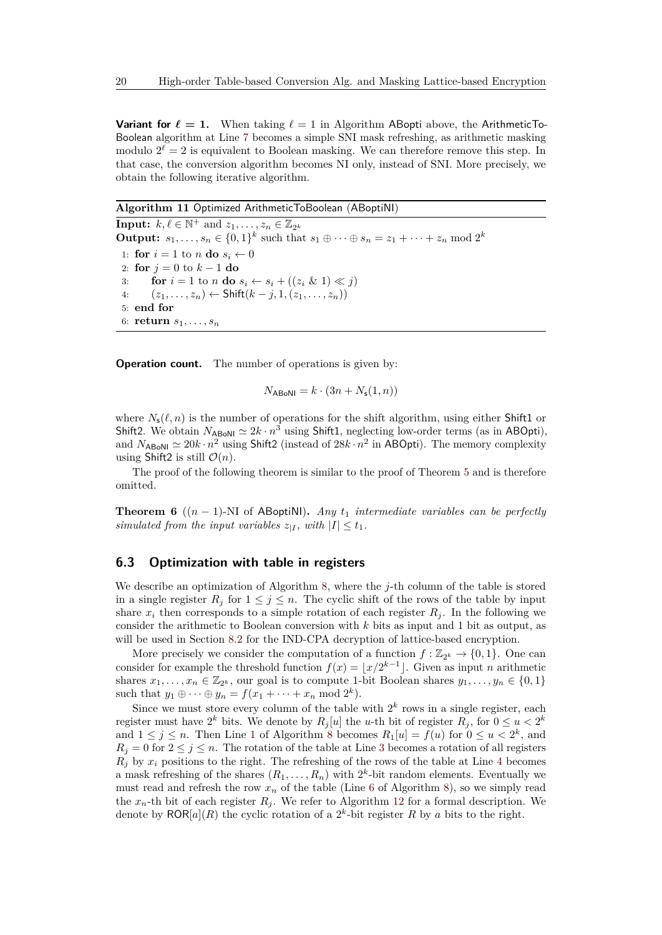**Variant for**  $\ell = 1$ . When taking  $\ell = 1$  in Algorithm ABopti above, the ArithmeticTo-Boolean algorithm at Line [7](#page-18-0) becomes a simple SNI mask refreshing, as arithmetic masking modulo  $2^{\ell} = 2$  is equivalent to Boolean masking. We can therefore remove this step. In that case, the conversion algorithm becomes NI only, instead of SNI. More precisely, we obtain the following iterative algorithm.

<span id="page-19-0"></span>**Algorithm 11** Optimized ArithmeticToBoolean (ABoptiNI)

**Input:**  $k, \ell \in \mathbb{N}^+$  and  $z_1, \ldots, z_n \in \mathbb{Z}_{2^k}$ **Output:**  $s_1, ..., s_n \in \{0, 1\}^k$  such that  $s_1 \oplus \cdots \oplus s_n = z_1 + \cdots + z_n \mod 2^k$ 1: **for**  $i = 1$  to *n* **do**  $s_i \leftarrow 0$ 2: **for**  $j = 0$  to  $k - 1$  **do** 3: **for**  $i = 1$  to *n* **do**  $s_i \leftarrow s_i + ((z_i \& 1) \ll j)$ 4:  $(z_1, ..., z_n)$  ← Shift $(k - j, 1, (z_1, ..., z_n))$ 5: **end for** 6: **return**  $s_1, \ldots, s_n$ 

**Operation count.** The number of operations is given by:

$$
N_{\text{ABoNI}} = k \cdot (3n + N_{\text{s}}(1, n))
$$

where  $N_{s}(\ell, n)$  is the number of operations for the shift algorithm, using either Shift1 or Shift2. We obtain  $N_{\text{ABoNI}} \simeq 2k \cdot n^3$  using Shift1, neglecting low-order terms (as in ABOpti), and  $N_{\text{ABoNI}} \simeq 20k \cdot n^2$  using Shift2 (instead of  $28k \cdot n^2$  in ABOpti). The memory complexity using Shift2 is still  $\mathcal{O}(n)$ .

The proof of the following theorem is similar to the proof of Theorem [5](#page-18-2) and is therefore omitted.

**Theorem 6** ( $(n-1)$ -NI of ABoptiNI). *Any*  $t_1$  *intermediate variables can be perfectly simulated from the input variables*  $z_{|I}$ *, with*  $|I| \le t_1$ *.* 

### <span id="page-19-1"></span>**6.3 Optimization with table in registers**

We describe an optimization of Algorithm [8,](#page-17-0) where the *j*-th column of the table is stored in a single register  $R_j$  for  $1 \leq j \leq n$ . The cyclic shift of the rows of the table by input share  $x_i$  then corresponds to a simple rotation of each register  $R_i$ . In the following we consider the arithmetic to Boolean conversion with *k* bits as input and 1 bit as output, as will be used in Section [8.2](#page-25-0) for the IND-CPA decryption of lattice-based encryption.

More precisely we consider the computation of a function  $f : \mathbb{Z}_{2^k} \to \{0,1\}$ . One can consider for example the threshold function  $f(x) = \lfloor x/2^{k-1} \rfloor$ . Given as input *n* arithmetic shares  $x_1, \ldots, x_n \in \mathbb{Z}_{2^k}$ , our goal is to compute 1-bit Boolean shares  $y_1, \ldots, y_n \in \{0, 1\}$ such that  $y_1 \oplus \cdots \oplus y_n = f(x_1 + \cdots + x_n \mod 2^k)$ .

Since we must store every column of the table with  $2^k$  rows in a single register, each register must have  $2^k$  bits. We denote by  $R_j[u]$  the *u*-th bit of register  $R_j$ , for  $0 \le u < 2^k$ and  $1 \leq j \leq n$  $1 \leq j \leq n$ . Then Line 1 of Algorithm [8](#page-17-0) becomes  $R_1[u] = f(u)$  for  $0 \leq u < 2^k$ , and  $R_i = 0$  for  $2 \leq j \leq n$ . The rotation of the table at Line [3](#page-17-0) becomes a rotation of all registers  $R_j$  by  $x_i$  positions to the right. The refreshing of the rows of the table at Line [4](#page-17-0) becomes a mask refreshing of the shares  $(R_1, \ldots, R_n)$  with  $2^k$ -bit random elements. Eventually we must read and refresh the row  $x_n$  of the table (Line [6](#page-17-0) of Algorithm [8\)](#page-17-0), so we simply read the  $x_n$ -th bit of each register  $R_j$ . We refer to Algorithm [12](#page-20-0) for a formal description. We denote by  $\mathsf{ROR}[a](R)$  the cyclic rotation of a  $2^k$ -bit register R by a bits to the right.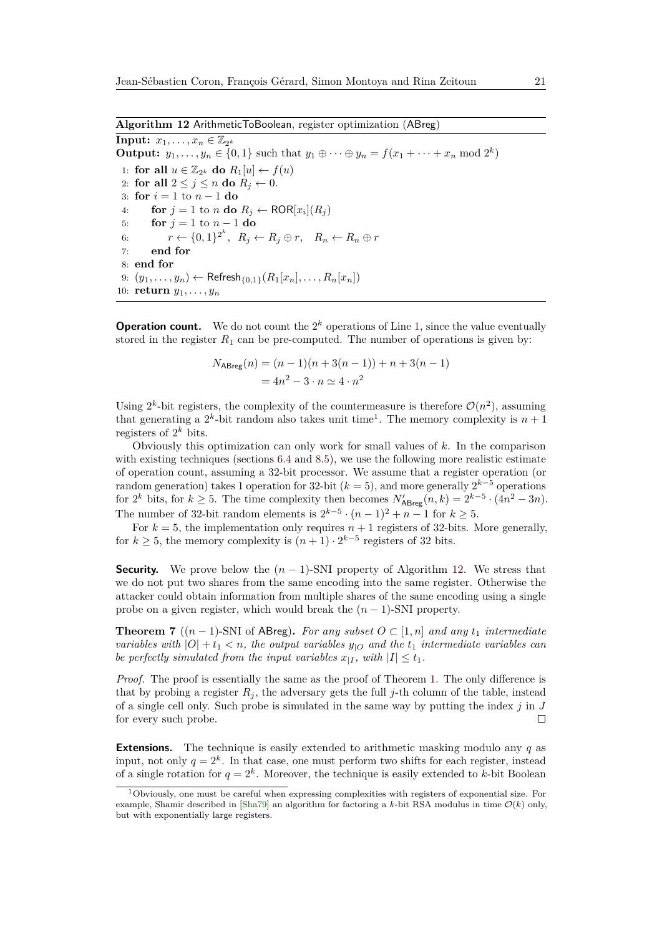<span id="page-20-0"></span>**Algorithm 12** ArithmeticToBoolean, register optimization (ABreg)

**Input:**  $x_1, \ldots, x_n \in \mathbb{Z}_{2^k}$ **Output:**  $y_1, ..., y_n \in \{0, 1\}$  such that  $y_1 \oplus ... \oplus y_n = f(x_1 + ... + x_n \mod 2^k)$ 1: **for all**  $u \in \mathbb{Z}_{2^k}$  **do**  $R_1[u] \leftarrow f(u)$ 2: **for all**  $2 \leq j \leq n$  **do**  $R_j \leftarrow 0$ . 3: **for** *i* = 1 to *n* − 1 **do** 4: **for**  $j = 1$  to *n* **do**  $R_j \leftarrow \text{ROR}[x_i](R_j)$ 5: **for**  $j = 1$  to  $n - 1$  **do** 6:  $r \leftarrow \{0,1\}^{2^k}, R_j \leftarrow R_j \oplus r, R_n \leftarrow R_n \oplus r$ 7: **end for** 8: **end for** 9:  $(y_1, ..., y_n)$  ← Refresh<sub>{0,1}</sub>( $R_1[x_n], ..., R_n[x_n]$ ) 10: **return** *y*1*, . . . , y<sup>n</sup>*

**Operation count.** We do not count the  $2^k$  operations of Line [1,](#page-20-0) since the value eventually stored in the register  $R_1$  can be pre-computed. The number of operations is given by:

$$
N_{\text{ABreg}}(n) = (n-1)(n+3(n-1)) + n + 3(n-1)
$$
  
=  $4n^2 - 3 \cdot n \approx 4 \cdot n^2$ 

Using  $2^k$ -bit registers, the complexity of the countermeasure is therefore  $\mathcal{O}(n^2)$ , assuming that generating a  $2^k$ -bit random also takes unit time<sup>[1](#page-20-1)</sup>. The memory complexity is  $n+1$ registers of 2 *<sup>k</sup>* bits.

Obviously this optimization can only work for small values of *k*. In the comparison with existing techniques (sections [6.4](#page-21-0) and [8.5\)](#page-29-0), we use the following more realistic estimate of operation count, assuming a 32-bit processor. We assume that a register operation (or random generation) takes 1 operation for 32-bit  $(k = 5)$ , and more generally  $2^{k-5}$  operations for  $2^k$  bits, for  $k \ge 5$ . The time complexity then becomes  $N'_{\text{ABreg}}(n, k) = 2^{k-5} \cdot (4n^2 - 3n)$ . The number of 32-bit random elements is  $2^{k-5} \cdot (n-1)^2 + n-1$  for  $k \ge 5$ .

For  $k = 5$ , the implementation only requires  $n + 1$  registers of 32-bits. More generally, for  $k \geq 5$ , the memory complexity is  $(n+1) \cdot 2^{k-5}$  registers of 32 bits.

**Security.** We prove below the  $(n - 1)$ -SNI property of Algorithm [12.](#page-20-0) We stress that we do not put two shares from the same encoding into the same register. Otherwise the attacker could obtain information from multiple shares of the same encoding using a single probe on a given register, which would break the  $(n - 1)$ -SNI property.

**Theorem 7** ( $(n-1)$ -SNI of ABreg). For any subset  $O \subset [1, n]$  and any  $t_1$  intermediate *variables with*  $|O| + t_1 < n$ , the output variables  $y_{|O}$  and the  $t_1$  intermediate variables can *be perfectly simulated from the input variables*  $x_{|I}$ , with  $|I| \le t_1$ .

*Proof.* The proof is essentially the same as the proof of Theorem [1.](#page-9-2) The only difference is that by probing a register  $R_j$ , the adversary gets the full *j*-th column of the table, instead of a single cell only. Such probe is simulated in the same way by putting the index *j* in *J* for every such probe.  $\Box$ 

**Extensions.** The technique is easily extended to arithmetic masking modulo any *q* as input, not only  $q = 2^k$ . In that case, one must perform two shifts for each register, instead of a single rotation for  $q = 2^k$ . Moreover, the technique is easily extended to *k*-bit Boolean

<span id="page-20-1"></span> $1$ Obviously, one must be careful when expressing complexities with registers of exponential size. For example, Shamir described in  $[\text{Sha79}]$  an algorithm for factoring a *k*-bit RSA modulus in time  $\mathcal{O}(k)$  only, but with exponentially large registers.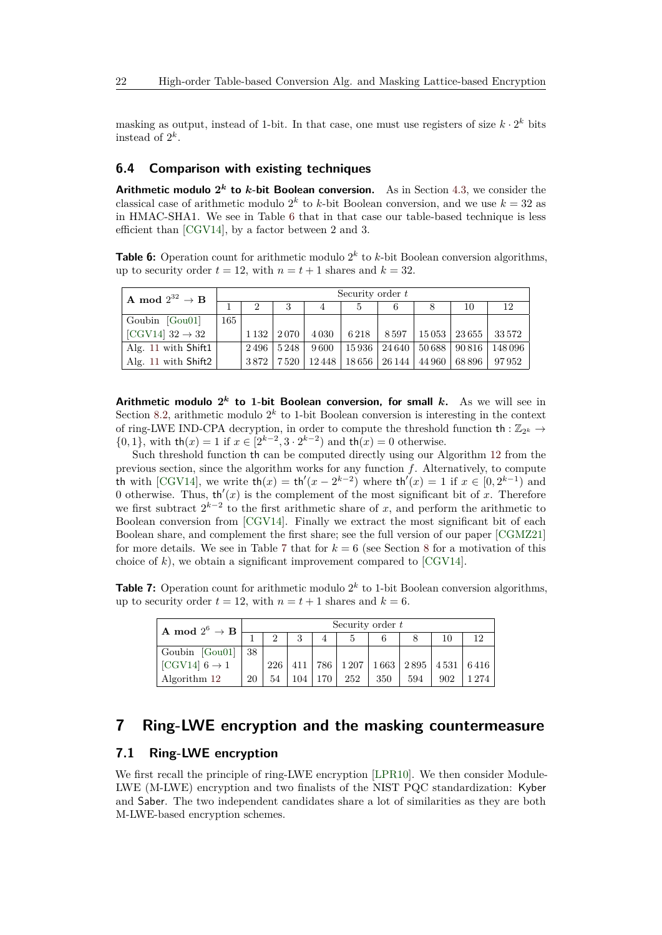masking as output, instead of 1-bit. In that case, one must use registers of size  $k \cdot 2^k$  bits instead of  $2^k$ .

### <span id="page-21-0"></span>**6.4 Comparison with existing techniques**

**Arithmetic modulo**  $2^k$  **to k-bit Boolean conversion.** As in Section [4.3,](#page-11-1) we consider the classical case of arithmetic modulo  $2^k$  to *k*-bit Boolean conversion, and we use  $k = 32$  as in HMAC-SHA1. We see in Table [6](#page-21-1) that in that case our table-based technique is less efficient than [\[CGV14\]](#page-36-7), by a factor between 2 and 3.

<span id="page-21-1"></span>**Table 6:** Operation count for arithmetic modulo  $2^k$  to  $k$ -bit Boolean conversion algorithms, up to security order  $t = 12$ , with  $n = t + 1$  shares and  $k = 32$ .

| A mod $2^{32} \rightarrow B$ | Security order t |         |      |         |           |        |        |                   |         |  |
|------------------------------|------------------|---------|------|---------|-----------|--------|--------|-------------------|---------|--|
|                              |                  |         | 3    | 4       |           | 6      |        | 10                |         |  |
| Goubin $[Gou01]$             | 165              |         |      |         |           |        |        |                   |         |  |
| [CGV14] $32 \rightarrow 32$  |                  | 1 1 3 2 | 2070 | 4 0 3 0 | 6218      | 8597   |        | $15053$   $23655$ | 33572   |  |
| Alg. 11 with Shift1          |                  | 2496    | 5248 | 9600    | $15\,936$ | 24 640 | 50 688 | 90 816            | 148 096 |  |
| Alg. 11 with Shift2          |                  | 3872    | 7520 | 12448   | 18656     | 26 144 | 44 960 | 68 896            | 97952   |  |

**Arithmetic modulo 2** *k* **to 1-bit Boolean conversion, for small** *k***.** As we will see in Section [8.2,](#page-25-0) arithmetic modulo  $2^k$  to 1-bit Boolean conversion is interesting in the context of ring-LWE IND-CPA decryption, in order to compute the threshold function  $\text{th} : \mathbb{Z}_{2^k} \rightarrow$ {0, 1}, with  $\text{th}(x) = 1$  if  $x \in [2^{k-2}, 3 \cdot 2^{k-2})$  and  $\text{th}(x) = 0$  otherwise.

Such threshold function th can be computed directly using our Algorithm [12](#page-20-0) from the previous section, since the algorithm works for any function *f*. Alternatively, to compute th with [\[CGV14\]](#page-36-7), we write  $\text{th}(x) = \text{th}'(x - 2^{k-2})$  where  $\text{th}'(x) = 1$  if  $x \in [0, 2^{k-1})$  and 0 otherwise. Thus,  $\text{th}'(x)$  is the complement of the most significant bit of *x*. Therefore we first subtract  $2^{k-2}$  to the first arithmetic share of *x*, and perform the arithmetic to Boolean conversion from [\[CGV14\]](#page-36-7). Finally we extract the most significant bit of each Boolean share, and complement the first share; see the full version of our paper [\[CGMZ21\]](#page-36-12) for more details. We see in Table [7](#page-21-2) that for  $k = 6$  (see Section [8](#page-24-0) for a motivation of this choice of *k*), we obtain a significant improvement compared to [\[CGV14\]](#page-36-7).

<span id="page-21-2"></span>**Table 7:** Operation count for arithmetic modulo  $2^k$  to 1-bit Boolean conversion algorithms, up to security order  $t = 12$ , with  $n = t + 1$  shares and  $k = 6$ .

| A mod 2 <sup>6</sup> $\rightarrow$ B | Security order $t$ |    |     |                  |     |     |                                                                           |     |         |  |  |
|--------------------------------------|--------------------|----|-----|------------------|-----|-----|---------------------------------------------------------------------------|-----|---------|--|--|
|                                      |                    |    | 3   |                  |     |     |                                                                           | 10  | 19      |  |  |
| Goubin $[Gou01]$                     | 38                 |    |     |                  |     |     |                                                                           |     |         |  |  |
| [CGV14] $6 \rightarrow 1$            |                    |    |     |                  |     |     | $226 \mid 411 \mid 786 \mid 1207 \mid 1663 \mid 2895 \mid 4531 \mid 6416$ |     |         |  |  |
| Algorithm 12                         | 20                 | 54 | 104 | 170 <sup>1</sup> | 252 | 350 | 594                                                                       | 902 | 1 2 7 4 |  |  |

## **7 Ring-LWE encryption and the masking countermeasure**

### **7.1 Ring-LWE encryption**

We first recall the principle of ring-LWE encryption [\[LPR10\]](#page-38-8). We then consider Module-LWE (M-LWE) encryption and two finalists of the NIST PQC standardization: Kyber and Saber. The two independent candidates share a lot of similarities as they are both M-LWE-based encryption schemes.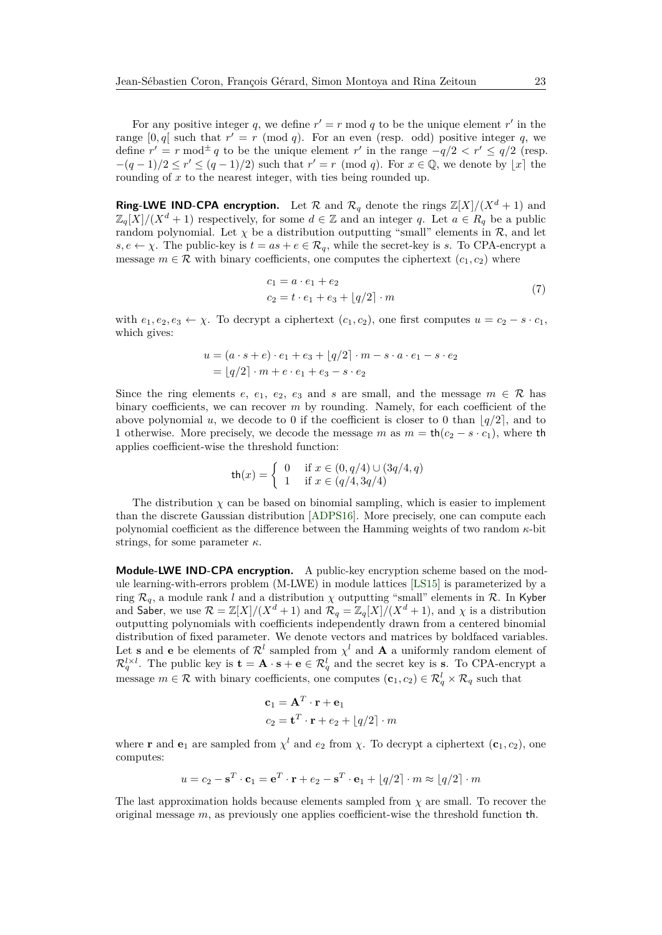For any positive integer q, we define  $r' = r \mod q$  to be the unique element  $r'$  in the range  $[0, q]$  such that  $r' = r \pmod{q}$ . For an even (resp. odd) positive integer q, we define  $r' = r \mod \frac{1}{2}$  to be the unique element  $r'$  in the range  $-q/2 < r' \le q/2$  (resp.  $-(q-1)/2 \le r' \le (q-1)/2$  such that  $r' = r \pmod{q}$ . For  $x \in \mathbb{Q}$ , we denote by  $\lfloor x \rfloor$  the rounding of x to the nearest integer, with ties being rounded up.

**Ring-LWE IND-CPA encryption.** Let  $\mathcal{R}$  and  $\mathcal{R}_q$  denote the rings  $\mathbb{Z}[X]/(X^d + 1)$  and  $\mathbb{Z}_q[X]/(X^d+1)$  respectively, for some  $d \in \mathbb{Z}$  and an integer *q*. Let  $a \in R_q$  be a public random polynomial. Let  $\chi$  be a distribution outputting "small" elements in  $\mathcal{R}$ , and let  $s, e \leftarrow \chi$ . The public-key is  $t = as + e \in \mathcal{R}_q$ , while the secret-key is *s*. To CPA-encrypt a message  $m \in \mathcal{R}$  with binary coefficients, one computes the ciphertext  $(c_1, c_2)$  where

<span id="page-22-0"></span>
$$
c_1 = a \cdot e_1 + e_2 \n c_2 = t \cdot e_1 + e_3 + \lfloor q/2 \rfloor \cdot m
$$
\n(7)

with  $e_1, e_2, e_3 \leftarrow \chi$ . To decrypt a ciphertext  $(c_1, c_2)$ , one first computes  $u = c_2 - s \cdot c_1$ , which gives:

$$
u = (a \cdot s + e) \cdot e_1 + e_3 + [q/2] \cdot m - s \cdot a \cdot e_1 - s \cdot e_2
$$
  
=  $[q/2] \cdot m + e \cdot e_1 + e_3 - s \cdot e_2$ 

Since the ring elements  $e$ ,  $e_1$ ,  $e_2$ ,  $e_3$  and  $s$  are small, and the message  $m \in \mathcal{R}$  has binary coefficients, we can recover *m* by rounding. Namely, for each coefficient of the above polynomial *u*, we decode to 0 if the coefficient is closer to 0 than  $|q/2|$ , and to 1 otherwise. More precisely, we decode the message *m* as  $m = \text{th}(c_2 - s \cdot c_1)$ , where the applies coefficient-wise the threshold function:

$$
\text{th}(x) = \begin{cases} 0 & \text{if } x \in (0, q/4) \cup (3q/4, q) \\ 1 & \text{if } x \in (q/4, 3q/4) \end{cases}
$$

The distribution  $\chi$  can be based on binomial sampling, which is easier to implement than the discrete Gaussian distribution [\[ADPS16\]](#page-35-9). More precisely, one can compute each polynomial coefficient as the difference between the Hamming weights of two random *κ*-bit strings, for some parameter *κ*.

**Module-LWE IND-CPA encryption.** A public-key encryption scheme based on the module learning-with-errors problem (M-LWE) in module lattices [\[LS15\]](#page-38-9) is parameterized by a ring  $\mathcal{R}_q$ , a module rank *l* and a distribution  $\chi$  outputting "small" elements in  $\mathcal{R}$ . In Kyber and Saber, we use  $\mathcal{R} = \mathbb{Z}[X]/(X^d + 1)$  and  $\mathcal{R}_q = \mathbb{Z}_q[X]/(X^d + 1)$ , and  $\chi$  is a distribution outputting polynomials with coefficients independently drawn from a centered binomial distribution of fixed parameter. We denote vectors and matrices by boldfaced variables. Let **s** and **e** be elements of  $\mathcal{R}^l$  sampled from  $\chi^l$  and **A** a uniformly random element of  $\mathcal{R}_q^{l \times l}$ . The public key is  $\mathbf{t} = \mathbf{A} \cdot \mathbf{s} + \mathbf{e} \in \mathcal{R}_q^l$  and the secret key is s. To CPA-encrypt a message  $m \in \mathcal{R}$  with binary coefficients, one computes  $(c_1, c_2) \in \mathcal{R}_q^l \times \mathcal{R}_q$  such that

$$
\mathbf{c}_1 = \mathbf{A}^T \cdot \mathbf{r} + \mathbf{e}_1
$$

$$
c_2 = \mathbf{t}^T \cdot \mathbf{r} + e_2 + \lfloor q/2 \rfloor \cdot m
$$

where **r** and **e**<sub>1</sub> are sampled from  $\chi^l$  and  $e_2$  from  $\chi$ . To decrypt a ciphertext  $(c_1, c_2)$ , one computes:

$$
u = c_2 - \mathbf{s}^T \cdot \mathbf{c}_1 = \mathbf{e}^T \cdot \mathbf{r} + e_2 - \mathbf{s}^T \cdot \mathbf{e}_1 + \lfloor q/2 \rfloor \cdot m \approx \lfloor q/2 \rfloor \cdot m
$$

The last approximation holds because elements sampled from *χ* are small. To recover the original message *m*, as previously one applies coefficient-wise the threshold function th.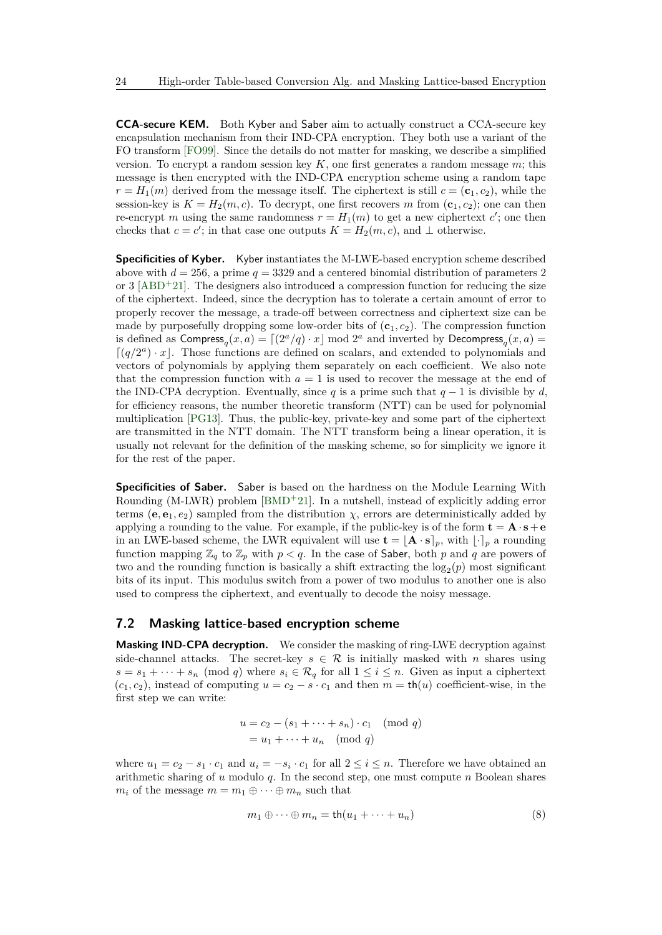**CCA-secure KEM.** Both Kyber and Saber aim to actually construct a CCA-secure key encapsulation mechanism from their IND-CPA encryption. They both use a variant of the FO transform [\[FO99\]](#page-37-7). Since the details do not matter for masking, we describe a simplified version. To encrypt a random session key *K*, one first generates a random message *m*; this message is then encrypted with the IND-CPA encryption scheme using a random tape  $r = H_1(m)$  derived from the message itself. The ciphertext is still  $c = (\mathbf{c}_1, c_2)$ , while the session-key is  $K = H_2(m, c)$ . To decrypt, one first recovers *m* from  $(c_1, c_2)$ ; one can then re-encrypt *m* using the same randomness  $r = H_1(m)$  to get a new ciphertext  $c'$ ; one then checks that  $c = c'$ ; in that case one outputs  $K = H_2(m, c)$ , and  $\perp$  otherwise.

**Specificities of Kyber.** Kyber instantiates the M-LWE-based encryption scheme described above with  $d = 256$ , a prime  $q = 3329$  and a centered binomial distribution of parameters 2 or 3  $[ABD^+21]$  $[ABD^+21]$ . The designers also introduced a compression function for reducing the size of the ciphertext. Indeed, since the decryption has to tolerate a certain amount of error to properly recover the message, a trade-off between correctness and ciphertext size can be made by purposefully dropping some low-order bits of  $(c_1, c_2)$ . The compression function is defined as  $\textsf{Compress}_q(x, a) = \lceil (2^a/q) \cdot x \rfloor \bmod 2^a$  and inverted by  $\textsf{Decompress}_q(x, a) =$  $\lceil (q/2^a) \cdot x \rceil$ . Those functions are defined on scalars, and extended to polynomials and vectors of polynomials by applying them separately on each coefficient. We also note that the compression function with  $a = 1$  is used to recover the message at the end of the IND-CPA decryption. Eventually, since *q* is a prime such that  $q-1$  is divisible by *d*, for efficiency reasons, the number theoretic transform (NTT) can be used for polynomial multiplication [\[PG13\]](#page-38-10). Thus, the public-key, private-key and some part of the ciphertext are transmitted in the NTT domain. The NTT transform being a linear operation, it is usually not relevant for the definition of the masking scheme, so for simplicity we ignore it for the rest of the paper.

**Specificities of Saber.** Saber is based on the hardness on the Module Learning With Rounding (M-LWR) problem [\[BMD](#page-36-1)<sup>+</sup>21]. In a nutshell, instead of explicitly adding error terms ( $e, e_1, e_2$ ) sampled from the distribution  $\chi$ , errors are deterministically added by applying a rounding to the value. For example, if the public-key is of the form  $\mathbf{t} = \mathbf{A} \cdot \mathbf{s} + \mathbf{e}$ in an LWE-based scheme, the LWR equivalent will use  $\mathbf{t} = [\mathbf{A} \cdot \mathbf{s}]_p$ , with  $\lvert \cdot \rvert_p$  a rounding function mapping  $\mathbb{Z}_q$  to  $\mathbb{Z}_p$  with  $p < q$ . In the case of Saber, both p and q are powers of two and the rounding function is basically a shift extracting the  $log_2(p)$  most significant bits of its input. This modulus switch from a power of two modulus to another one is also used to compress the ciphertext, and eventually to decode the noisy message.

### <span id="page-23-1"></span>**7.2 Masking lattice-based encryption scheme**

**Masking IND-CPA decryption.** We consider the masking of ring-LWE decryption against side-channel attacks. The secret-key  $s \in \mathcal{R}$  is initially masked with *n* shares using  $s = s_1 + \cdots + s_n \pmod{q}$  where  $s_i \in \mathcal{R}_q$  for all  $1 \leq i \leq n$ . Given as input a ciphertext  $(c_1, c_2)$ , instead of computing  $u = c_2 - s \cdot c_1$  and then  $m = \text{th}(u)$  coefficient-wise, in the first step we can write:

$$
u = c_2 - (s_1 + \dots + s_n) \cdot c_1 \pmod{q}
$$

$$
= u_1 + \dots + u_n \pmod{q}
$$

where  $u_1 = c_2 - s_1 \cdot c_1$  and  $u_i = -s_i \cdot c_1$  for all  $2 \le i \le n$ . Therefore we have obtained an arithmetic sharing of *u* modulo *q*. In the second step, one must compute *n* Boolean shares  $m_i$  of the message  $m = m_1 \oplus \cdots \oplus m_n$  such that

<span id="page-23-0"></span>
$$
m_1 \oplus \cdots \oplus m_n = \text{th}(u_1 + \cdots + u_n) \tag{8}
$$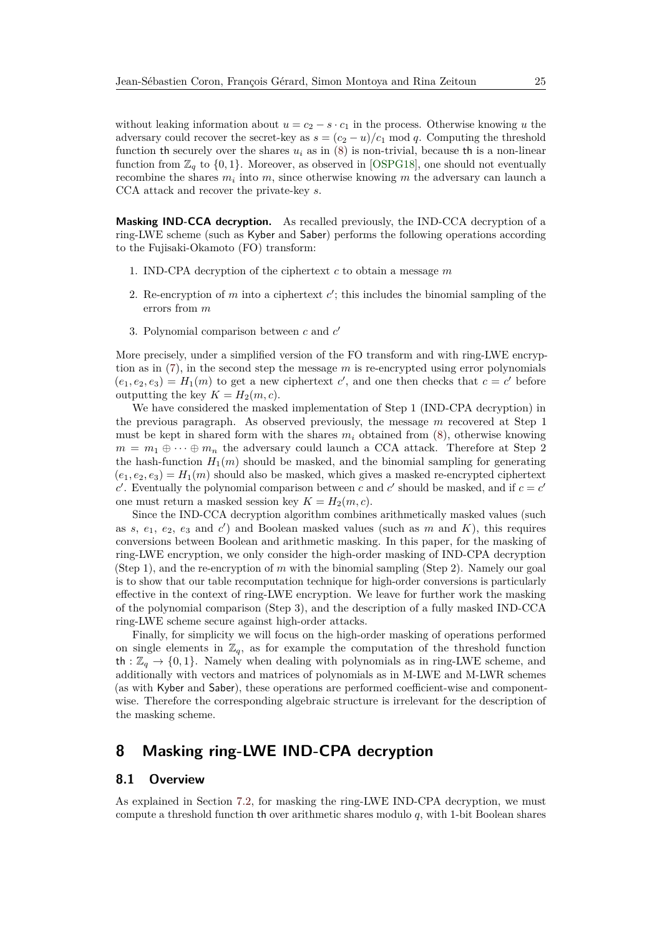without leaking information about  $u = c_2 - s \cdot c_1$  in the process. Otherwise knowing *u* the adversary could recover the secret-key as  $s = (c_2 - u)/c_1 \mod q$ . Computing the threshold function th securely over the shares  $u_i$  as in  $(8)$  is non-trivial, because th is a non-linear function from  $\mathbb{Z}_q$  to  $\{0,1\}$ . Moreover, as observed in [\[OSPG18\]](#page-38-7), one should not eventually recombine the shares *m<sup>i</sup>* into *m*, since otherwise knowing *m* the adversary can launch a CCA attack and recover the private-key *s*.

**Masking IND-CCA decryption.** As recalled previously, the IND-CCA decryption of a ring-LWE scheme (such as Kyber and Saber) performs the following operations according to the Fujisaki-Okamoto (FO) transform:

- 1. IND-CPA decryption of the ciphertext *c* to obtain a message *m*
- 2. Re-encryption of  $m$  into a ciphertext  $c'$ ; this includes the binomial sampling of the errors from *m*
- 3. Polynomial comparison between *c* and *c* 0

More precisely, under a simplified version of the FO transform and with ring-LWE encryption as in [\(7\)](#page-22-0), in the second step the message *m* is re-encrypted using error polynomials  $(e_1, e_2, e_3) = H_1(m)$  to get a new ciphertext *c*<sup>'</sup>, and one then checks that  $c = c'$  before outputting the key  $K = H_2(m, c)$ .

We have considered the masked implementation of Step 1 (IND-CPA decryption) in the previous paragraph. As observed previously, the message *m* recovered at Step 1 must be kept in shared form with the shares  $m_i$  obtained from  $(8)$ , otherwise knowing  $m = m_1 \oplus \cdots \oplus m_n$  the adversary could launch a CCA attack. Therefore at Step 2 the hash-function  $H_1(m)$  should be masked, and the binomial sampling for generating  $(e_1, e_2, e_3) = H_1(m)$  should also be masked, which gives a masked re-encrypted ciphertext *c*. Eventually the polynomial comparison between *c* and *c*<sup></sup> should be masked, and if  $c = c'$ one must return a masked session key  $K = H_2(m, c)$ .

Since the IND-CCA decryption algorithm combines arithmetically masked values (such as  $s, e_1, e_2, e_3$  and  $c'$ ) and Boolean masked values (such as  $m$  and  $K$ ), this requires conversions between Boolean and arithmetic masking. In this paper, for the masking of ring-LWE encryption, we only consider the high-order masking of IND-CPA decryption (Step 1), and the re-encryption of *m* with the binomial sampling (Step 2). Namely our goal is to show that our table recomputation technique for high-order conversions is particularly effective in the context of ring-LWE encryption. We leave for further work the masking of the polynomial comparison (Step 3), and the description of a fully masked IND-CCA ring-LWE scheme secure against high-order attacks.

Finally, for simplicity we will focus on the high-order masking of operations performed on single elements in  $\mathbb{Z}_q$ , as for example the computation of the threshold function th :  $\mathbb{Z}_q \to \{0,1\}$ . Namely when dealing with polynomials as in ring-LWE scheme, and additionally with vectors and matrices of polynomials as in M-LWE and M-LWR schemes (as with Kyber and Saber), these operations are performed coefficient-wise and componentwise. Therefore the corresponding algebraic structure is irrelevant for the description of the masking scheme.

## <span id="page-24-0"></span>**8 Masking ring-LWE IND-CPA decryption**

### **8.1 Overview**

As explained in Section [7.2,](#page-23-1) for masking the ring-LWE IND-CPA decryption, we must compute a threshold function th over arithmetic shares modulo *q*, with 1-bit Boolean shares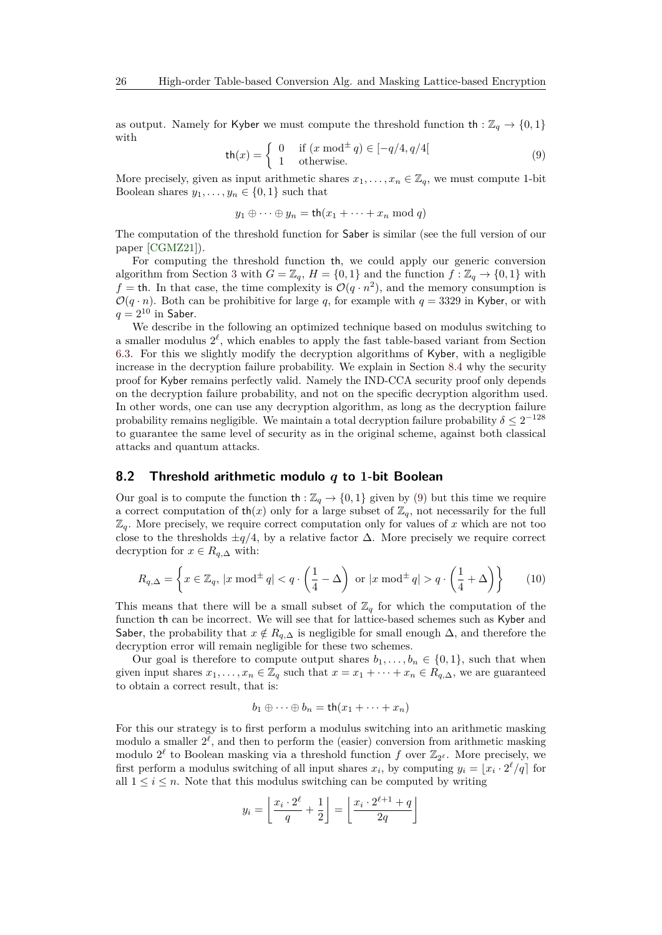as output. Namely for Kyber we must compute the threshold function  $\text{th} : \mathbb{Z}_q \to \{0,1\}$ with

<span id="page-25-1"></span>
$$
\mathsf{th}(x) = \begin{cases} 0 & \text{if } (x \bmod^{\pm} q) \in [-q/4, q/4] \\ 1 & \text{otherwise.} \end{cases} \tag{9}
$$

More precisely, given as input arithmetic shares  $x_1, \ldots, x_n \in \mathbb{Z}_q$ , we must compute 1-bit Boolean shares  $y_1, \ldots, y_n \in \{0, 1\}$  such that

$$
y_1 \oplus \cdots \oplus y_n = \text{th}(x_1 + \cdots + x_n \mod q)
$$

The computation of the threshold function for Saber is similar (see the full version of our paper [\[CGMZ21\]](#page-36-12)).

For computing the threshold function th, we could apply our generic conversion algorithm from Section [3](#page-7-0) with  $G = \mathbb{Z}_q$ ,  $H = \{0, 1\}$  and the function  $f : \mathbb{Z}_q \to \{0, 1\}$  with  $f =$  th. In that case, the time complexity is  $\mathcal{O}(q \cdot n^2)$ , and the memory consumption is  $\mathcal{O}(q \cdot n)$ . Both can be prohibitive for large *q*, for example with  $q = 3329$  in Kyber, or with  $q = 2^{10}$  in Saber.

We describe in the following an optimized technique based on modulus switching to a smaller modulus  $2^{\ell}$ , which enables to apply the fast table-based variant from Section [6.3.](#page-19-1) For this we slightly modify the decryption algorithms of Kyber, with a negligible increase in the decryption failure probability. We explain in Section [8.4](#page-28-0) why the security proof for Kyber remains perfectly valid. Namely the IND-CCA security proof only depends on the decryption failure probability, and not on the specific decryption algorithm used. In other words, one can use any decryption algorithm, as long as the decryption failure probability remains negligible. We maintain a total decryption failure probability  $\delta \leq 2^{-128}$ to guarantee the same level of security as in the original scheme, against both classical attacks and quantum attacks.

#### <span id="page-25-0"></span>**8.2 Threshold arithmetic modulo** *q* **to 1-bit Boolean**

Our goal is to compute the function  $\text{th} : \mathbb{Z}_q \to \{0,1\}$  given by [\(9\)](#page-25-1) but this time we require a correct computation of  $th(x)$  only for a large subset of  $\mathbb{Z}_q$ , not necessarily for the full  $\mathbb{Z}_q$ . More precisely, we require correct computation only for values of x which are not too close to the thresholds  $\pm q/4$ , by a relative factor  $\Delta$ . More precisely we require correct decryption for  $x \in R_{q,\Delta}$  with:

<span id="page-25-2"></span>
$$
R_{q,\Delta} = \left\{ x \in \mathbb{Z}_q, \, |x \bmod^{\pm} q| < q \cdot \left( \frac{1}{4} - \Delta \right) \text{ or } |x \bmod^{\pm} q| > q \cdot \left( \frac{1}{4} + \Delta \right) \right\} \tag{10}
$$

This means that there will be a small subset of  $\mathbb{Z}_q$  for which the computation of the function th can be incorrect. We will see that for lattice-based schemes such as Kyber and Saber, the probability that  $x \notin R_{q,\Delta}$  is negligible for small enough  $\Delta$ , and therefore the decryption error will remain negligible for these two schemes.

Our goal is therefore to compute output shares  $b_1, \ldots, b_n \in \{0, 1\}$ , such that when given input shares  $x_1, \ldots, x_n \in \mathbb{Z}_q$  such that  $x = x_1 + \cdots + x_n \in R_{q,\Delta}$ , we are guaranteed to obtain a correct result, that is:

$$
b_1 \oplus \cdots \oplus b_n = \text{th}(x_1 + \cdots + x_n)
$$

For this our strategy is to first perform a modulus switching into an arithmetic masking modulo a smaller  $2^{\ell}$ , and then to perform the (easier) conversion from arithmetic masking modulo  $2^{\ell}$  to Boolean masking via a threshold function  $f$  over  $\mathbb{Z}_{2^{\ell}}$ . More precisely, we first perform a modulus switching of all input shares  $x_i$ , by computing  $y_i = [x_i \cdot 2^{\ell}/q]$  for all  $1 \leq i \leq n$ . Note that this modulus switching can be computed by writing

$$
y_i = \left\lfloor \frac{x_i \cdot 2^{\ell}}{q} + \frac{1}{2} \right\rfloor = \left\lfloor \frac{x_i \cdot 2^{\ell+1} + q}{2q} \right\rfloor
$$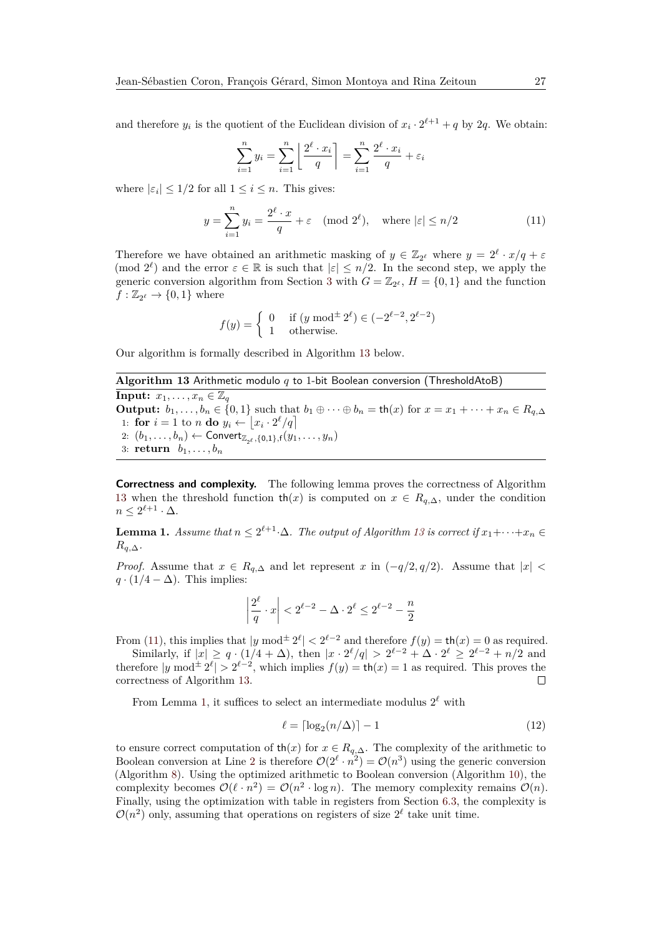and therefore  $y_i$  is the quotient of the Euclidean division of  $x_i \cdot 2^{\ell+1} + q$  by 2*q*. We obtain:

$$
\sum_{i=1}^{n} y_i = \sum_{i=1}^{n} \left\lfloor \frac{2^{\ell} \cdot x_i}{q} \right\rfloor = \sum_{i=1}^{n} \frac{2^{\ell} \cdot x_i}{q} + \varepsilon_i
$$

where  $|\varepsilon_i| \leq 1/2$  for all  $1 \leq i \leq n$ . This gives:

<span id="page-26-1"></span>
$$
y = \sum_{i=1}^{n} y_i = \frac{2^{\ell} \cdot x}{q} + \varepsilon \pmod{2^{\ell}}, \quad \text{where } |\varepsilon| \le n/2 \tag{11}
$$

Therefore we have obtained an arithmetic masking of  $y \in \mathbb{Z}_{2^{\ell}}$  where  $y = 2^{\ell} \cdot x/q + \varepsilon$ (mod  $2^{\ell}$ ) and the error  $\varepsilon \in \mathbb{R}$  is such that  $|\varepsilon| \leq n/2$ . In the second step, we apply the generic conversion algorithm from Section [3](#page-7-0) with  $G = \mathbb{Z}_{2^{\ell}}$ ,  $H = \{0, 1\}$  and the function  $f : \mathbb{Z}_{2^{\ell}} \to \{0, 1\}$  where

$$
f(y) = \begin{cases} 0 & \text{if } (y \bmod^{\pm} 2^{\ell}) \in (-2^{\ell-2}, 2^{\ell-2})\\ 1 & \text{otherwise.} \end{cases}
$$

Our algorithm is formally described in Algorithm [13](#page-26-0) below.

<span id="page-26-0"></span>**Algorithm 13** Arithmetic modulo *q* to 1-bit Boolean conversion (ThresholdAtoB) **Input:**  $x_1, \ldots, x_n \in \mathbb{Z}_q$ **Output:**  $b_1, \ldots, b_n \in \{0, 1\}$  such that  $b_1 \oplus \cdots \oplus b_n = \text{th}(x)$  for  $x = x_1 + \cdots + x_n \in R_{q, \Delta}$ 1: **for**  $i = 1$  to *n* **do**  $y_i \leftarrow \lfloor x_i \cdot 2^{\ell} / q \rfloor$  $2: (b_1, \ldots, b_n) \leftarrow$  Convert<sub> $\mathbb{Z}_{2^{\ell}}, \{0,1\}, f(y_1, \ldots, y_n)$ </sub> 3: **return**  $b_1, \ldots, b_n$ 

**Correctness and complexity.** The following lemma proves the correctness of Algorithm [13](#page-26-0) when the threshold function  $\text{th}(x)$  is computed on  $x \in R_{q,\Delta}$ , under the condition  $n \leq 2^{\ell+1} \cdot \Delta$ .

<span id="page-26-2"></span>**Lemma 1.** *Assume that*  $n \leq 2^{\ell+1} \cdot \Delta$ *. The output of Algorithm* [13](#page-26-0) *is correct if*  $x_1 + \cdots + x_n \in$  $R_{q,\Delta}$ .

*Proof.* Assume that  $x \in R_{q,\Delta}$  and let represent  $x$  in  $(-q/2, q/2)$ . Assume that  $|x|$  $q \cdot (1/4 - \Delta)$ . This implies:

$$
\left|\frac{2^{\ell}}{q} \cdot x\right| < 2^{\ell-2} - \Delta \cdot 2^{\ell} \le 2^{\ell-2} - \frac{n}{2}
$$

From [\(11\)](#page-26-1), this implies that  $|y \bmod \pm 2^{\ell}| < 2^{\ell-2}$  and therefore  $f(y) = \text{th}(x) = 0$  as required.

Similarly, if  $|x| \ge q \cdot (1/4 + \Delta)$ , then  $|x \cdot 2^{\ell}/q| > 2^{\ell-2} + \Delta \cdot 2^{\ell} \ge 2^{\ell-2} + n/2$  and therefore  $|y \bmod \pm 2^{\ell} | > 2^{\ell-2}$ , which implies  $f(y) = \text{th}(x) = 1$  as required. This proves the correctness of Algorithm [13.](#page-26-0)  $\Box$ 

From Lemma [1,](#page-26-2) it suffices to select an intermediate modulus  $2^{\ell}$  with

<span id="page-26-3"></span>
$$
\ell = \lceil \log_2(n/\Delta) \rceil - 1 \tag{12}
$$

to ensure correct computation of  $\text{th}(x)$  for  $x \in R_{q,\Delta}$ . The complexity of the arithmetic to Boolean conversion at Line [2](#page-26-0) is therefore  $\mathcal{O}(2^{\ell} \cdot n^2) = \mathcal{O}(n^3)$  using the generic conversion (Algorithm [8\)](#page-17-0). Using the optimized arithmetic to Boolean conversion (Algorithm [10\)](#page-18-0), the complexity becomes  $\mathcal{O}(\ell \cdot n^2) = \mathcal{O}(n^2 \cdot \log n)$ . The memory complexity remains  $\mathcal{O}(n)$ . Finally, using the optimization with table in registers from Section [6.3,](#page-19-1) the complexity is  $\mathcal{O}(n^2)$  only, assuming that operations on registers of size  $2^{\ell}$  take unit time.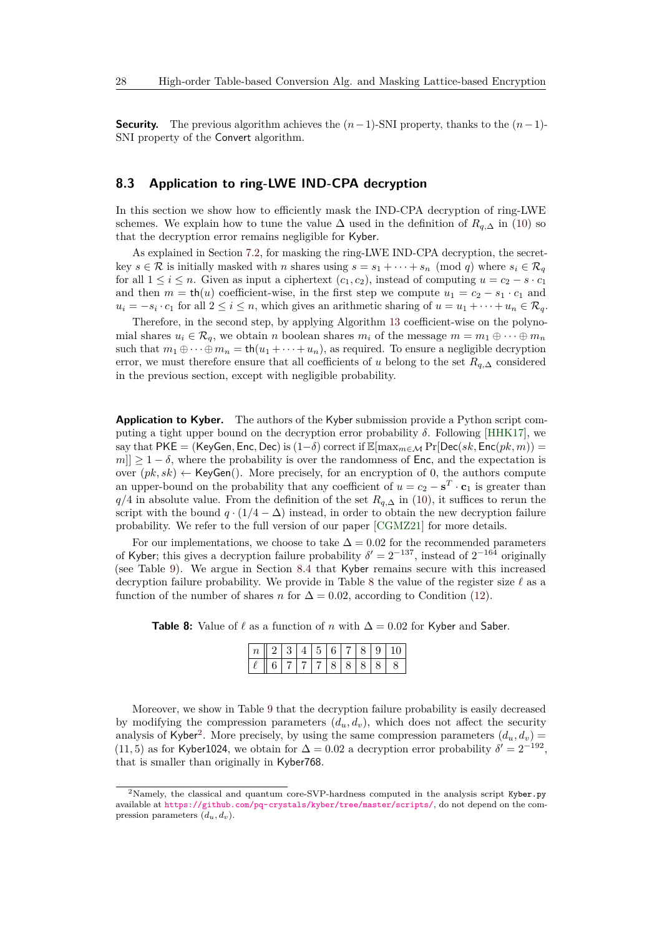**Security.** The previous algorithm achieves the  $(n-1)$ -SNI property, thanks to the  $(n-1)$ -SNI property of the Convert algorithm.

### **8.3 Application to ring-LWE IND-CPA decryption**

In this section we show how to efficiently mask the IND-CPA decryption of ring-LWE schemes. We explain how to tune the value  $\Delta$  used in the definition of  $R_{q,\Delta}$  in [\(10\)](#page-25-2) so that the decryption error remains negligible for Kyber.

As explained in Section [7.2,](#page-23-1) for masking the ring-LWE IND-CPA decryption, the secretkey  $s \in \mathcal{R}$  is initially masked with *n* shares using  $s = s_1 + \cdots + s_n \pmod{q}$  where  $s_i \in \mathcal{R}_q$ for all  $1 \leq i \leq n$ . Given as input a ciphertext  $(c_1, c_2)$ , instead of computing  $u = c_2 - s \cdot c_1$ and then  $m = \text{th}(u)$  coefficient-wise, in the first step we compute  $u_1 = c_2 - s_1 \cdot c_1$  and  $u_i = -s_i \cdot c_1$  for all  $2 \le i \le n$ , which gives an arithmetic sharing of  $u = u_1 + \cdots + u_n \in \mathcal{R}_q$ .

Therefore, in the second step, by applying Algorithm [13](#page-26-0) coefficient-wise on the polynomial shares  $u_i \in \mathcal{R}_q$ , we obtain *n* boolean shares  $m_i$  of the message  $m = m_1 \oplus \cdots \oplus m_n$ such that  $m_1 \oplus \cdots \oplus m_n = \text{th}(u_1 + \cdots + u_n)$ , as required. To ensure a negligible decryption error, we must therefore ensure that all coefficients of *u* belong to the set  $R_{q,\Delta}$  considered in the previous section, except with negligible probability.

**Application to Kyber.** The authors of the Kyber submission provide a Python script computing a tight upper bound on the decryption error probability *δ*. Following [\[HHK17\]](#page-37-8), we say that PKE = (KeyGen, Enc, Dec) is  $(1-\delta)$  correct if  $\mathbb{E}[\max_{m\in\mathcal{M}}\Pr[\mathsf{Dec}(sk,\mathsf{Enc}(pk,m))$  =  $m|| \geq 1 - \delta$ , where the probability is over the randomness of Enc, and the expectation is over  $(pk, sk) \leftarrow \text{KeyGen}()$ . More precisely, for an encryption of 0, the authors compute an upper-bound on the probability that any coefficient of  $u = c_2 - s^T \cdot c_1$  is greater than *q/*4 in absolute value. From the definition of the set  $R$ <sup>*q*</sup>,∆ in [\(10\)](#page-25-2), it suffices to rerun the script with the bound  $q \cdot (1/4 - \Delta)$  instead, in order to obtain the new decryption failure probability. We refer to the full version of our paper [\[CGMZ21\]](#page-36-12) for more details.

For our implementations, we choose to take  $\Delta = 0.02$  for the recommended parameters of Kyber; this gives a decryption failure probability  $\delta' = 2^{-137}$ , instead of  $2^{-164}$  originally (see Table [9\)](#page-28-1). We argue in Section [8.4](#page-28-0) that Kyber remains secure with this increased decryption failure probability. We provide in Table [8](#page-27-0) the value of the register size  $\ell$  as a function of the number of shares *n* for  $\Delta = 0.02$ , according to Condition [\(12\)](#page-26-3).

<span id="page-27-0"></span>**Table 8:** Value of  $\ell$  as a function of *n* with  $\Delta = 0.02$  for Kyber and Saber.

|  |                           |  |  |  | 2 3 4 5 6 7 8 9 10 |
|--|---------------------------|--|--|--|--------------------|
|  | 3   7   7   7   8   8   8 |  |  |  |                    |

Moreover, we show in Table [9](#page-28-1) that the decryption failure probability is easily decreased by modifying the compression parameters  $(d_u, d_v)$ , which does not affect the security analysis of Kyber<sup>[2](#page-27-1)</sup>. More precisely, by using the same compression parameters  $(d_u, d_v)$  = (11, 5) as for Kyber1024, we obtain for  $\Delta = 0.02$  a decryption error probability  $\delta' = 2^{-192}$ , that is smaller than originally in Kyber768.

<span id="page-27-1"></span><sup>&</sup>lt;sup>2</sup>Namely, the classical and quantum core-SVP-hardness computed in the analysis script Kyber.py available at [https://github.com/pq-crystals/kyber/tree/master/scripts/](https://github.com/pq-crystals/kyber/ tree/master/scripts/), do not depend on the compression parameters  $(d_u, d_v)$ .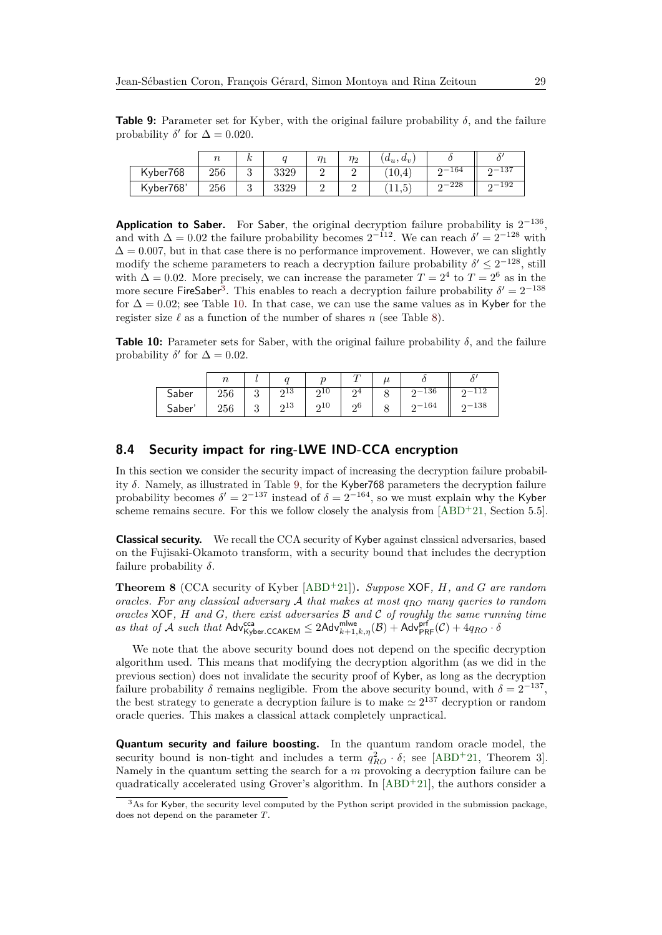<span id="page-28-1"></span>**Table 9:** Parameter set for Kyber, with the original failure probability  $\delta$ , and the failure probability  $\delta'$  for  $\Delta = 0.020$ .

|           | $\sim$ | n |      | $\eta_1$ | $\eta_2$ | $(d_u, d_v)$    |           |                |
|-----------|--------|---|------|----------|----------|-----------------|-----------|----------------|
| Kyber768  | 256    | ບ | 3329 | -        | -        | 10,4            | $0 - 164$ | $2 - 137$      |
| Kyber768' | 256    | ບ | 3329 | -        | -        | К<br>11<br>11,0 | 228       | $2 - 192$<br>- |

**Application to Saber.** For Saber, the original decryption failure probability is  $2^{-136}$ , and with  $\Delta = 0.02$  the failure probability becomes  $2^{-112}$ . We can reach  $\delta' = 2^{-128}$  with  $\Delta = 0.007$ , but in that case there is no performance improvement. However, we can slightly modify the scheme parameters to reach a decryption failure probability  $\delta' \leq 2^{-128}$ , still with  $\Delta = 0.02$ . More precisely, we can increase the parameter  $T = 2^4$  to  $T = 2^6$  as in the more secure FireSaber<sup>[3](#page-28-2)</sup>. This enables to reach a decryption failure probability  $\delta' = 2^{-138}$ for  $\Delta = 0.02$ ; see Table [10.](#page-28-3) In that case, we can use the same values as in Kyber for the register size  $\ell$  as a function of the number of shares *n* (see Table [8\)](#page-27-0).

<span id="page-28-3"></span>**Table 10:** Parameter sets for Saber, with the original failure probability *δ*, and the failure probability  $\delta'$  for  $\Delta = 0.02$ .

|       | $\sim$ |   |          |     |                                |           |        |
|-------|--------|---|----------|-----|--------------------------------|-----------|--------|
| Saber | 256    | ◡ | 213<br>┙ | 210 |                                | $2 - 136$ | -112   |
| Saber | 256    | υ | 213<br>↵ | 210 | $\overline{\phantom{a}}$<br>റ6 | $2 - 164$ | $-138$ |

### <span id="page-28-0"></span>**8.4 Security impact for ring-LWE IND-CCA encryption**

In this section we consider the security impact of increasing the decryption failure probability *δ*. Namely, as illustrated in Table [9,](#page-28-1) for the Kyber768 parameters the decryption failure probability becomes  $\delta' = 2^{-137}$  instead of  $\delta = 2^{-164}$ , so we must explain why the Kyber scheme remains secure. For this we follow closely the analysis from  $[ABD+21,$  $[ABD+21,$  Section 5.5].

**Classical security.** We recall the CCA security of Kyber against classical adversaries, based on the Fujisaki-Okamoto transform, with a security bound that includes the decryption failure probability *δ*.

**Theorem 8** (CCA security of Kyber [\[ABD](#page-35-1)<sup>+</sup>21])**.** *Suppose* XOF*, H, and G are random oracles. For any classical adversary* A *that makes at most qRO many queries to random oracles* XOF*, H and G, there exist adversaries* B *and* C *of roughly the same running time*  $as$  *that of*  $\mathcal A$  *such that*  $\mathsf{Adv}_{\mathsf{Kyber}.\mathsf{CCAKEM}}^{\mathsf{cca}} \leq 2\mathsf{Adv}_{k+1,k,\eta}^{\mathsf{mlwe}}(\mathcal B) + \mathsf{Adv}_{\mathsf{PRF}}^{\mathsf{prf}}(\mathcal C) + 4q_{RO} \cdot \delta$ 

We note that the above security bound does not depend on the specific decryption algorithm used. This means that modifying the decryption algorithm (as we did in the previous section) does not invalidate the security proof of Kyber, as long as the decryption failure probability  $\delta$  remains negligible. From the above security bound, with  $\delta = 2^{-137}$ , the best strategy to generate a decryption failure is to make  $\simeq 2^{137}$  decryption or random oracle queries. This makes a classical attack completely unpractical.

**Quantum security and failure boosting.** In the quantum random oracle model, the security bound is non-tight and includes a term  $q_{RO}^2 \cdot \delta$ ; see [\[ABD](#page-35-1)<sup>+</sup>21, Theorem 3]. Namely in the quantum setting the search for a *m* provoking a decryption failure can be quadratically accelerated using Grover's algorithm. In [\[ABD](#page-35-1)<sup>+</sup>21], the authors consider a

<span id="page-28-2"></span><sup>&</sup>lt;sup>3</sup>As for Kyber, the security level computed by the Python script provided in the submission package, does not depend on the parameter *T*.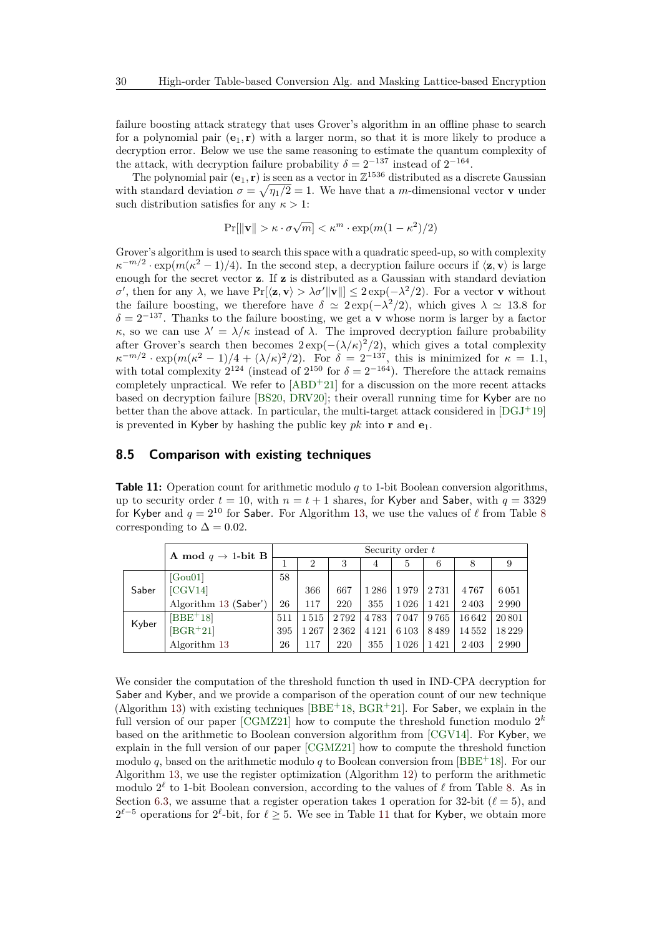failure boosting attack strategy that uses Grover's algorithm in an offline phase to search for a polynomial pair  $(e_1, r)$  with a larger norm, so that it is more likely to produce a decryption error. Below we use the same reasoning to estimate the quantum complexity of the attack, with decryption failure probability  $\delta = 2^{-137}$  instead of  $2^{-164}$ .

The polynomial pair  $(e_1, r)$  is seen as a vector in  $\mathbb{Z}^{1536}$  distributed as a discrete Gaussian with standard deviation  $\sigma = \sqrt{\eta_1/2} = 1$ . We have that a *m*-dimensional vector **v** under such distribution satisfies for any  $\kappa > 1$ :

$$
\Pr[\|\mathbf{v}\| > \kappa \cdot \sigma \sqrt{m}] < \kappa^m \cdot \exp(m(1 - \kappa^2)/2)
$$

Grover's algorithm is used to search this space with a quadratic speed-up, so with complexity  $\kappa^{-m/2} \cdot \exp(m(\kappa^2 - 1)/4)$ . In the second step, a decryption failure occurs if  $\langle \mathbf{z}, \mathbf{v} \rangle$  is large enough for the secret vector **z**. If **z** is distributed as a Gaussian with standard deviation  $\sigma'$ , then for any  $\lambda$ , we have  $\Pr[\langle \mathbf{z}, \mathbf{v} \rangle > \lambda \sigma' ||\mathbf{v}||] \leq 2 \exp(-\lambda^2/2)$ . For a vector **v** without the failure boosting, we therefore have  $\delta \simeq 2 \exp(-\lambda^2/2)$ , which gives  $\lambda \simeq 13.8$  for  $\delta = 2^{-137}$ . Thanks to the failure boosting, we get a **v** whose norm is larger by a factor *κ*, so we can use  $\lambda' = \lambda/\kappa$  instead of  $\lambda$ . The improved decryption failure probability after Grover's search then becomes  $2 \exp(-(\lambda/\kappa)^2/2)$ , which gives a total complexity  $\kappa^{-m/2} \cdot \exp(m(\kappa^2 - 1)/4 + (\lambda/\kappa)^2/2)$ . For  $\delta = 2^{-137}$ , this is minimized for  $\kappa = 1.1$ , with total complexity  $2^{124}$  (instead of  $2^{150}$  for  $\delta = 2^{-164}$ ). Therefore the attack remains completely unpractical. We refer to  $[ABD<sup>+</sup>21]$  $[ABD<sup>+</sup>21]$  for a discussion on the more recent attacks based on decryption failure [\[BS20,](#page-36-13) [DRV20\]](#page-37-9); their overall running time for Kyber are no better than the above attack. In particular, the multi-target attack considered in  $[DGJ^+19]$  $[DGJ^+19]$ is prevented in Kyber by hashing the public key  $pk$  into **r** and  $e_1$ .

### <span id="page-29-0"></span>**8.5 Comparison with existing techniques**

<span id="page-29-1"></span>**Table 11:** Operation count for arithmetic modulo *q* to 1-bit Boolean conversion algorithms, up to security order  $t = 10$ , with  $n = t + 1$  shares, for Kyber and Saber, with  $q = 3329$ for Kyber and  $q = 2^{10}$  for Saber. For Algorithm [13,](#page-26-0) we use the values of  $\ell$  from Table [8](#page-27-0) corresponding to  $\Delta = 0.02$ .

|       | <b>A</b> mod $q \rightarrow 1$ -bit <b>B</b> |     |                |      |         | Security order $t$ |      |        |       |
|-------|----------------------------------------------|-----|----------------|------|---------|--------------------|------|--------|-------|
|       |                                              |     | $\overline{2}$ | 3    | 4       | 5                  | 6    | 8      |       |
|       | [Gou01]                                      | 58  |                |      |         |                    |      |        |       |
| Saber | [CGV14]                                      |     | 366            | 667  | 1286    | 1979               | 2731 | 4767   | 6051  |
|       | Algorithm 13 (Saber')                        | 26  | 117            | 220  | 355     | 1026               | 1421 | 2403   | 2990  |
| Kyber | $[BBE+18]$                                   | 511 | 1515           | 2792 | 4783    | 7047               | 9765 | 16 642 | 20801 |
|       | $[BGR+21]$                                   | 395 | 1267           | 2362 | 4 1 2 1 | 6 1 0 3            | 8489 | 14552  | 18229 |
|       | Algorithm 13                                 | 26  | 117            | 220  | 355     | 1026               | 1421 | 2403   | 2990  |

We consider the computation of the threshold function th used in IND-CPA decryption for Saber and Kyber, and we provide a comparison of the operation count of our new technique (Algorithm [13\)](#page-26-0) with existing techniques  $[BBE^+18, BGR^+21]$  $[BBE^+18, BGR^+21]$  $[BBE^+18, BGR^+21]$  $[BBE^+18, BGR^+21]$ . For Saber, we explain in the full version of our paper [\[CGMZ21\]](#page-36-12) how to compute the threshold function modulo 2 *k* based on the arithmetic to Boolean conversion algorithm from [\[CGV14\]](#page-36-7). For Kyber, we explain in the full version of our paper [\[CGMZ21\]](#page-36-12) how to compute the threshold function modulo *q*, based on the arithmetic modulo *q* to Boolean conversion from [\[BBE](#page-35-4)<sup>+</sup>18]. For our Algorithm [13,](#page-26-0) we use the register optimization (Algorithm [12\)](#page-20-0) to perform the arithmetic modulo  $2^{\ell}$  to 1-bit Boolean conversion, according to the values of  $\ell$  from Table [8.](#page-27-0) As in Section [6.3,](#page-19-1) we assume that a register operation takes 1 operation for 32-bit ( $\ell = 5$ ), and  $2<sup>ℓ-5</sup>$  operations for  $2<sup>ℓ</sup>$ -bit, for  $ℓ ≥ 5$ . We see in Table [11](#page-29-1) that for Kyber, we obtain more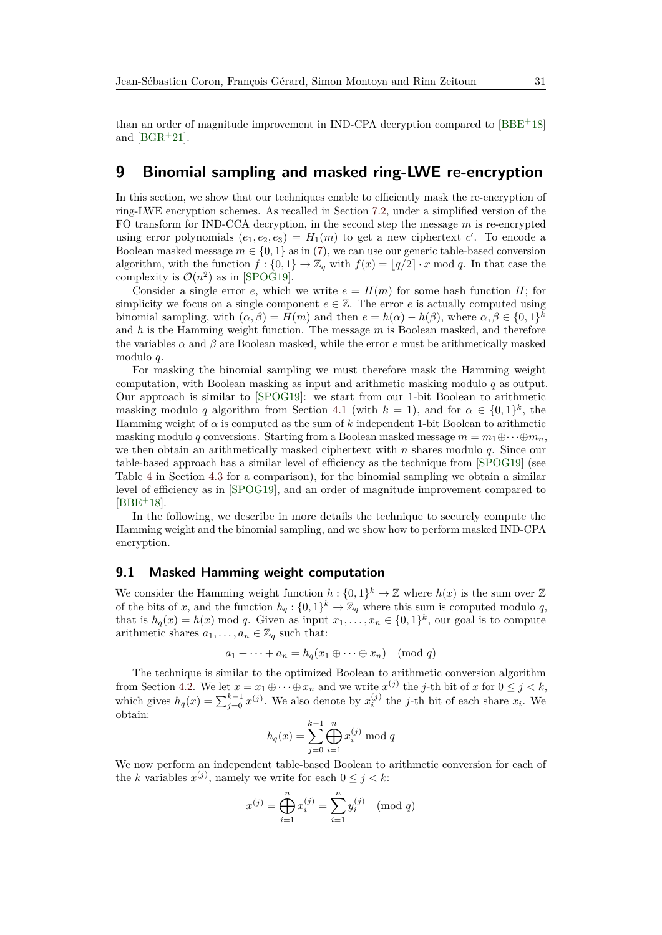## **9 Binomial sampling and masked ring-LWE re-encryption**

In this section, we show that our techniques enable to efficiently mask the re-encryption of ring-LWE encryption schemes. As recalled in Section [7.2,](#page-23-1) under a simplified version of the FO transform for IND-CCA decryption, in the second step the message *m* is re-encrypted using error polynomials  $(e_1, e_2, e_3) = H_1(m)$  to get a new ciphertext *c*'. To encode a Boolean masked message  $m \in \{0, 1\}$  as in [\(7\)](#page-22-0), we can use our generic table-based conversion algorithm, with the function  $f : \{0,1\} \to \mathbb{Z}_q$  with  $f(x) = |q/2| \cdot x \mod q$ . In that case the complexity is  $\mathcal{O}(n^2)$  as in [\[SPOG19\]](#page-39-2).

Consider a single error *e*, which we write  $e = H(m)$  for some hash function *H*; for simplicity we focus on a single component  $e \in \mathbb{Z}$ . The error *e* is actually computed using binomial sampling, with  $(\alpha, \beta) = H(m)$  and then  $e = h(\alpha) - h(\beta)$ , where  $\alpha, \beta \in \{0, 1\}^k$ and *h* is the Hamming weight function. The message *m* is Boolean masked, and therefore the variables  $\alpha$  and  $\beta$  are Boolean masked, while the error *e* must be arithmetically masked modulo *q*.

For masking the binomial sampling we must therefore mask the Hamming weight computation, with Boolean masking as input and arithmetic masking modulo *q* as output. Our approach is similar to [\[SPOG19\]](#page-39-2): we start from our 1-bit Boolean to arithmetic masking modulo *q* algorithm from Section [4.1](#page-9-3) (with  $k = 1$ ), and for  $\alpha \in \{0, 1\}^k$ , the Hamming weight of  $\alpha$  is computed as the sum of  $k$  independent 1-bit Boolean to arithmetic masking modulo *q* conversions. Starting from a Boolean masked message  $m = m_1 \oplus \cdots \oplus m_n$ , we then obtain an arithmetically masked ciphertext with *n* shares modulo *q*. Since our table-based approach has a similar level of efficiency as the technique from [\[SPOG19\]](#page-39-2) (see Table [4](#page-12-2) in Section [4.3](#page-11-1) for a comparison), for the binomial sampling we obtain a similar level of efficiency as in [\[SPOG19\]](#page-39-2), and an order of magnitude improvement compared to  $[BBE+18]$  $[BBE+18]$ .

In the following, we describe in more details the technique to securely compute the Hamming weight and the binomial sampling, and we show how to perform masked IND-CPA encryption.

### **9.1 Masked Hamming weight computation**

We consider the Hamming weight function  $h: \{0,1\}^k \to \mathbb{Z}$  where  $h(x)$  is the sum over  $\mathbb{Z}$ of the bits of *x*, and the function  $h_q: \{0,1\}^k \to \mathbb{Z}_q$  where this sum is computed modulo *q*, that is  $h_q(x) = h(x) \mod q$ . Given as input  $x_1, \ldots, x_n \in \{0,1\}^k$ , our goal is to compute arithmetic shares  $a_1, \ldots, a_n \in \mathbb{Z}_q$  such that:

$$
a_1 + \dots + a_n = h_q(x_1 \oplus \dots \oplus x_n) \pmod{q}
$$

The technique is similar to the optimized Boolean to arithmetic conversion algorithm from Section [4.2.](#page-10-1) We let  $x = x_1 \oplus \cdots \oplus x_n$  and we write  $x^{(j)}$  the *j*-th bit of *x* for  $0 \leq j < k$ , which gives  $h_q(x) = \sum_{j=0}^{k-1} x^{(j)}$ . We also denote by  $x_i^{(j)}$  the *j*-th bit of each share  $x_i$ . We obtain:

$$
h_q(x) = \sum_{j=0}^{k-1} \bigoplus_{i=1}^n x_i^{(j)} \bmod q
$$

We now perform an independent table-based Boolean to arithmetic conversion for each of the *k* variables  $x^{(j)}$ , namely we write for each  $0 \leq j \leq k$ :

$$
x^{(j)} = \bigoplus_{i=1}^{n} x_i^{(j)} = \sum_{i=1}^{n} y_i^{(j)} \pmod{q}
$$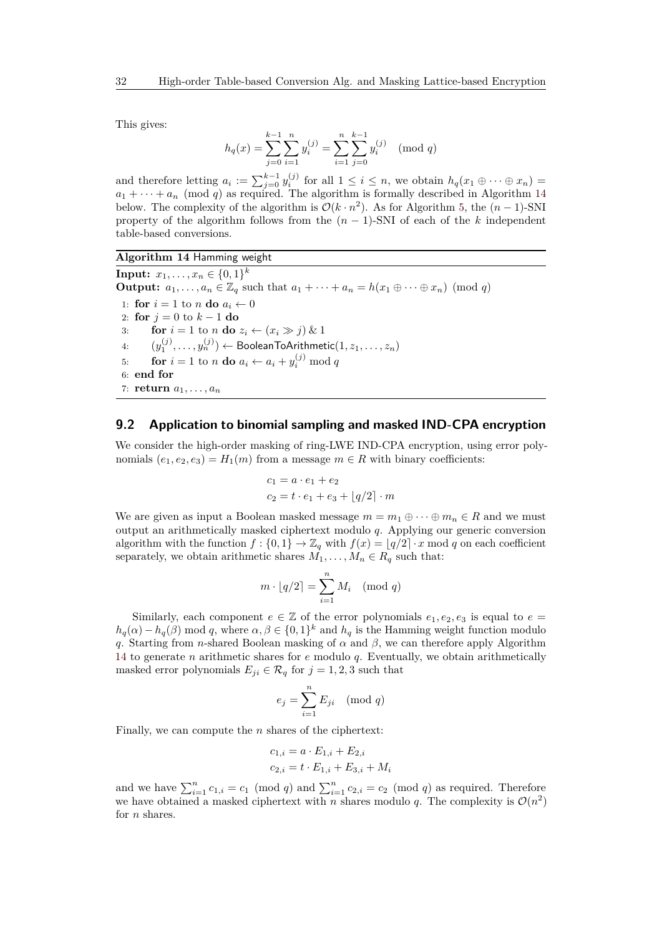This gives:

$$
h_q(x) = \sum_{j=0}^{k-1} \sum_{i=1}^n y_i^{(j)} = \sum_{i=1}^n \sum_{j=0}^{k-1} y_i^{(j)} \pmod{q}
$$

and therefore letting  $a_i := \sum_{j=0}^{k-1} y_i^{(j)}$  for all  $1 \le i \le n$ , we obtain  $h_q(x_1 \oplus \cdots \oplus x_n) =$  $a_1 + \cdots + a_n \pmod{q}$  as required. The algorithm is formally described in Algorithm [14](#page-31-0) below. The complexity of the algorithm is  $\mathcal{O}(k \cdot n^2)$ . As for Algorithm [5,](#page-10-0) the  $(n-1)$ -SNI property of the algorithm follows from the  $(n-1)$ -SNI of each of the *k* independent table-based conversions.

#### <span id="page-31-0"></span>**Algorithm 14** Hamming weight

 $\textbf{Input:} \ \ x_1, \ldots, x_n \in \{0,1\}^k$ **Output:**  $a_1, \ldots, a_n \in \mathbb{Z}_q$  such that  $a_1 + \cdots + a_n = h(x_1 \oplus \cdots \oplus x_n) \pmod{q}$ 1: **for**  $i = 1$  to *n* **do**  $a_i \leftarrow 0$ 2: **for**  $j = 0$  to  $k - 1$  **do** 3: **for**  $i = 1$  to *n* **do**  $z_i \leftarrow (x_i \gg j) \& 1$ 4:  $(y_1^{(j)}, \ldots, y_n^{(j)}) \leftarrow \textsf{BooleanToArithmetic}(1, z_1, \ldots, z_n)$ 5: **for**  $i = 1$  to *n* **do**  $a_i \leftarrow a_i + y_i^{(j)} \mod q$ 6: **end for** 7: **return**  $a_1, \ldots, a_n$ 

### <span id="page-31-1"></span>**9.2 Application to binomial sampling and masked IND-CPA encryption**

We consider the high-order masking of ring-LWE IND-CPA encryption, using error polynomials  $(e_1, e_2, e_3) = H_1(m)$  from a message  $m \in R$  with binary coefficients:

$$
c_1 = a \cdot e_1 + e_2
$$
  

$$
c_2 = t \cdot e_1 + e_3 + \lfloor q/2 \rfloor \cdot m
$$

We are given as input a Boolean masked message  $m = m_1 \oplus \cdots \oplus m_n \in R$  and we must output an arithmetically masked ciphertext modulo *q*. Applying our generic conversion algorithm with the function  $f : \{0,1\} \to \mathbb{Z}_q$  with  $f(x) = |q/2| \cdot x \mod q$  on each coefficient separately, we obtain arithmetic shares  $M_1, \ldots, M_n \in R_q$  such that:

$$
m \cdot \lfloor q/2 \rceil = \sum_{i=1}^{n} M_i \pmod{q}
$$

Similarly, each component  $e \in \mathbb{Z}$  of the error polynomials  $e_1, e_2, e_3$  is equal to  $e =$  $h_q(\alpha) - h_q(\beta)$  mod *q*, where  $\alpha, \beta \in \{0,1\}^k$  and  $h_q$  is the Hamming weight function modulo *q*. Starting from *n*-shared Boolean masking of  $\alpha$  and  $\beta$ , we can therefore apply Algorithm [14](#page-31-0) to generate *n* arithmetic shares for *e* modulo *q*. Eventually, we obtain arithmetically masked error polynomials  $E_{ji} \in \mathcal{R}_q$  for  $j = 1, 2, 3$  such that

$$
e_j = \sum_{i=1}^n E_{ji} \pmod{q}
$$

Finally, we can compute the *n* shares of the ciphertext:

$$
c_{1,i} = a \cdot E_{1,i} + E_{2,i}
$$
  

$$
c_{2,i} = t \cdot E_{1,i} + E_{3,i} + M_i
$$

and we have  $\sum_{i=1}^{n} c_{1,i} = c_1 \pmod{q}$  and  $\sum_{i=1}^{n} c_{2,i} = c_2 \pmod{q}$  as required. Therefore we have obtained a masked ciphertext with *n* shares modulo *q*. The complexity is  $\mathcal{O}(n^2)$ for *n* shares.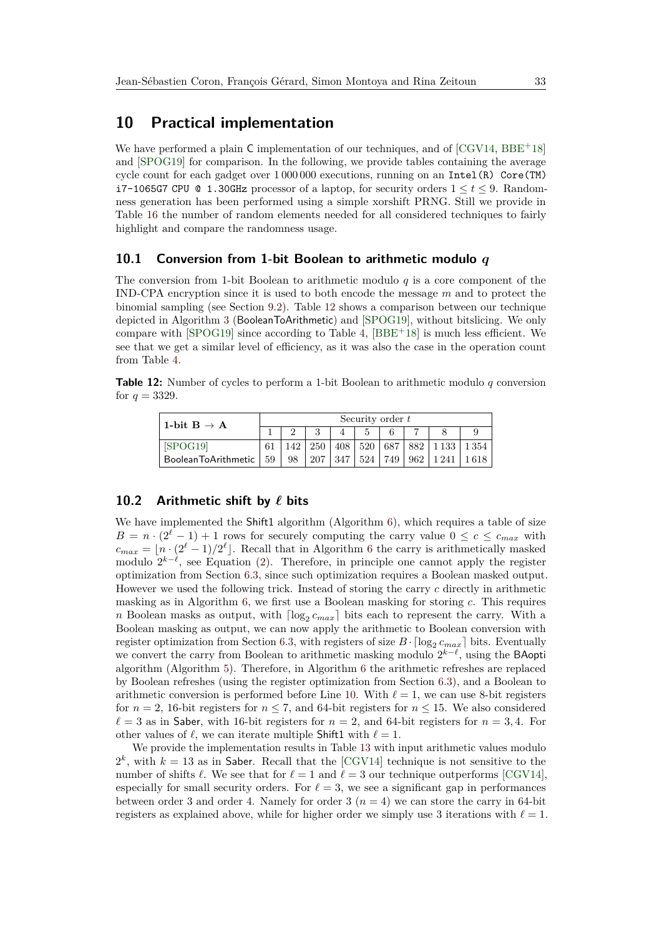## <span id="page-32-0"></span>**10 Practical implementation**

We have performed a plain  $\mathsf C$  implementation of our techniques, and of [\[CGV14,](#page-36-7) [BBE](#page-35-4)+18] and [\[SPOG19\]](#page-39-2) for comparison. In the following, we provide tables containing the average cycle count for each gadget over  $1\,000\,000$  executions, running on an Intel(R) Core(TM) i7-1065G7 CPU @ 1.30GHz processor of a laptop, for security orders 1 ≤ *t* ≤ 9. Randomness generation has been performed using a simple xorshift PRNG. Still we provide in Table [16](#page-34-0) the number of random elements needed for all considered techniques to fairly highlight and compare the randomness usage.

### **10.1 Conversion from 1-bit Boolean to arithmetic modulo** *q*

The conversion from 1-bit Boolean to arithmetic modulo *q* is a core component of the IND-CPA encryption since it is used to both encode the message *m* and to protect the binomial sampling (see Section [9.2\)](#page-31-1). Table [12](#page-32-1) shows a comparison between our technique depicted in Algorithm [3](#page-9-0) (BooleanToArithmetic) and [\[SPOG19\]](#page-39-2), without bitslicing. We only compare with  $[SPOG19]$  since according to Table [4,](#page-12-2)  $[BBE^+18]$  $[BBE^+18]$  is much less efficient. We see that we get a similar level of efficiency, as it was also the case in the operation count from Table [4.](#page-12-2)

<span id="page-32-1"></span>**Table 12:** Number of cycles to perform a 1-bit Boolean to arithmetic modulo *q* conversion for  $q = 3329$ .

| 1-bit $B \rightarrow A$  | Security order t |     |     |  |             |     |     |                         |      |  |  |  |
|--------------------------|------------------|-----|-----|--|-------------|-----|-----|-------------------------|------|--|--|--|
|                          |                  |     |     |  |             |     |     |                         |      |  |  |  |
| [SPOG19]                 |                  | 142 |     |  | 250 408 520 |     |     | 687   882   1133   1354 |      |  |  |  |
| BooleanToArithmetic   59 |                  | 98  | 207 |  | 347   524   | 749 | 962 | 1 2 4 1                 | 1618 |  |  |  |

### **10.2** Arithmetic shift by  $\ell$  bits

We have implemented the Shift1 algorithm (Algorithm [6\)](#page-14-0), which requires a table of size  $B = n \cdot (2^{\ell} - 1) + 1$  rows for securely computing the carry value  $0 \leq c \leq c_{max}$  with  $c_{max} = \lfloor n \cdot (2^{\ell} - 1)/2^{\ell} \rfloor$ . Recall that in Algorithm [6](#page-14-0) the carry is arithmetically masked modulo  $2^{k-\ell}$ , see Equation [\(2\)](#page-13-1). Therefore, in principle one cannot apply the register optimization from Section [6.3,](#page-19-1) since such optimization requires a Boolean masked output. However we used the following trick. Instead of storing the carry *c* directly in arithmetic masking as in Algorithm [6,](#page-14-0) we first use a Boolean masking for storing *c*. This requires *n* Boolean masks as output, with  $\lceil \log_2 c_{max} \rceil$  bits each to represent the carry. With a Boolean masking as output, we can now apply the arithmetic to Boolean conversion with register optimization from Section [6.3,](#page-19-1) with registers of size  $B \cdot \lceil \log_2 c_{max} \rceil$  bits. Eventually we convert the carry from Boolean to arithmetic masking modulo  $2^{k-\ell}$ , using the BAopti algorithm (Algorithm [5\)](#page-10-0). Therefore, in Algorithm [6](#page-14-0) the arithmetic refreshes are replaced by Boolean refreshes (using the register optimization from Section [6.3\)](#page-19-1), and a Boolean to arithmetic conversion is performed before Line [10.](#page-14-0) With  $\ell = 1$ , we can use 8-bit registers for  $n = 2$ , 16-bit registers for  $n \le 7$ , and 64-bit registers for  $n \le 15$ . We also considered  $\ell = 3$  as in Saber, with 16-bit registers for  $n = 2$ , and 64-bit registers for  $n = 3, 4$ . For other values of  $\ell$ , we can iterate multiple Shift1 with  $\ell = 1$ .

We provide the implementation results in Table [13](#page-33-1) with input arithmetic values modulo  $2^k$ , with  $k = 13$  as in Saber. Recall that the [\[CGV14\]](#page-36-7) technique is not sensitive to the number of shifts  $\ell$ . We see that for  $\ell = 1$  and  $\ell = 3$  our technique outperforms [\[CGV14\]](#page-36-7), especially for small security orders. For  $\ell = 3$ , we see a significant gap in performances between order 3 and order 4. Namely for order  $3 (n = 4)$  we can store the carry in 64-bit registers as explained above, while for higher order we simply use 3 iterations with  $\ell = 1$ .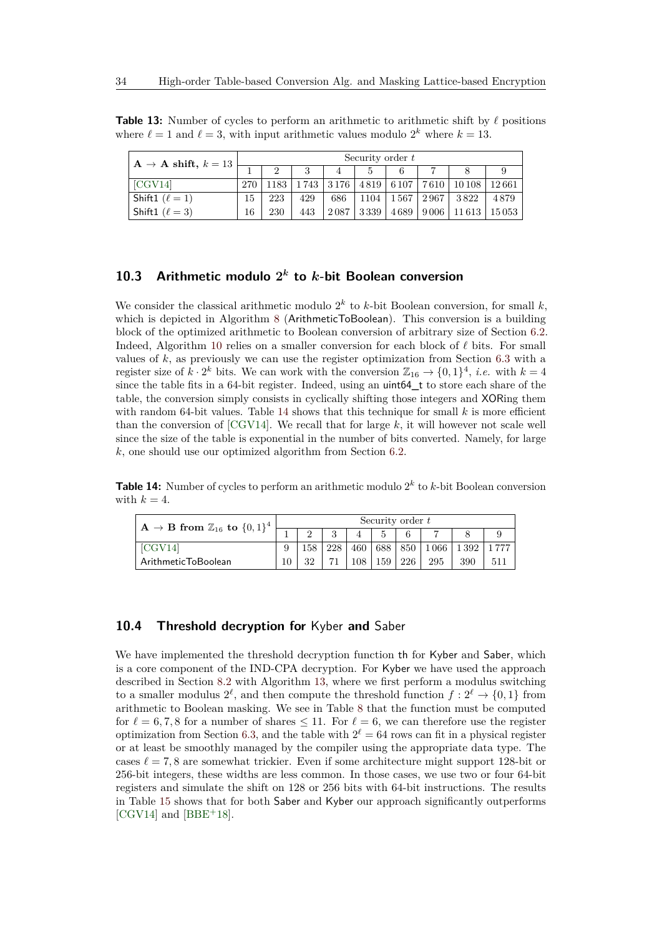<span id="page-33-1"></span>**Table 13:** Number of cycles to perform an arithmetic to arithmetic shift by  $\ell$  positions where  $\ell = 1$  and  $\ell = 3$ , with input arithmetic values modulo  $2^k$  where  $k = 13$ .

| $A \rightarrow A$ shift, $k = 13$ | Security order $t$ |     |                                 |      |      |           |                  |                    |       |  |  |
|-----------------------------------|--------------------|-----|---------------------------------|------|------|-----------|------------------|--------------------|-------|--|--|
|                                   |                    |     |                                 |      |      |           |                  |                    |       |  |  |
| [CGV14]                           | 270                |     | $1183 \mid 1743 \mid 3176 \mid$ |      |      | 4819 6107 | 7610             | 10 10 8            | 12661 |  |  |
| Shift1 $(\ell = 1)$               | 15                 | 223 | 429                             | 686  | 1104 |           | 1567   2967      | 3822               | 4879  |  |  |
| Shift1 ( $\ell = 3$ )             | 16                 | 230 | 443                             | 2087 | 3339 | 4689      | $\frac{1}{9}006$ | $11613 \mid 15053$ |       |  |  |

## **10.3 Arithmetic modulo 2** *k* **to** *k***-bit Boolean conversion**

We consider the classical arithmetic modulo  $2^k$  to  $k$ -bit Boolean conversion, for small  $k$ , which is depicted in Algorithm [8](#page-17-0) (ArithmeticToBoolean). This conversion is a building block of the optimized arithmetic to Boolean conversion of arbitrary size of Section [6.2.](#page-17-1) Indeed, Algorithm [10](#page-18-0) relies on a smaller conversion for each block of  $\ell$  bits. For small values of *k*, as previously we can use the register optimization from Section [6.3](#page-19-1) with a register size of  $k \cdot 2^k$  bits. We can work with the conversion  $\mathbb{Z}_{16} \to \{0,1\}^4$ , *i.e.* with  $k=4$ since the table fits in a 64-bit register. Indeed, using an uint64\_t to store each share of the table, the conversion simply consists in cyclically shifting those integers and XORing them with random 64-bit values. Table [14](#page-33-2) shows that this technique for small  $k$  is more efficient than the conversion of [\[CGV14\]](#page-36-7). We recall that for large *k*, it will however not scale well since the size of the table is exponential in the number of bits converted. Namely, for large *k*, one should use our optimized algorithm from Section [6.2.](#page-17-1)

<span id="page-33-2"></span>**Table 14:** Number of cycles to perform an arithmetic modulo 2 *k* to *k*-bit Boolean conversion with  $k = 4$ .

| $\rm{A} \rightarrow B$ from $\mathbb{Z}_{16}$ to $\{0,1\}^4$ |  | Security order t |          |     |     |     |                               |     |     |  |  |
|--------------------------------------------------------------|--|------------------|----------|-----|-----|-----|-------------------------------|-----|-----|--|--|
|                                                              |  |                  | $\Omega$ |     | G   |     |                               |     |     |  |  |
| [CGV14]                                                      |  |                  | 228      |     |     |     | 460   688   850   1066   1392 |     |     |  |  |
| ArithmeticToBoolean                                          |  | າາ               |          | 108 | 159 | 226 | 295                           | 390 | 511 |  |  |

### <span id="page-33-0"></span>**10.4 Threshold decryption for** Kyber **and** Saber

We have implemented the threshold decryption function the for Kyber and Saber, which is a core component of the IND-CPA decryption. For Kyber we have used the approach described in Section [8.2](#page-25-0) with Algorithm [13,](#page-26-0) where we first perform a modulus switching to a smaller modulus  $2^{\ell}$ , and then compute the threshold function  $f: 2^{\ell} \rightarrow \{0,1\}$  from arithmetic to Boolean masking. We see in Table [8](#page-27-0) that the function must be computed for  $\ell = 6, 7, 8$  for a number of shares  $\leq 11$ . For  $\ell = 6$ , we can therefore use the register optimization from Section [6.3,](#page-19-1) and the table with  $2^{\ell} = 64$  rows can fit in a physical register or at least be smoothly managed by the compiler using the appropriate data type. The cases  $\ell = 7, 8$  are somewhat trickier. Even if some architecture might support 128-bit or 256-bit integers, these widths are less common. In those cases, we use two or four 64-bit registers and simulate the shift on 128 or 256 bits with 64-bit instructions. The results in Table [15](#page-34-1) shows that for both Saber and Kyber our approach significantly outperforms [\[CGV14\]](#page-36-7) and  $[BBE<sup>+</sup>18]$  $[BBE<sup>+</sup>18]$ .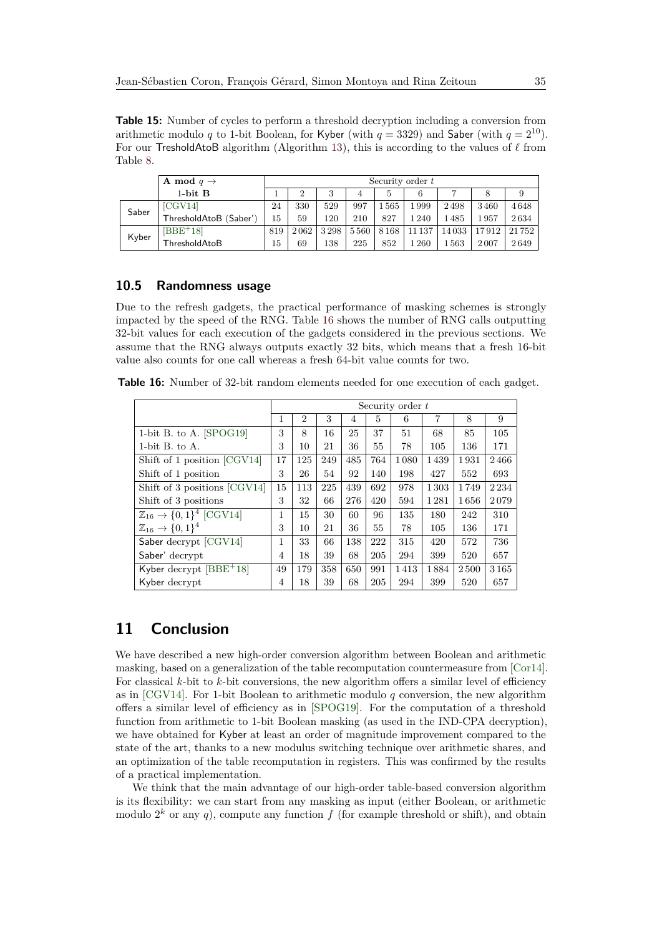<span id="page-34-1"></span>**Table 15:** Number of cycles to perform a threshold decryption including a conversion from arithmetic modulo *q* to 1-bit Boolean, for Kyber (with  $q = 3329$ ) and Saber (with  $q = 2^{10}$ ). For our TresholdAtoB algorithm (Algorithm [13\)](#page-26-0), this is according to the values of  $\ell$  from Table [8.](#page-27-0)

|       | <b>A</b> mod $q \rightarrow$ |     | Security order $t$ |      |      |      |               |          |       |       |  |  |  |
|-------|------------------------------|-----|--------------------|------|------|------|---------------|----------|-------|-------|--|--|--|
|       | 1-bit $B$                    |     | ച                  | 3    | 4    | 5    | 6             |          | 8     | 9     |  |  |  |
| Saber | [CGV14]                      | 24  | 330                | 529  | 997  | 1565 | .999          | 2498     | 3460  | 4648  |  |  |  |
|       | ThresholdAtoB (Saber')       | 15  | 59                 | 120  | 210  | 827  | $^{\circ}240$ | 1485     | 1957  | 2634  |  |  |  |
| Kyber | $[BBE+18]$                   | 819 | 2062               | 3298 | 5560 | 8168 | 11 1 37       | 14033    | 17912 | 21752 |  |  |  |
|       | ThresholdAtoB                | 15  | 69                 | 138  | 225  | 852  | .260          | $1\,563$ | 2007  | 2649  |  |  |  |

### **10.5 Randomness usage**

Due to the refresh gadgets, the practical performance of masking schemes is strongly impacted by the speed of the RNG. Table [16](#page-34-0) shows the number of RNG calls outputting 32-bit values for each execution of the gadgets considered in the previous sections. We assume that the RNG always outputs exactly 32 bits, which means that a fresh 16-bit value also counts for one call whereas a fresh 64-bit value counts for two.

<span id="page-34-0"></span>**Table 16:** Number of 32-bit random elements needed for one execution of each gadget.

|                                                 | Security order t |                |     |     |     |      |      |      |         |  |  |
|-------------------------------------------------|------------------|----------------|-----|-----|-----|------|------|------|---------|--|--|
|                                                 | 1                | $\overline{2}$ | 3   | 4   | 5   | 6    | 7    | 8    | 9       |  |  |
| 1-bit B. to A. $[SPOG19]$                       | 3                | 8              | 16  | 25  | 37  | 51   | 68   | 85   | 105     |  |  |
| 1-bit $B$ , to $A$ .                            | 3                | 10             | 21  | 36  | 55  | 78   | 105  | 136  | 171     |  |  |
| Shift of 1 position [CGV14]                     | 17               | 125            | 249 | 485 | 764 | 1080 | 1439 | 1931 | 2466    |  |  |
| Shift of 1 position                             | 3                | 26             | 54  | 92  | 140 | 198  | 427  | 552  | 693     |  |  |
| Shift of 3 positions [CGV14]                    | 15               | 113            | 225 | 439 | 692 | 978  | 1303 | 1749 | 2 2 3 4 |  |  |
| Shift of 3 positions                            | 3                | 32             | 66  | 276 | 420 | 594  | 1281 | 1656 | 2079    |  |  |
| $\mathbb{Z}_{16} \rightarrow \{0,1\}^4$ [CGV14] | 1                | 15             | 30  | 60  | 96  | 135  | 180  | 242  | 310     |  |  |
| $\mathbb{Z}_{16} \to \{0,1\}^4$                 | 3                | 10             | 21  | 36  | 55  | 78   | 105  | 136  | 171     |  |  |
| Saber decrypt [CGV14]                           | 1                | 33             | 66  | 138 | 222 | 315  | 420  | 572  | 736     |  |  |
| Saber' decrypt                                  | $\overline{4}$   | 18             | 39  | 68  | 205 | 294  | 399  | 520  | 657     |  |  |
| Kyber decrypt $[BBE^+18]$                       | 49               | 179            | 358 | 650 | 991 | 1413 | 1884 | 2500 | 3165    |  |  |
| Kyber decrypt                                   | 4                | 18             | 39  | 68  | 205 | 294  | 399  | 520  | 657     |  |  |

## **11 Conclusion**

We have described a new high-order conversion algorithm between Boolean and arithmetic masking, based on a generalization of the table recomputation countermeasure from [\[Cor14\]](#page-36-9). For classical *k*-bit to *k*-bit conversions, the new algorithm offers a similar level of efficiency as in [\[CGV14\]](#page-36-7). For 1-bit Boolean to arithmetic modulo *q* conversion, the new algorithm offers a similar level of efficiency as in [\[SPOG19\]](#page-39-2). For the computation of a threshold function from arithmetic to 1-bit Boolean masking (as used in the IND-CPA decryption), we have obtained for Kyber at least an order of magnitude improvement compared to the state of the art, thanks to a new modulus switching technique over arithmetic shares, and an optimization of the table recomputation in registers. This was confirmed by the results of a practical implementation.

We think that the main advantage of our high-order table-based conversion algorithm is its flexibility: we can start from any masking as input (either Boolean, or arithmetic modulo  $2^k$  or any  $q$ ), compute any function  $f$  (for example threshold or shift), and obtain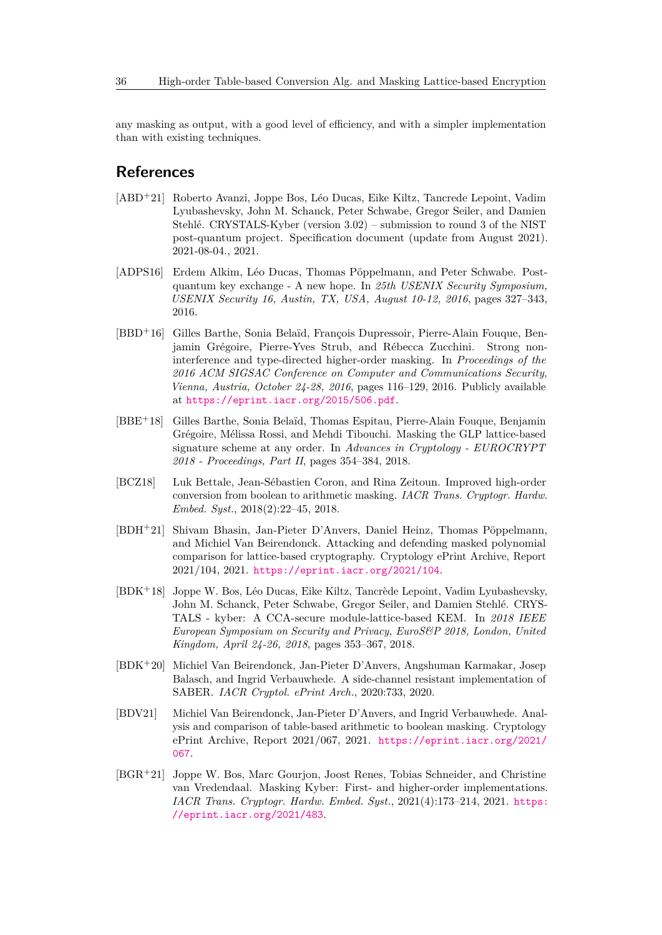any masking as output, with a good level of efficiency, and with a simpler implementation than with existing techniques.

## **References**

- <span id="page-35-1"></span>[ABD<sup>+</sup>21] Roberto Avanzi, Joppe Bos, Léo Ducas, Eike Kiltz, Tancrede Lepoint, Vadim Lyubashevsky, John M. Schanck, Peter Schwabe, Gregor Seiler, and Damien Stehlé. CRYSTALS-Kyber (version 3.02) – submission to round 3 of the NIST post-quantum project. Specification document (update from August 2021). 2021-08-04., 2021.
- <span id="page-35-9"></span>[ADPS16] Erdem Alkim, Léo Ducas, Thomas Pöppelmann, and Peter Schwabe. Postquantum key exchange - A new hope. In *25th USENIX Security Symposium, USENIX Security 16, Austin, TX, USA, August 10-12, 2016*, pages 327–343, 2016.
- <span id="page-35-2"></span>[BBD<sup>+</sup>16] Gilles Barthe, Sonia Belaïd, François Dupressoir, Pierre-Alain Fouque, Benjamin Grégoire, Pierre-Yves Strub, and Rébecca Zucchini. Strong noninterference and type-directed higher-order masking. In *Proceedings of the 2016 ACM SIGSAC Conference on Computer and Communications Security, Vienna, Austria, October 24-28, 2016*, pages 116–129, 2016. Publicly available at <https://eprint.iacr.org/2015/506.pdf>.
- <span id="page-35-4"></span>[BBE<sup>+</sup>18] Gilles Barthe, Sonia Belaïd, Thomas Espitau, Pierre-Alain Fouque, Benjamin Grégoire, Mélissa Rossi, and Mehdi Tibouchi. Masking the GLP lattice-based signature scheme at any order. In *Advances in Cryptology - EUROCRYPT 2018 - Proceedings, Part II*, pages 354–384, 2018.
- <span id="page-35-5"></span>[BCZ18] Luk Bettale, Jean-Sébastien Coron, and Rina Zeitoun. Improved high-order conversion from boolean to arithmetic masking. *IACR Trans. Cryptogr. Hardw. Embed. Syst.*, 2018(2):22–45, 2018.
- <span id="page-35-7"></span>[BDH<sup>+</sup>21] Shivam Bhasin, Jan-Pieter D'Anvers, Daniel Heinz, Thomas Pöppelmann, and Michiel Van Beirendonck. Attacking and defending masked polynomial comparison for lattice-based cryptography. Cryptology ePrint Archive, Report 2021/104, 2021. <https://eprint.iacr.org/2021/104>.
- <span id="page-35-0"></span>[BDK<sup>+</sup>18] Joppe W. Bos, Léo Ducas, Eike Kiltz, Tancrède Lepoint, Vadim Lyubashevsky, John M. Schanck, Peter Schwabe, Gregor Seiler, and Damien Stehlé. CRYS-TALS - kyber: A CCA-secure module-lattice-based KEM. In *2018 IEEE European Symposium on Security and Privacy, EuroS&P 2018, London, United Kingdom, April 24-26, 2018*, pages 353–367, 2018.
- <span id="page-35-6"></span>[BDK<sup>+</sup>20] Michiel Van Beirendonck, Jan-Pieter D'Anvers, Angshuman Karmakar, Josep Balasch, and Ingrid Verbauwhede. A side-channel resistant implementation of SABER. *IACR Cryptol. ePrint Arch.*, 2020:733, 2020.
- <span id="page-35-3"></span>[BDV21] Michiel Van Beirendonck, Jan-Pieter D'Anvers, and Ingrid Verbauwhede. Analysis and comparison of table-based arithmetic to boolean masking. Cryptology ePrint Archive, Report 2021/067, 2021. [https://eprint.iacr.org/2021/](https://eprint.iacr.org/2021/067) [067](https://eprint.iacr.org/2021/067).
- <span id="page-35-8"></span>[BGR<sup>+</sup>21] Joppe W. Bos, Marc Gourjon, Joost Renes, Tobias Schneider, and Christine van Vredendaal. Masking Kyber: First- and higher-order implementations. *IACR Trans. Cryptogr. Hardw. Embed. Syst.*, 2021(4):173–214, 2021. [https:](https://eprint.iacr.org/2021/483) [//eprint.iacr.org/2021/483](https://eprint.iacr.org/2021/483).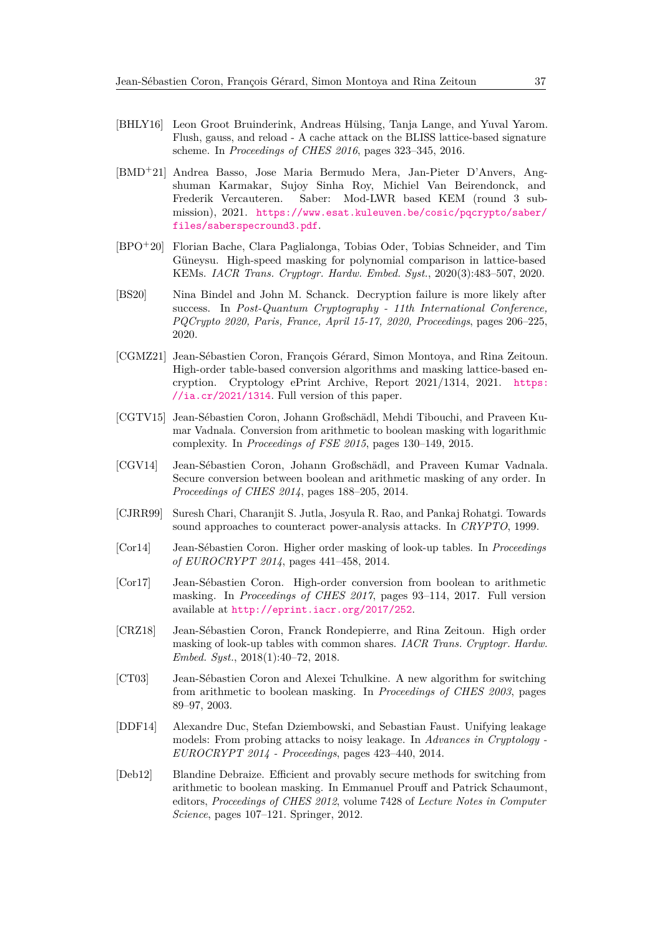- <span id="page-36-0"></span>[BHLY16] Leon Groot Bruinderink, Andreas Hülsing, Tanja Lange, and Yuval Yarom. Flush, gauss, and reload - A cache attack on the BLISS lattice-based signature scheme. In *Proceedings of CHES 2016*, pages 323–345, 2016.
- <span id="page-36-1"></span>[BMD<sup>+</sup>21] Andrea Basso, Jose Maria Bermudo Mera, Jan-Pieter D'Anvers, Angshuman Karmakar, Sujoy Sinha Roy, Michiel Van Beirendonck, and Frederik Vercauteren. Saber: Mod-LWR based KEM (round 3 submission), 2021. [https://www.esat.kuleuven.be/cosic/pqcrypto/saber/](https://www.esat.kuleuven.be/cosic/pqcrypto/saber/files/saberspecround3.pdf) [files/saberspecround3.pdf](https://www.esat.kuleuven.be/cosic/pqcrypto/saber/files/saberspecround3.pdf).
- <span id="page-36-11"></span>[BPO<sup>+</sup>20] Florian Bache, Clara Paglialonga, Tobias Oder, Tobias Schneider, and Tim Güneysu. High-speed masking for polynomial comparison in lattice-based KEMs. *IACR Trans. Cryptogr. Hardw. Embed. Syst.*, 2020(3):483–507, 2020.
- <span id="page-36-13"></span>[BS20] Nina Bindel and John M. Schanck. Decryption failure is more likely after success. In *Post-Quantum Cryptography - 11th International Conference, PQCrypto 2020, Paris, France, April 15-17, 2020, Proceedings*, pages 206–225, 2020.
- <span id="page-36-12"></span>[CGMZ21] Jean-Sébastien Coron, François Gérard, Simon Montoya, and Rina Zeitoun. High-order table-based conversion algorithms and masking lattice-based encryption. Cryptology ePrint Archive, Report 2021/1314, 2021. [https:](https://ia.cr/2021/1314)  $1/ia. cr/2021/1314$ . Full version of this paper.
- <span id="page-36-4"></span>[CGTV15] Jean-Sébastien Coron, Johann Großschädl, Mehdi Tibouchi, and Praveen Kumar Vadnala. Conversion from arithmetic to boolean masking with logarithmic complexity. In *Proceedings of FSE 2015*, pages 130–149, 2015.
- <span id="page-36-7"></span>[CGV14] Jean-Sébastien Coron, Johann Großschädl, and Praveen Kumar Vadnala. Secure conversion between boolean and arithmetic masking of any order. In *Proceedings of CHES 2014*, pages 188–205, 2014.
- <span id="page-36-2"></span>[CJRR99] Suresh Chari, Charanjit S. Jutla, Josyula R. Rao, and Pankaj Rohatgi. Towards sound approaches to counteract power-analysis attacks. In *CRYPTO*, 1999.
- <span id="page-36-9"></span>[Cor14] Jean-Sébastien Coron. Higher order masking of look-up tables. In *Proceedings of EUROCRYPT 2014*, pages 441–458, 2014.
- <span id="page-36-8"></span>[Cor17] Jean-Sébastien Coron. High-order conversion from boolean to arithmetic masking. In *Proceedings of CHES 2017*, pages 93–114, 2017. Full version available at <http://eprint.iacr.org/2017/252>.
- <span id="page-36-10"></span>[CRZ18] Jean-Sébastien Coron, Franck Rondepierre, and Rina Zeitoun. High order masking of look-up tables with common shares. *IACR Trans. Cryptogr. Hardw. Embed. Syst.*, 2018(1):40–72, 2018.
- <span id="page-36-5"></span>[CT03] Jean-Sébastien Coron and Alexei Tchulkine. A new algorithm for switching from arithmetic to boolean masking. In *Proceedings of CHES 2003*, pages 89–97, 2003.
- <span id="page-36-3"></span>[DDF14] Alexandre Duc, Stefan Dziembowski, and Sebastian Faust. Unifying leakage models: From probing attacks to noisy leakage. In *Advances in Cryptology - EUROCRYPT 2014 - Proceedings*, pages 423–440, 2014.
- <span id="page-36-6"></span>[Deb12] Blandine Debraize. Efficient and provably secure methods for switching from arithmetic to boolean masking. In Emmanuel Prouff and Patrick Schaumont, editors, *Proceedings of CHES 2012*, volume 7428 of *Lecture Notes in Computer Science*, pages 107–121. Springer, 2012.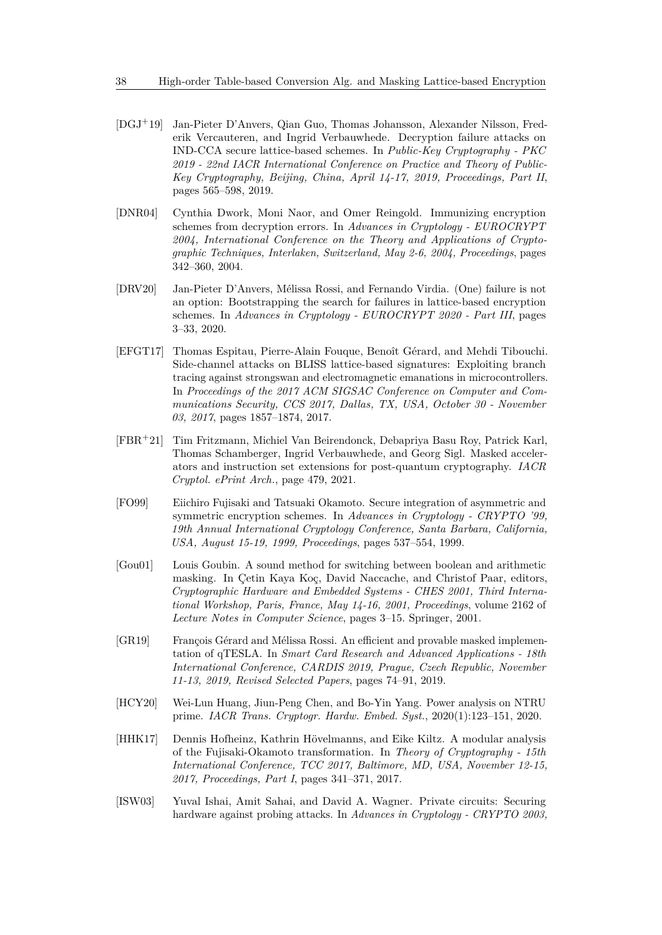- <span id="page-37-10"></span>[DGJ<sup>+</sup>19] Jan-Pieter D'Anvers, Qian Guo, Thomas Johansson, Alexander Nilsson, Frederik Vercauteren, and Ingrid Verbauwhede. Decryption failure attacks on IND-CCA secure lattice-based schemes. In *Public-Key Cryptography - PKC 2019 - 22nd IACR International Conference on Practice and Theory of Public-Key Cryptography, Beijing, China, April 14-17, 2019, Proceedings, Part II*, pages 565–598, 2019.
- <span id="page-37-4"></span>[DNR04] Cynthia Dwork, Moni Naor, and Omer Reingold. Immunizing encryption schemes from decryption errors. In *Advances in Cryptology - EUROCRYPT 2004, International Conference on the Theory and Applications of Cryptographic Techniques, Interlaken, Switzerland, May 2-6, 2004, Proceedings*, pages 342–360, 2004.
- <span id="page-37-9"></span>[DRV20] Jan-Pieter D'Anvers, Mélissa Rossi, and Fernando Virdia. (One) failure is not an option: Bootstrapping the search for failures in lattice-based encryption schemes. In *Advances in Cryptology - EUROCRYPT 2020 - Part III*, pages 3–33, 2020.
- <span id="page-37-0"></span>[EFGT17] Thomas Espitau, Pierre-Alain Fouque, Benoît Gérard, and Mehdi Tibouchi. Side-channel attacks on BLISS lattice-based signatures: Exploiting branch tracing against strongswan and electromagnetic emanations in microcontrollers. In *Proceedings of the 2017 ACM SIGSAC Conference on Computer and Communications Security, CCS 2017, Dallas, TX, USA, October 30 - November 03, 2017*, pages 1857–1874, 2017.
- <span id="page-37-6"></span>[FBR<sup>+</sup>21] Tim Fritzmann, Michiel Van Beirendonck, Debapriya Basu Roy, Patrick Karl, Thomas Schamberger, Ingrid Verbauwhede, and Georg Sigl. Masked accelerators and instruction set extensions for post-quantum cryptography. *IACR Cryptol. ePrint Arch.*, page 479, 2021.
- <span id="page-37-7"></span>[FO99] Eiichiro Fujisaki and Tatsuaki Okamoto. Secure integration of asymmetric and symmetric encryption schemes. In *Advances in Cryptology - CRYPTO '99, 19th Annual International Cryptology Conference, Santa Barbara, California, USA, August 15-19, 1999, Proceedings*, pages 537–554, 1999.
- <span id="page-37-3"></span>[Gou01] Louis Goubin. A sound method for switching between boolean and arithmetic masking. In Çetin Kaya Koç, David Naccache, and Christof Paar, editors, *Cryptographic Hardware and Embedded Systems - CHES 2001, Third International Workshop, Paris, France, May 14-16, 2001, Proceedings*, volume 2162 of *Lecture Notes in Computer Science*, pages 3–15. Springer, 2001.
- <span id="page-37-5"></span>[GR19] François Gérard and Mélissa Rossi. An efficient and provable masked implementation of qTESLA. In *Smart Card Research and Advanced Applications - 18th International Conference, CARDIS 2019, Prague, Czech Republic, November 11-13, 2019, Revised Selected Papers*, pages 74–91, 2019.
- <span id="page-37-1"></span>[HCY20] Wei-Lun Huang, Jiun-Peng Chen, and Bo-Yin Yang. Power analysis on NTRU prime. *IACR Trans. Cryptogr. Hardw. Embed. Syst.*, 2020(1):123–151, 2020.
- <span id="page-37-8"></span>[HHK17] Dennis Hofheinz, Kathrin Hövelmanns, and Eike Kiltz. A modular analysis of the Fujisaki-Okamoto transformation. In *Theory of Cryptography - 15th International Conference, TCC 2017, Baltimore, MD, USA, November 12-15, 2017, Proceedings, Part I*, pages 341–371, 2017.
- <span id="page-37-2"></span>[ISW03] Yuval Ishai, Amit Sahai, and David A. Wagner. Private circuits: Securing hardware against probing attacks. In *Advances in Cryptology - CRYPTO 2003,*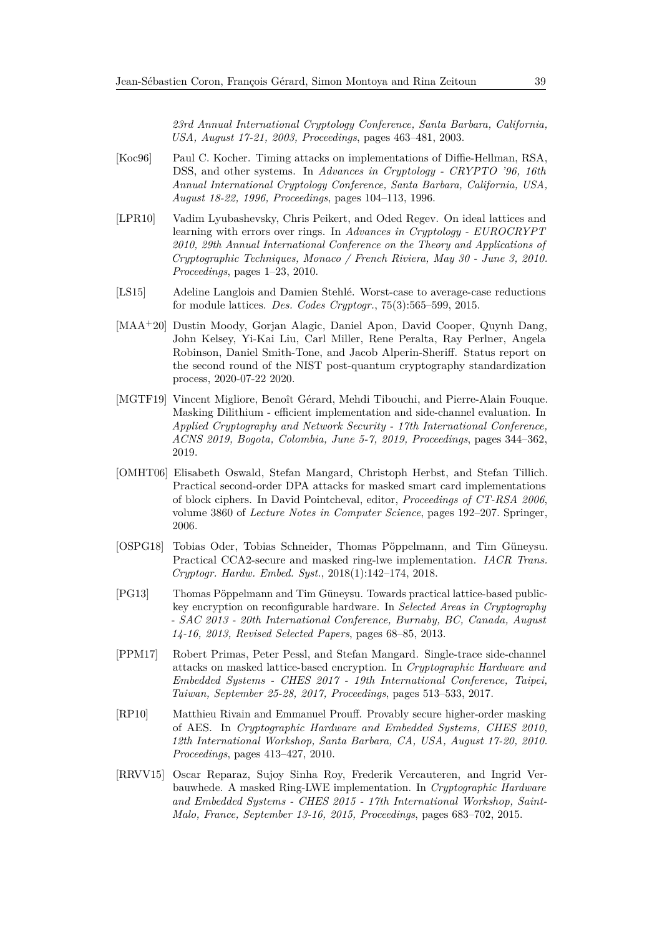*23rd Annual International Cryptology Conference, Santa Barbara, California, USA, August 17-21, 2003, Proceedings*, pages 463–481, 2003.

- <span id="page-38-0"></span>[Koc96] Paul C. Kocher. Timing attacks on implementations of Diffie-Hellman, RSA, DSS, and other systems. In *Advances in Cryptology - CRYPTO '96, 16th Annual International Cryptology Conference, Santa Barbara, California, USA, August 18-22, 1996, Proceedings*, pages 104–113, 1996.
- <span id="page-38-8"></span>[LPR10] Vadim Lyubashevsky, Chris Peikert, and Oded Regev. On ideal lattices and learning with errors over rings. In *Advances in Cryptology - EUROCRYPT 2010, 29th Annual International Conference on the Theory and Applications of Cryptographic Techniques, Monaco / French Riviera, May 30 - June 3, 2010. Proceedings*, pages 1–23, 2010.
- <span id="page-38-9"></span>[LS15] Adeline Langlois and Damien Stehlé. Worst-case to average-case reductions for module lattices. *Des. Codes Cryptogr.*, 75(3):565–599, 2015.
- <span id="page-38-2"></span>[MAA<sup>+</sup>20] Dustin Moody, Gorjan Alagic, Daniel Apon, David Cooper, Quynh Dang, John Kelsey, Yi-Kai Liu, Carl Miller, Rene Peralta, Ray Perlner, Angela Robinson, Daniel Smith-Tone, and Jacob Alperin-Sheriff. Status report on the second round of the NIST post-quantum cryptography standardization process, 2020-07-22 2020.
- <span id="page-38-5"></span>[MGTF19] Vincent Migliore, Benoît Gérard, Mehdi Tibouchi, and Pierre-Alain Fouque. Masking Dilithium - efficient implementation and side-channel evaluation. In *Applied Cryptography and Network Security - 17th International Conference, ACNS 2019, Bogota, Colombia, June 5-7, 2019, Proceedings*, pages 344–362, 2019.
- <span id="page-38-3"></span>[OMHT06] Elisabeth Oswald, Stefan Mangard, Christoph Herbst, and Stefan Tillich. Practical second-order DPA attacks for masked smart card implementations of block ciphers. In David Pointcheval, editor, *Proceedings of CT-RSA 2006*, volume 3860 of *Lecture Notes in Computer Science*, pages 192–207. Springer, 2006.
- <span id="page-38-7"></span>[OSPG18] Tobias Oder, Tobias Schneider, Thomas Pöppelmann, and Tim Güneysu. Practical CCA2-secure and masked ring-lwe implementation. *IACR Trans. Cryptogr. Hardw. Embed. Syst.*, 2018(1):142–174, 2018.
- <span id="page-38-10"></span>[PG13] Thomas Pöppelmann and Tim Güneysu. Towards practical lattice-based publickey encryption on reconfigurable hardware. In *Selected Areas in Cryptography - SAC 2013 - 20th International Conference, Burnaby, BC, Canada, August 14-16, 2013, Revised Selected Papers*, pages 68–85, 2013.
- <span id="page-38-1"></span>[PPM17] Robert Primas, Peter Pessl, and Stefan Mangard. Single-trace side-channel attacks on masked lattice-based encryption. In *Cryptographic Hardware and Embedded Systems - CHES 2017 - 19th International Conference, Taipei, Taiwan, September 25-28, 2017, Proceedings*, pages 513–533, 2017.
- <span id="page-38-4"></span>[RP10] Matthieu Rivain and Emmanuel Prouff. Provably secure higher-order masking of AES. In *Cryptographic Hardware and Embedded Systems, CHES 2010, 12th International Workshop, Santa Barbara, CA, USA, August 17-20, 2010. Proceedings*, pages 413–427, 2010.
- <span id="page-38-6"></span>[RRVV15] Oscar Reparaz, Sujoy Sinha Roy, Frederik Vercauteren, and Ingrid Verbauwhede. A masked Ring-LWE implementation. In *Cryptographic Hardware and Embedded Systems - CHES 2015 - 17th International Workshop, Saint-Malo, France, September 13-16, 2015, Proceedings*, pages 683–702, 2015.